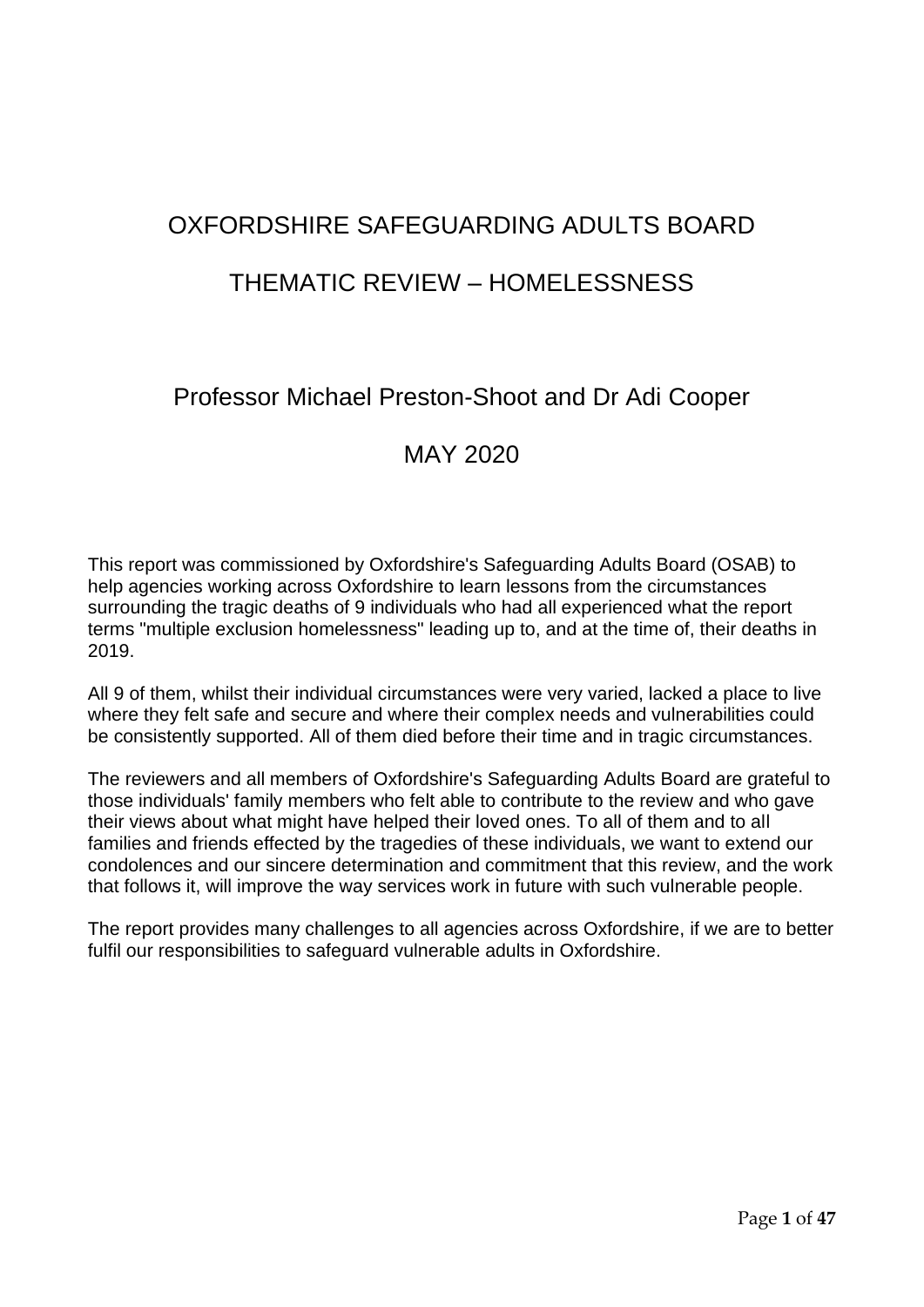# OXFORDSHIRE SAFEGUARDING ADULTS BOARD

## THEMATIC REVIEW – HOMELESSNESS

## Professor Michael Preston-Shoot and Dr Adi Cooper

## MAY 2020

This report was commissioned by Oxfordshire's Safeguarding Adults Board (OSAB) to help agencies working across Oxfordshire to learn lessons from the circumstances surrounding the tragic deaths of 9 individuals who had all experienced what the report terms "multiple exclusion homelessness" leading up to, and at the time of, their deaths in 2019.

All 9 of them, whilst their individual circumstances were very varied, lacked a place to live where they felt safe and secure and where their complex needs and vulnerabilities could be consistently supported. All of them died before their time and in tragic circumstances.

The reviewers and all members of Oxfordshire's Safeguarding Adults Board are grateful to those individuals' family members who felt able to contribute to the review and who gave their views about what might have helped their loved ones. To all of them and to all families and friends effected by the tragedies of these individuals, we want to extend our condolences and our sincere determination and commitment that this review, and the work that follows it, will improve the way services work in future with such vulnerable people.

The report provides many challenges to all agencies across Oxfordshire, if we are to better fulfil our responsibilities to safeguard vulnerable adults in Oxfordshire.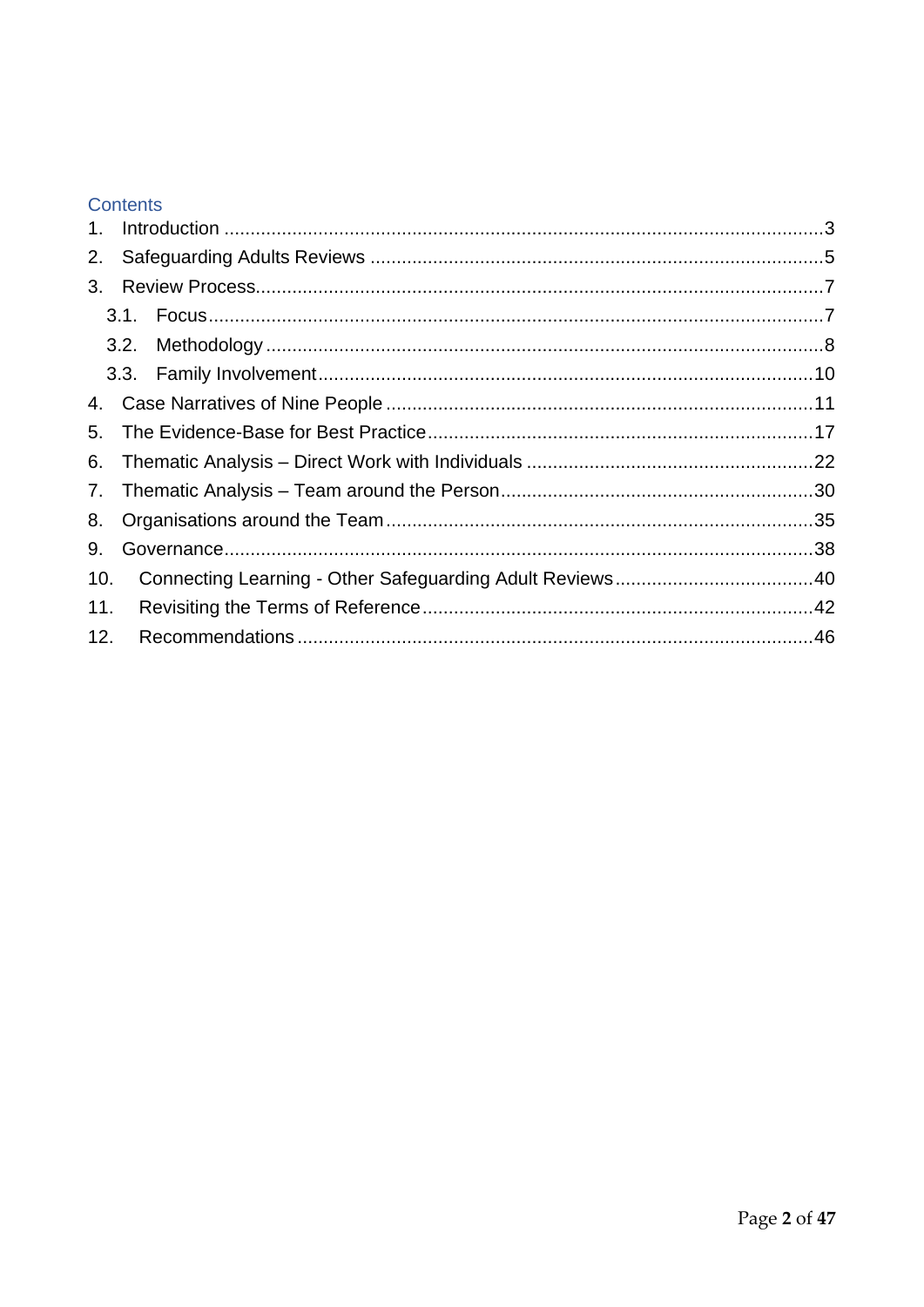## Contents

| 3.  |  |
|-----|--|
|     |  |
|     |  |
|     |  |
|     |  |
|     |  |
|     |  |
|     |  |
|     |  |
|     |  |
| 10. |  |
| 11. |  |
| 12. |  |
|     |  |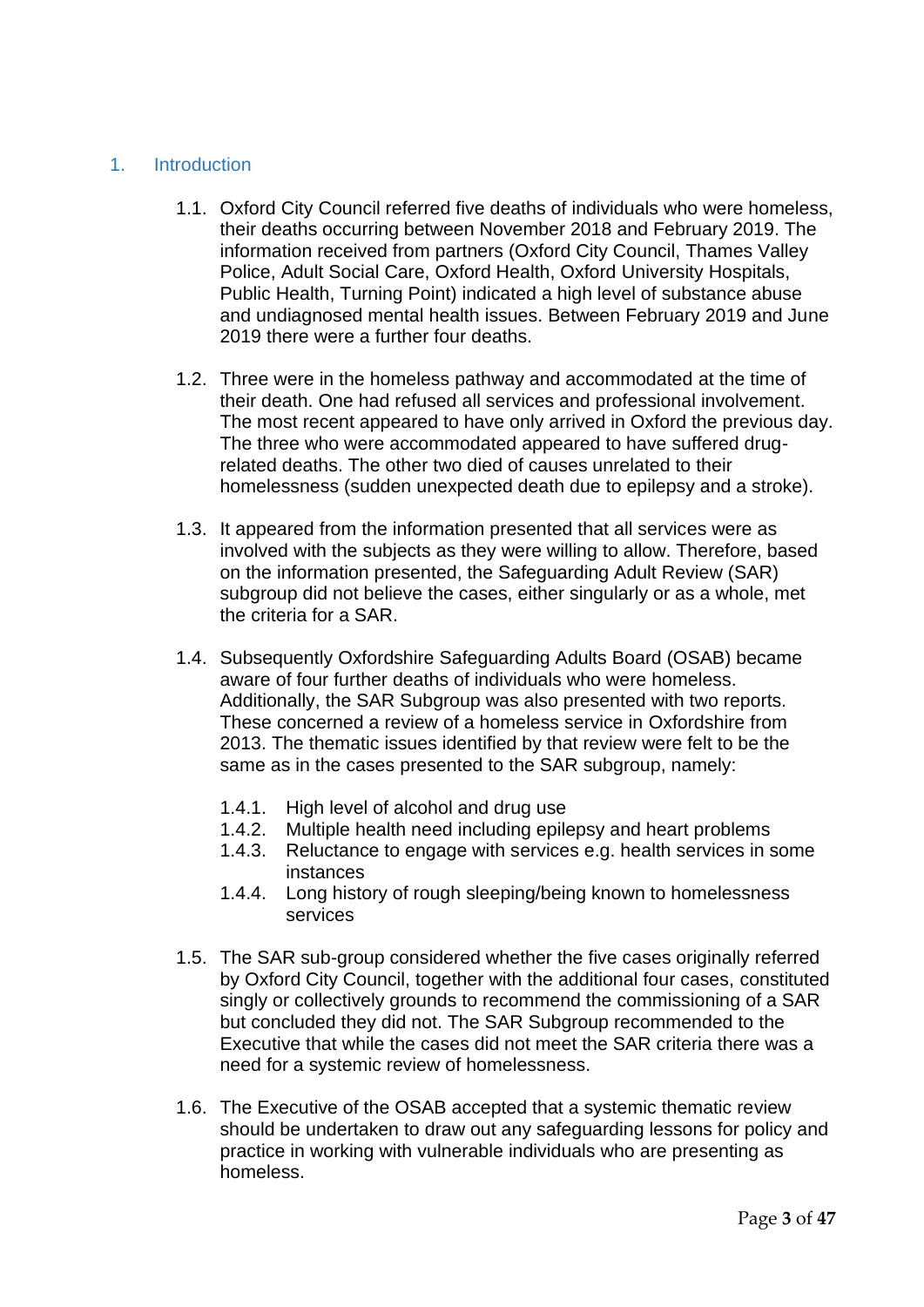## <span id="page-2-0"></span>1. Introduction

- 1.1. Oxford City Council referred five deaths of individuals who were homeless, their deaths occurring between November 2018 and February 2019. The information received from partners (Oxford City Council, Thames Valley Police, Adult Social Care, Oxford Health, Oxford University Hospitals, Public Health, Turning Point) indicated a high level of substance abuse and undiagnosed mental health issues. Between February 2019 and June 2019 there were a further four deaths.
- 1.2. Three were in the homeless pathway and accommodated at the time of their death. One had refused all services and professional involvement. The most recent appeared to have only arrived in Oxford the previous day. The three who were accommodated appeared to have suffered drugrelated deaths. The other two died of causes unrelated to their homelessness (sudden unexpected death due to epilepsy and a stroke).
- 1.3. It appeared from the information presented that all services were as involved with the subjects as they were willing to allow. Therefore, based on the information presented, the Safeguarding Adult Review (SAR) subgroup did not believe the cases, either singularly or as a whole, met the criteria for a SAR.
- 1.4. Subsequently Oxfordshire Safeguarding Adults Board (OSAB) became aware of four further deaths of individuals who were homeless. Additionally, the SAR Subgroup was also presented with two reports. These concerned a review of a homeless service in Oxfordshire from 2013. The thematic issues identified by that review were felt to be the same as in the cases presented to the SAR subgroup, namely:
	- 1.4.1. High level of alcohol and drug use
	- 1.4.2. Multiple health need including epilepsy and heart problems
	- 1.4.3. Reluctance to engage with services e.g. health services in some instances
	- 1.4.4. Long history of rough sleeping/being known to homelessness services
- 1.5. The SAR sub-group considered whether the five cases originally referred by Oxford City Council, together with the additional four cases, constituted singly or collectively grounds to recommend the commissioning of a SAR but concluded they did not. The SAR Subgroup recommended to the Executive that while the cases did not meet the SAR criteria there was a need for a systemic review of homelessness.
- 1.6. The Executive of the OSAB accepted that a systemic thematic review should be undertaken to draw out any safeguarding lessons for policy and practice in working with vulnerable individuals who are presenting as homeless.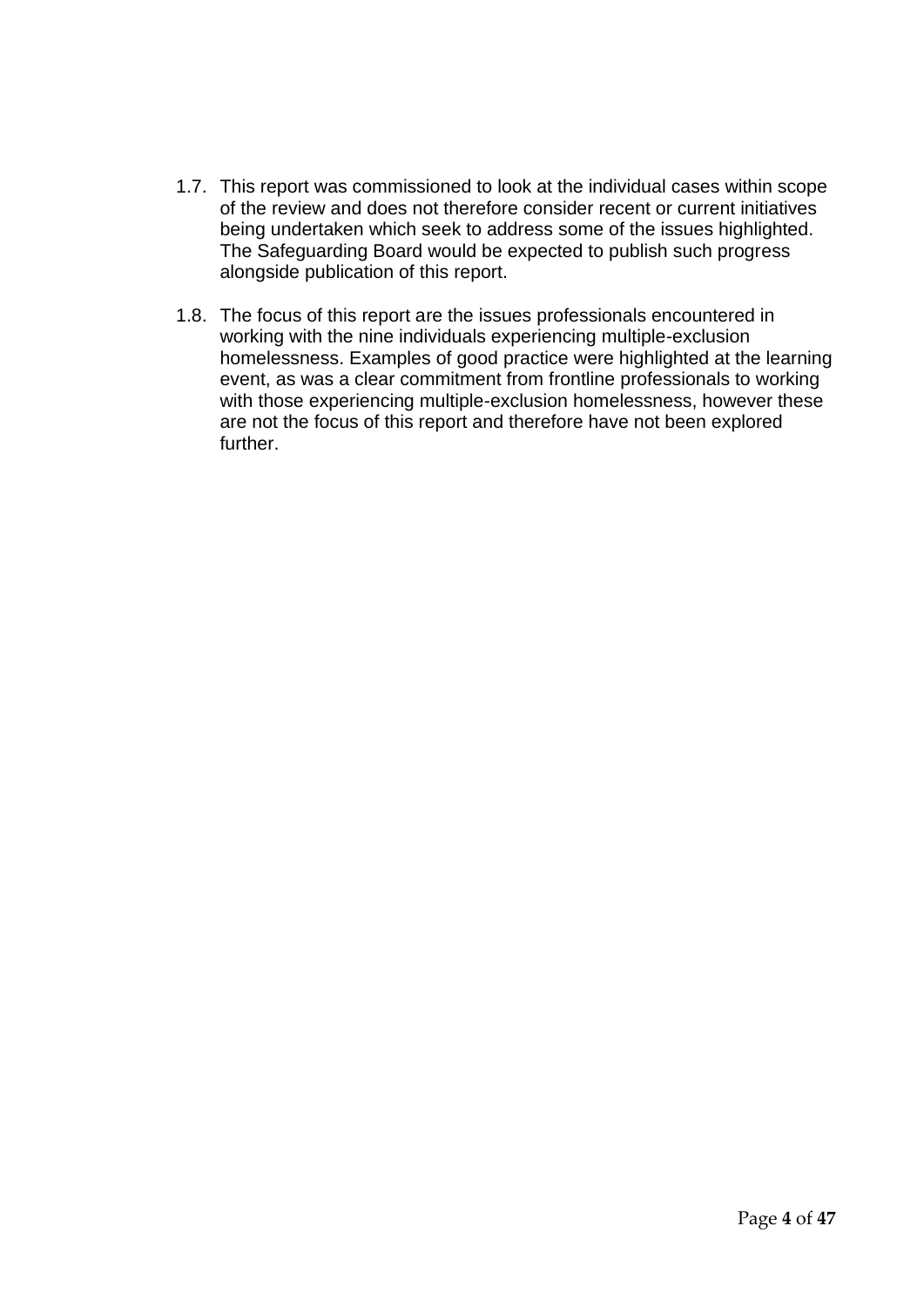- 1.7. This report was commissioned to look at the individual cases within scope of the review and does not therefore consider recent or current initiatives being undertaken which seek to address some of the issues highlighted. The Safeguarding Board would be expected to publish such progress alongside publication of this report.
- 1.8. The focus of this report are the issues professionals encountered in working with the nine individuals experiencing multiple-exclusion homelessness. Examples of good practice were highlighted at the learning event, as was a clear commitment from frontline professionals to working with those experiencing multiple-exclusion homelessness, however these are not the focus of this report and therefore have not been explored further.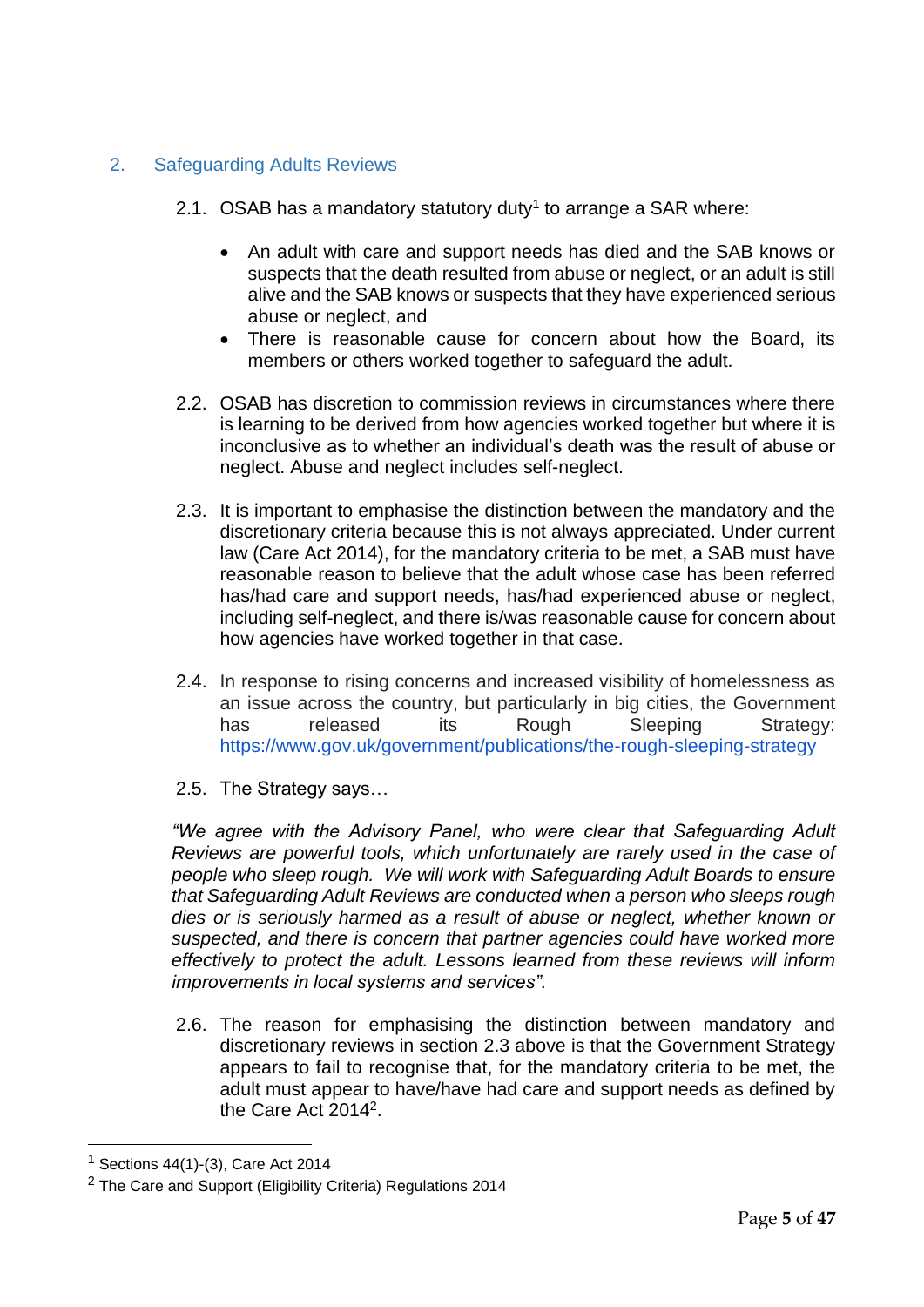## <span id="page-4-0"></span>2. Safeguarding Adults Reviews

- 2.1. OSAB has a mandatory statutory duty<sup>1</sup> to arrange a SAR where:
	- An adult with care and support needs has died and the SAB knows or suspects that the death resulted from abuse or neglect, or an adult is still alive and the SAB knows or suspects that they have experienced serious abuse or neglect, and
	- There is reasonable cause for concern about how the Board, its members or others worked together to safeguard the adult.
- 2.2. OSAB has discretion to commission reviews in circumstances where there is learning to be derived from how agencies worked together but where it is inconclusive as to whether an individual's death was the result of abuse or neglect. Abuse and neglect includes self-neglect.
- 2.3. It is important to emphasise the distinction between the mandatory and the discretionary criteria because this is not always appreciated. Under current law (Care Act 2014), for the mandatory criteria to be met, a SAB must have reasonable reason to believe that the adult whose case has been referred has/had care and support needs, has/had experienced abuse or neglect, including self-neglect, and there is/was reasonable cause for concern about how agencies have worked together in that case.
- 2.4. In response to rising concerns and increased visibility of homelessness as an issue across the country, but particularly in big cities, the Government has released its Rough Sleeping Strategy: <https://www.gov.uk/government/publications/the-rough-sleeping-strategy>
- 2.5. The Strategy says…

*"We agree with the Advisory Panel, who were clear that Safeguarding Adult Reviews are powerful tools, which unfortunately are rarely used in the case of people who sleep rough. We will work with Safeguarding Adult Boards to ensure that Safeguarding Adult Reviews are conducted when a person who sleeps rough dies or is seriously harmed as a result of abuse or neglect, whether known or suspected, and there is concern that partner agencies could have worked more effectively to protect the adult. Lessons learned from these reviews will inform improvements in local systems and services".*

2.6. The reason for emphasising the distinction between mandatory and discretionary reviews in section 2.3 above is that the Government Strategy appears to fail to recognise that, for the mandatory criteria to be met, the adult must appear to have/have had care and support needs as defined by the Care Act 2014<sup>2</sup>.

 $<sup>1</sup>$  Sections 44(1)-(3), Care Act 2014</sup>

<sup>&</sup>lt;sup>2</sup> The Care and Support (Eligibility Criteria) Regulations 2014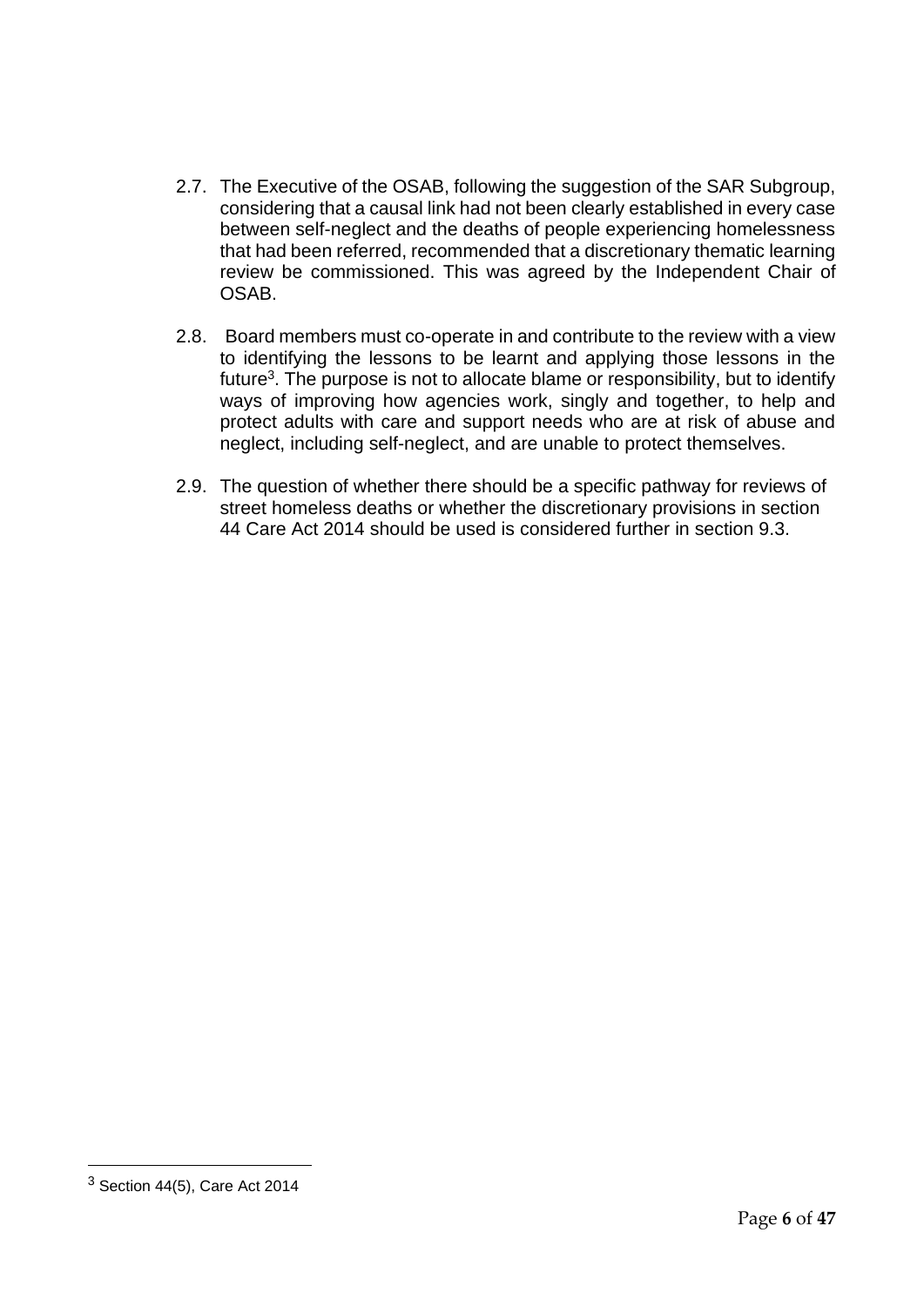- 2.7. The Executive of the OSAB, following the suggestion of the SAR Subgroup, considering that a causal link had not been clearly established in every case between self-neglect and the deaths of people experiencing homelessness that had been referred, recommended that a discretionary thematic learning review be commissioned. This was agreed by the Independent Chair of OSAB.
- 2.8. Board members must co-operate in and contribute to the review with a view to identifying the lessons to be learnt and applying those lessons in the future<sup>3</sup>. The purpose is not to allocate blame or responsibility, but to identify ways of improving how agencies work, singly and together, to help and protect adults with care and support needs who are at risk of abuse and neglect, including self-neglect, and are unable to protect themselves.
- 2.9. The question of whether there should be a specific pathway for reviews of street homeless deaths or whether the discretionary provisions in section 44 Care Act 2014 should be used is considered further in section 9.3.

 $3$  Section 44(5), Care Act 2014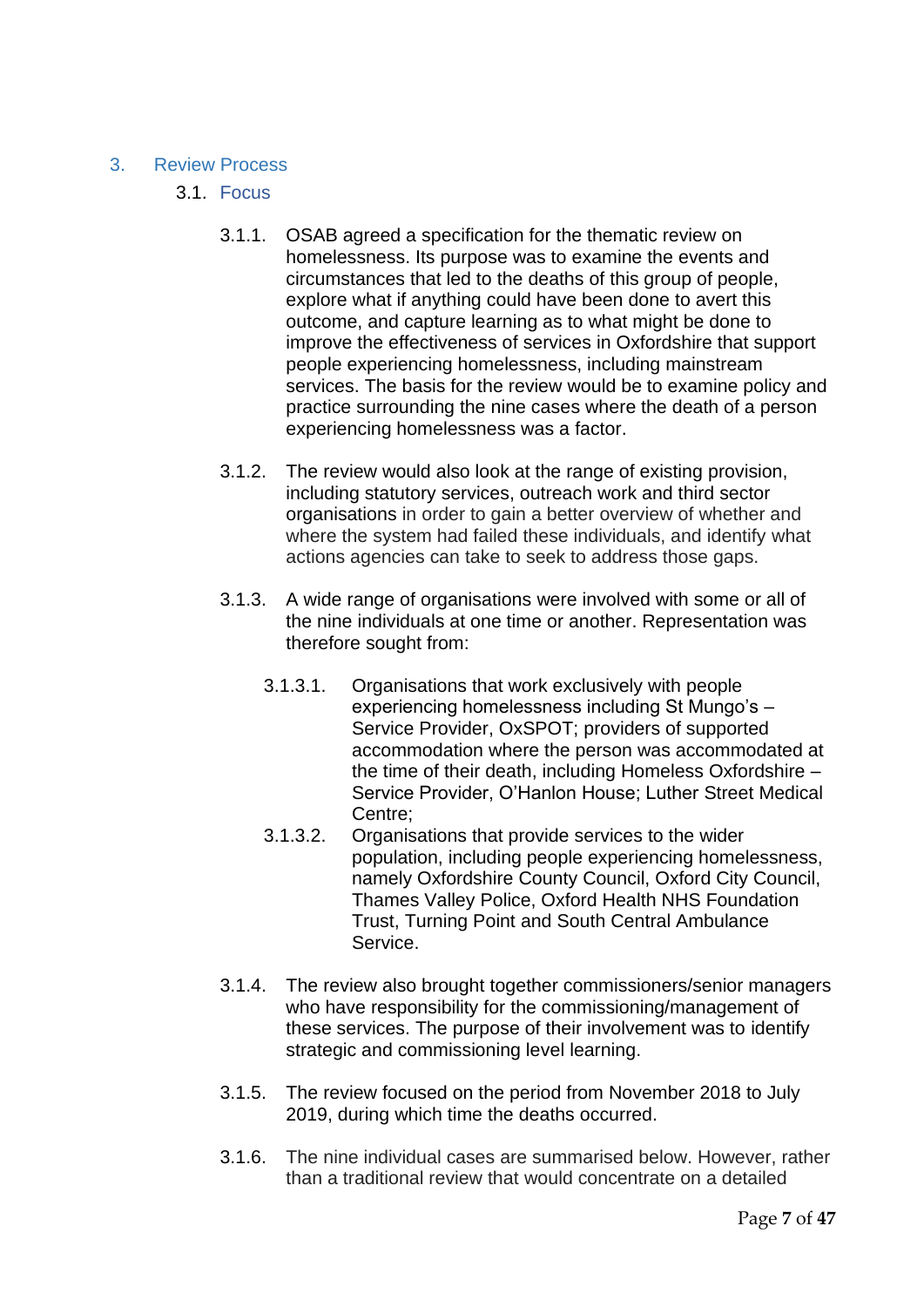#### <span id="page-6-1"></span><span id="page-6-0"></span>3. Review Process

- 3.1. Focus
	- 3.1.1. OSAB agreed a specification for the thematic review on homelessness. Its purpose was to examine the events and circumstances that led to the deaths of this group of people, explore what if anything could have been done to avert this outcome, and capture learning as to what might be done to improve the effectiveness of services in Oxfordshire that support people experiencing homelessness, including mainstream services. The basis for the review would be to examine policy and practice surrounding the nine cases where the death of a person experiencing homelessness was a factor.
	- 3.1.2. The review would also look at the range of existing provision, including statutory services, outreach work and third sector organisations in order to gain a better overview of whether and where the system had failed these individuals, and identify what actions agencies can take to seek to address those gaps.
	- 3.1.3. A wide range of organisations were involved with some or all of the nine individuals at one time or another. Representation was therefore sought from:
		- 3.1.3.1. Organisations that work exclusively with people experiencing homelessness including St Mungo's – Service Provider, OxSPOT; providers of supported accommodation where the person was accommodated at the time of their death, including Homeless Oxfordshire – Service Provider, O'Hanlon House; Luther Street Medical Centre;
		- 3.1.3.2. Organisations that provide services to the wider population, including people experiencing homelessness, namely Oxfordshire County Council, Oxford City Council, Thames Valley Police, Oxford Health NHS Foundation Trust, Turning Point and South Central Ambulance Service.
	- 3.1.4. The review also brought together commissioners/senior managers who have responsibility for the commissioning/management of these services. The purpose of their involvement was to identify strategic and commissioning level learning.
	- 3.1.5. The review focused on the period from November 2018 to July 2019, during which time the deaths occurred.
	- 3.1.6. The nine individual cases are summarised below. However, rather than a traditional review that would concentrate on a detailed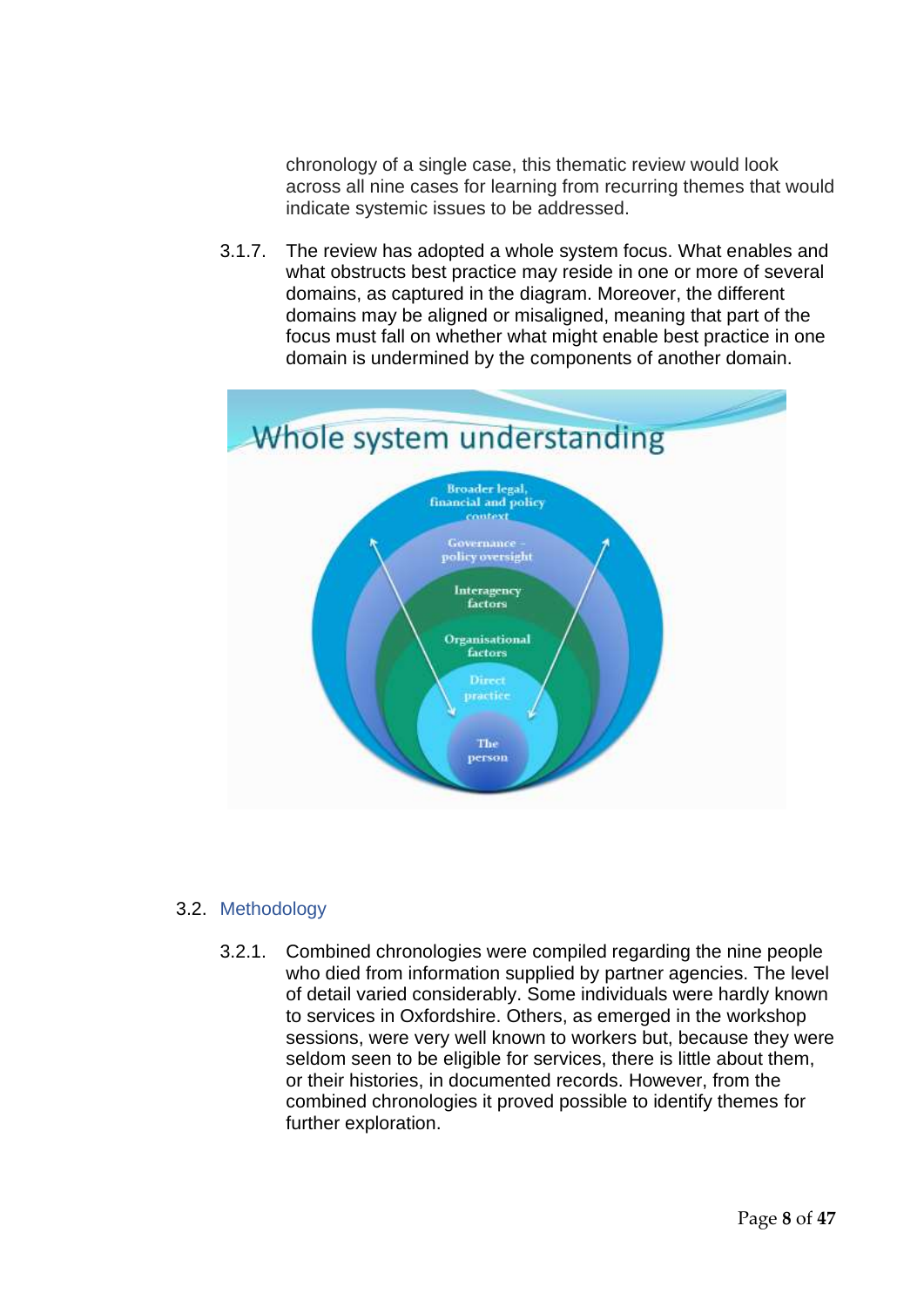chronology of a single case, this thematic review would look across all nine cases for learning from recurring themes that would indicate systemic issues to be addressed.

3.1.7. The review has adopted a whole system focus. What enables and what obstructs best practice may reside in one or more of several domains, as captured in the diagram. Moreover, the different domains may be aligned or misaligned, meaning that part of the focus must fall on whether what might enable best practice in one domain is undermined by the components of another domain.



#### <span id="page-7-0"></span>3.2. Methodology

3.2.1. Combined chronologies were compiled regarding the nine people who died from information supplied by partner agencies. The level of detail varied considerably. Some individuals were hardly known to services in Oxfordshire. Others, as emerged in the workshop sessions, were very well known to workers but, because they were seldom seen to be eligible for services, there is little about them, or their histories, in documented records. However, from the combined chronologies it proved possible to identify themes for further exploration.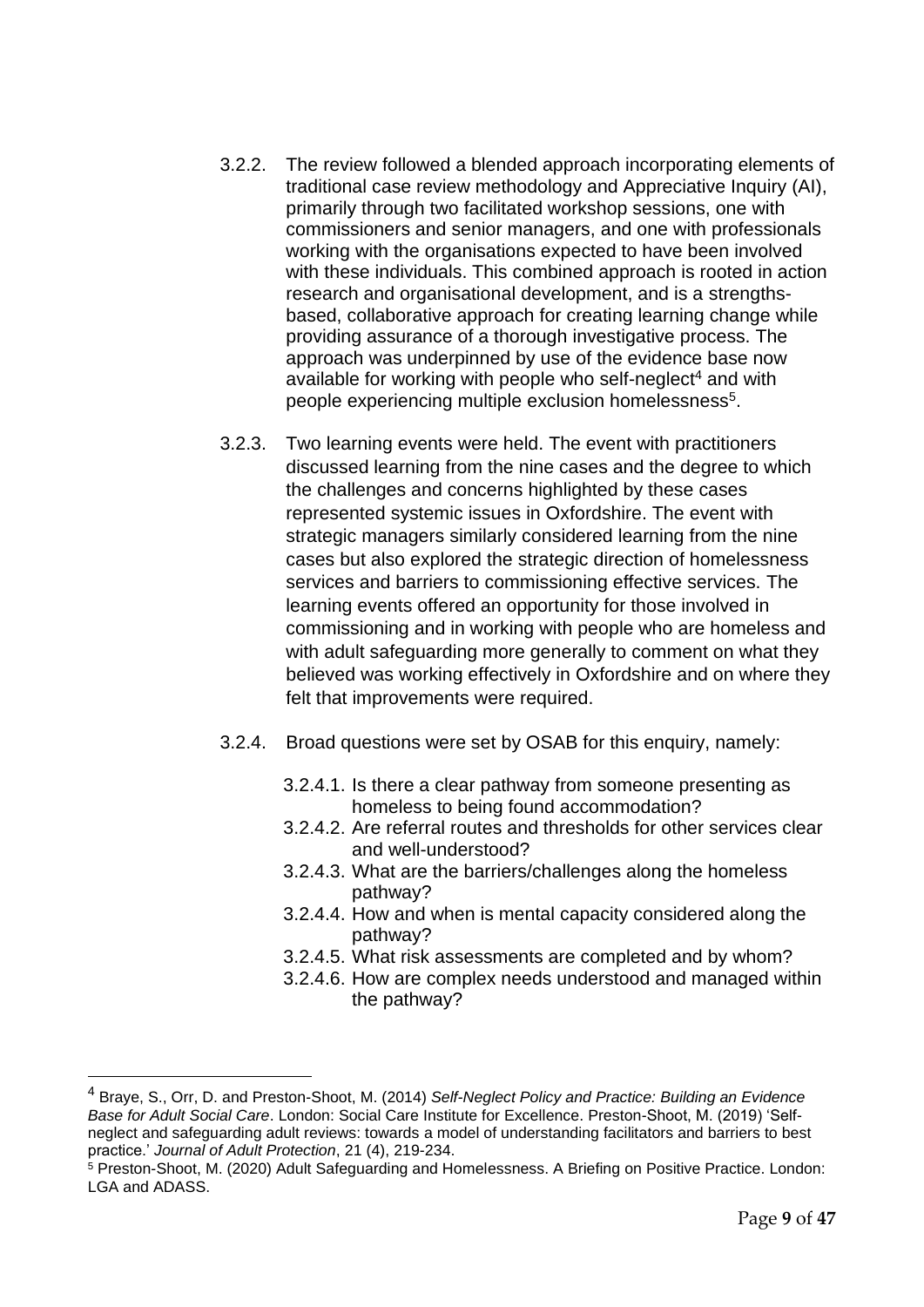- 3.2.2. The review followed a blended approach incorporating elements of traditional case review methodology and Appreciative Inquiry (AI), primarily through two facilitated workshop sessions, one with commissioners and senior managers, and one with professionals working with the organisations expected to have been involved with these individuals. This combined approach is rooted in action research and organisational development, and is a strengthsbased, collaborative approach for creating learning change while providing assurance of a thorough investigative process. The approach was underpinned by use of the evidence base now available for working with people who self-neglect<sup>4</sup> and with people experiencing multiple exclusion homelessness<sup>5</sup>.
- 3.2.3. Two learning events were held. The event with practitioners discussed learning from the nine cases and the degree to which the challenges and concerns highlighted by these cases represented systemic issues in Oxfordshire. The event with strategic managers similarly considered learning from the nine cases but also explored the strategic direction of homelessness services and barriers to commissioning effective services. The learning events offered an opportunity for those involved in commissioning and in working with people who are homeless and with adult safeguarding more generally to comment on what they believed was working effectively in Oxfordshire and on where they felt that improvements were required.
- 3.2.4. Broad questions were set by OSAB for this enquiry, namely:
	- 3.2.4.1. Is there a clear pathway from someone presenting as homeless to being found accommodation?
	- 3.2.4.2. Are referral routes and thresholds for other services clear and well-understood?
	- 3.2.4.3. What are the barriers/challenges along the homeless pathway?
	- 3.2.4.4. How and when is mental capacity considered along the pathway?
	- 3.2.4.5. What risk assessments are completed and by whom?
	- 3.2.4.6. How are complex needs understood and managed within the pathway?

<sup>4</sup> Braye, S., Orr, D. and Preston-Shoot, M. (2014) *Self-Neglect Policy and Practice: Building an Evidence Base for Adult Social Care*. London: Social Care Institute for Excellence. Preston-Shoot, M. (2019) 'Selfneglect and safeguarding adult reviews: towards a model of understanding facilitators and barriers to best practice.' *Journal of Adult Protection*, 21 (4), 219-234.

<sup>5</sup> Preston-Shoot, M. (2020) Adult Safeguarding and Homelessness. A Briefing on Positive Practice. London: LGA and ADASS.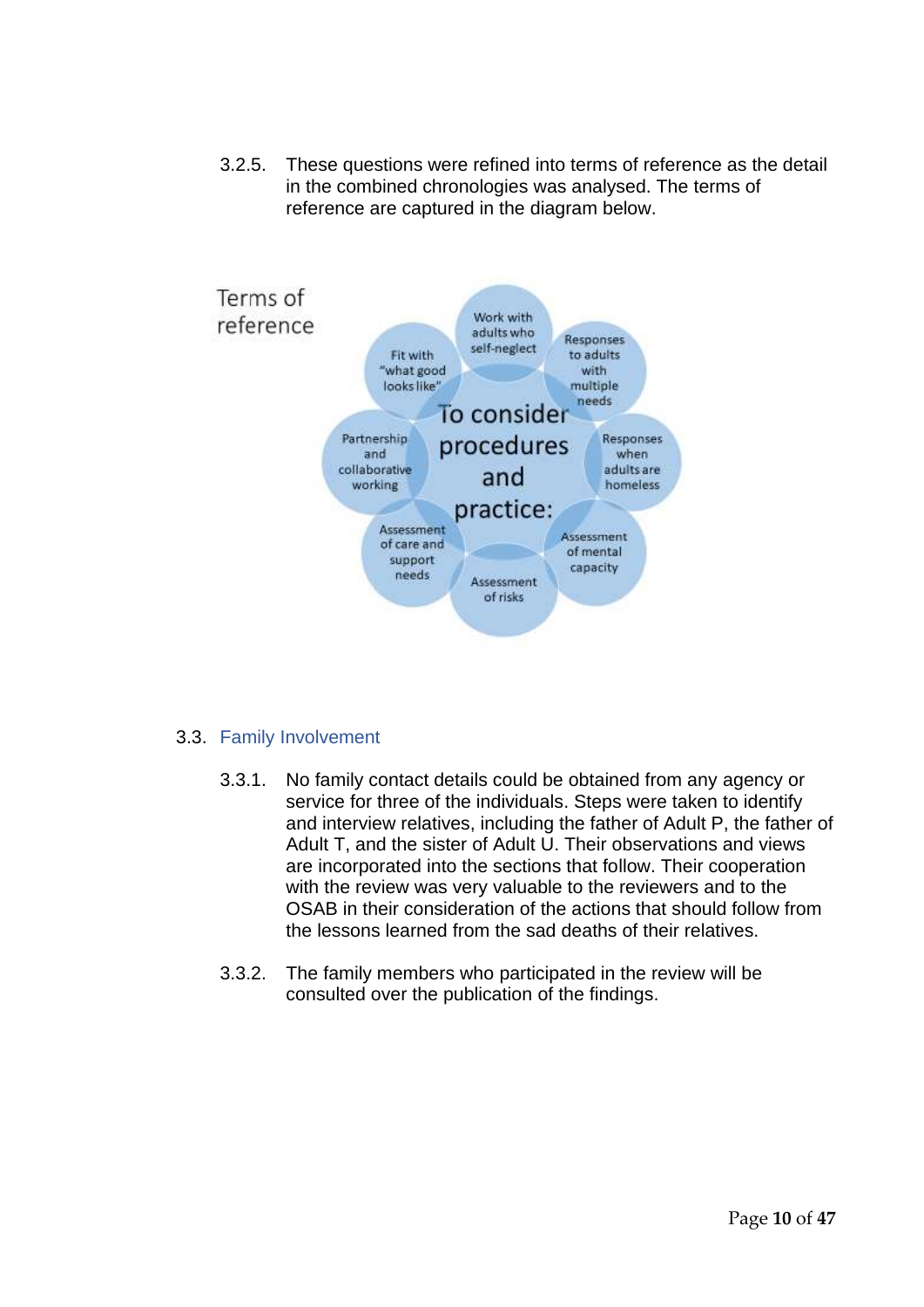3.2.5. These questions were refined into terms of reference as the detail in the combined chronologies was analysed. The terms of reference are captured in the diagram below.



#### <span id="page-9-0"></span>3.3. Family Involvement

- 3.3.1. No family contact details could be obtained from any agency or service for three of the individuals. Steps were taken to identify and interview relatives, including the father of Adult P, the father of Adult T, and the sister of Adult U. Their observations and views are incorporated into the sections that follow. Their cooperation with the review was very valuable to the reviewers and to the OSAB in their consideration of the actions that should follow from the lessons learned from the sad deaths of their relatives.
- 3.3.2. The family members who participated in the review will be consulted over the publication of the findings.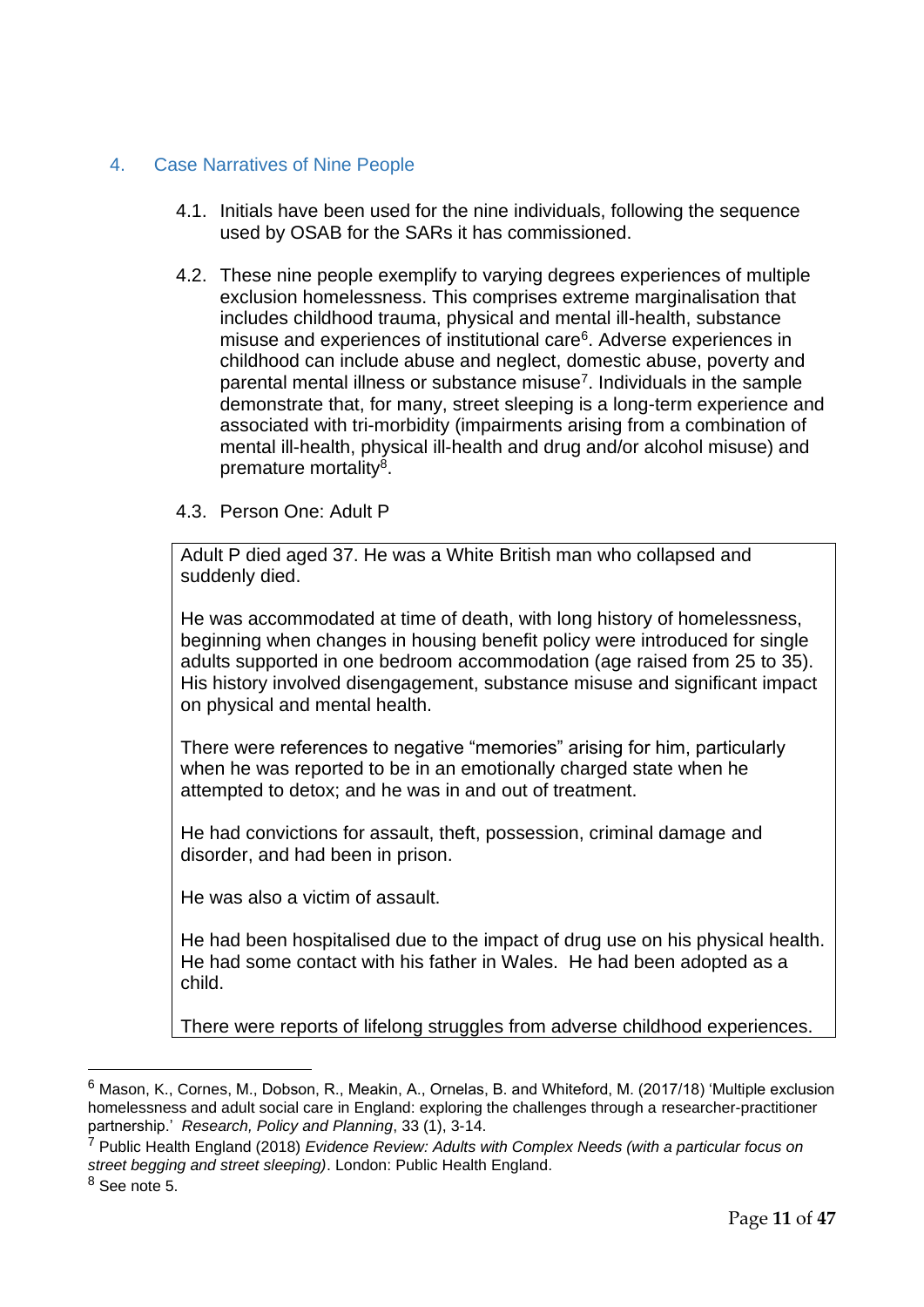## <span id="page-10-0"></span>4. Case Narratives of Nine People

- 4.1. Initials have been used for the nine individuals, following the sequence used by OSAB for the SARs it has commissioned.
- 4.2. These nine people exemplify to varying degrees experiences of multiple exclusion homelessness. This comprises extreme marginalisation that includes childhood trauma, physical and mental ill-health, substance misuse and experiences of institutional care<sup>6</sup>. Adverse experiences in childhood can include abuse and neglect, domestic abuse, poverty and parental mental illness or substance misuse<sup>7</sup>. Individuals in the sample demonstrate that, for many, street sleeping is a long-term experience and associated with tri-morbidity (impairments arising from a combination of mental ill-health, physical ill-health and drug and/or alcohol misuse) and premature mortality<sup>8</sup>.

#### 4.3. Person One: Adult P

Adult P died aged 37. He was a White British man who collapsed and suddenly died.

He was accommodated at time of death, with long history of homelessness, beginning when changes in housing benefit policy were introduced for single adults supported in one bedroom accommodation (age raised from 25 to 35). His history involved disengagement, substance misuse and significant impact on physical and mental health.

There were references to negative "memories" arising for him, particularly when he was reported to be in an emotionally charged state when he attempted to detox; and he was in and out of treatment.

He had convictions for assault, theft, possession, criminal damage and disorder, and had been in prison.

He was also a victim of assault.

He had been hospitalised due to the impact of drug use on his physical health. He had some contact with his father in Wales. He had been adopted as a child.

There were reports of lifelong struggles from adverse childhood experiences.

 $6$  Mason, K., Cornes, M., Dobson, R., Meakin, A., Ornelas, B. and Whiteford, M. (2017/18) 'Multiple exclusion homelessness and adult social care in England: exploring the challenges through a researcher-practitioner partnership.' *Research, Policy and Planning*, 33 (1), 3-14.

<sup>7</sup> Public Health England (2018) *Evidence Review: Adults with Complex Needs (with a particular focus on street begging and street sleeping)*. London: Public Health England.

<sup>8</sup> See note 5.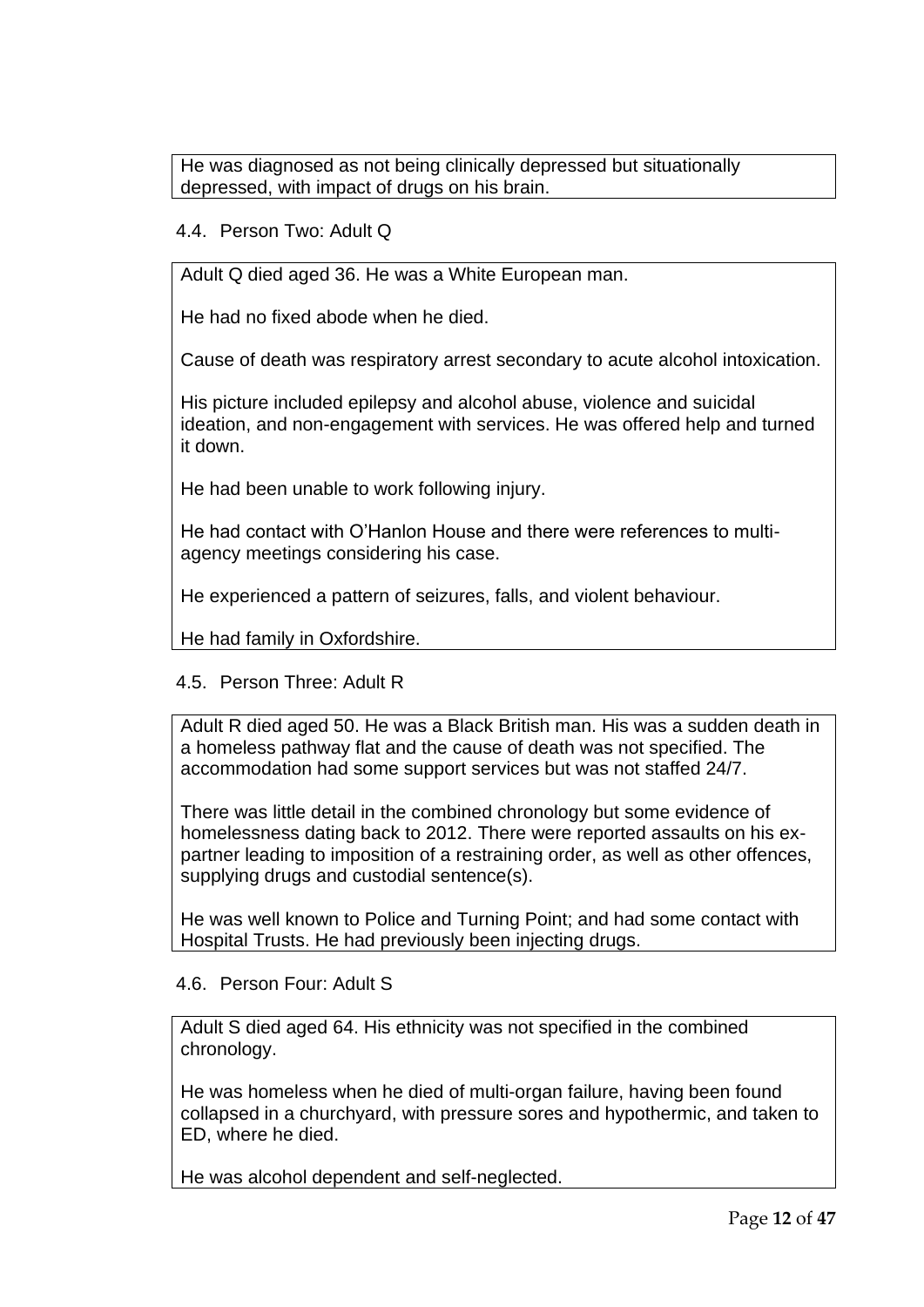He was diagnosed as not being clinically depressed but situationally depressed, with impact of drugs on his brain.

### 4.4. Person Two: Adult Q

Adult Q died aged 36. He was a White European man.

He had no fixed abode when he died.

Cause of death was respiratory arrest secondary to acute alcohol intoxication.

His picture included epilepsy and alcohol abuse, violence and suicidal ideation, and non-engagement with services. He was offered help and turned it down.

He had been unable to work following injury.

He had contact with O'Hanlon House and there were references to multiagency meetings considering his case.

He experienced a pattern of seizures, falls, and violent behaviour.

He had family in Oxfordshire.

## 4.5. Person Three: Adult R

Adult R died aged 50. He was a Black British man. His was a sudden death in a homeless pathway flat and the cause of death was not specified. The accommodation had some support services but was not staffed 24/7.

There was little detail in the combined chronology but some evidence of homelessness dating back to 2012. There were reported assaults on his expartner leading to imposition of a restraining order, as well as other offences, supplying drugs and custodial sentence(s).

He was well known to Police and Turning Point; and had some contact with Hospital Trusts. He had previously been injecting drugs.

#### 4.6. Person Four: Adult S

Adult S died aged 64. His ethnicity was not specified in the combined chronology.

He was homeless when he died of multi-organ failure, having been found collapsed in a churchyard, with pressure sores and hypothermic, and taken to ED, where he died.

He was alcohol dependent and self-neglected.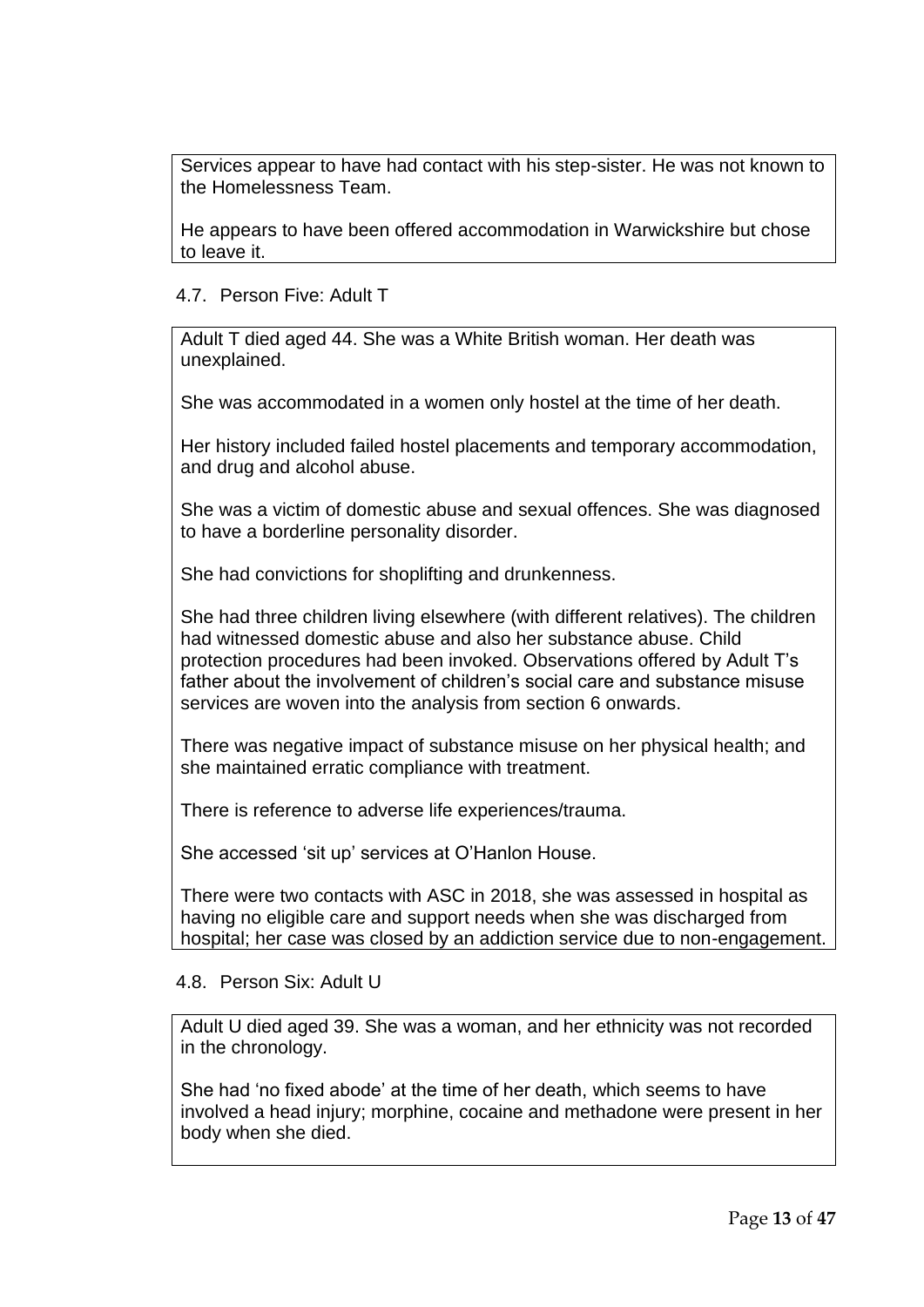Services appear to have had contact with his step-sister. He was not known to the Homelessness Team.

He appears to have been offered accommodation in Warwickshire but chose to leave it.

#### 4.7. Person Five: Adult T

Adult T died aged 44. She was a White British woman. Her death was unexplained.

She was accommodated in a women only hostel at the time of her death.

Her history included failed hostel placements and temporary accommodation, and drug and alcohol abuse.

She was a victim of domestic abuse and sexual offences. She was diagnosed to have a borderline personality disorder.

She had convictions for shoplifting and drunkenness.

She had three children living elsewhere (with different relatives). The children had witnessed domestic abuse and also her substance abuse. Child protection procedures had been invoked. Observations offered by Adult T's father about the involvement of children's social care and substance misuse services are woven into the analysis from section 6 onwards.

There was negative impact of substance misuse on her physical health; and she maintained erratic compliance with treatment.

There is reference to adverse life experiences/trauma.

She accessed 'sit up' services at O'Hanlon House.

There were two contacts with ASC in 2018, she was assessed in hospital as having no eligible care and support needs when she was discharged from hospital; her case was closed by an addiction service due to non-engagement.

#### 4.8. Person Six: Adult U

Adult U died aged 39. She was a woman, and her ethnicity was not recorded in the chronology.

She had 'no fixed abode' at the time of her death, which seems to have involved a head injury; morphine, cocaine and methadone were present in her body when she died.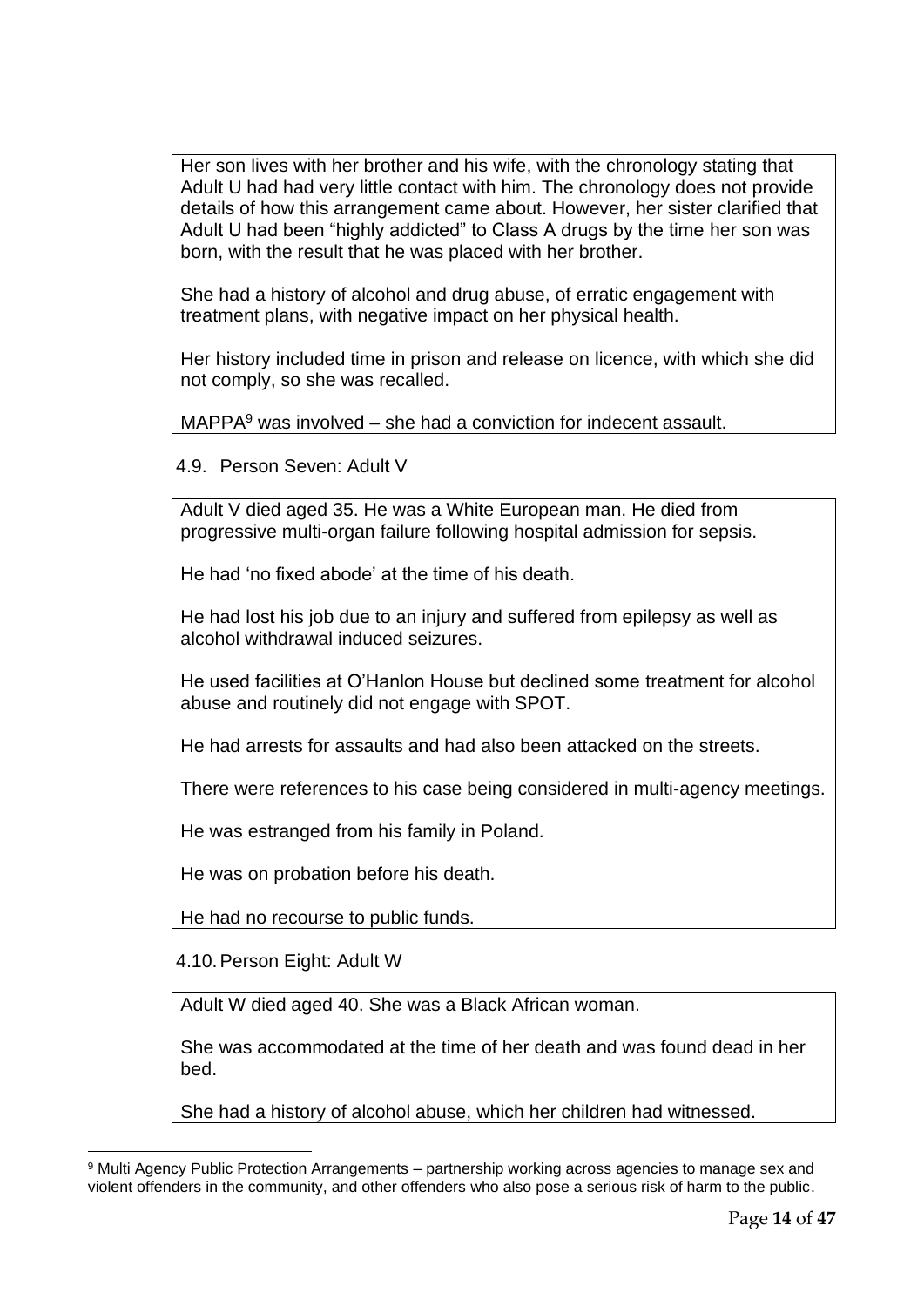Her son lives with her brother and his wife, with the chronology stating that Adult U had had very little contact with him. The chronology does not provide details of how this arrangement came about. However, her sister clarified that Adult U had been "highly addicted" to Class A drugs by the time her son was born, with the result that he was placed with her brother.

She had a history of alcohol and drug abuse, of erratic engagement with treatment plans, with negative impact on her physical health.

Her history included time in prison and release on licence, with which she did not comply, so she was recalled.

 $MAPPA<sup>9</sup>$  was involved – she had a conviction for indecent assault.

4.9. Person Seven: Adult V

Adult V died aged 35. He was a White European man. He died from progressive multi-organ failure following hospital admission for sepsis.

He had 'no fixed abode' at the time of his death.

He had lost his job due to an injury and suffered from epilepsy as well as alcohol withdrawal induced seizures.

He used facilities at O'Hanlon House but declined some treatment for alcohol abuse and routinely did not engage with SPOT.

He had arrests for assaults and had also been attacked on the streets.

There were references to his case being considered in multi-agency meetings.

He was estranged from his family in Poland.

He was on probation before his death.

He had no recourse to public funds.

4.10.Person Eight: Adult W

Adult W died aged 40. She was a Black African woman.

She was accommodated at the time of her death and was found dead in her bed.

She had a history of alcohol abuse, which her children had witnessed.

<sup>9</sup> Multi Agency Public Protection Arrangements – partnership working across agencies to manage sex and violent offenders in the community, and other offenders who also pose a serious risk of harm to the public.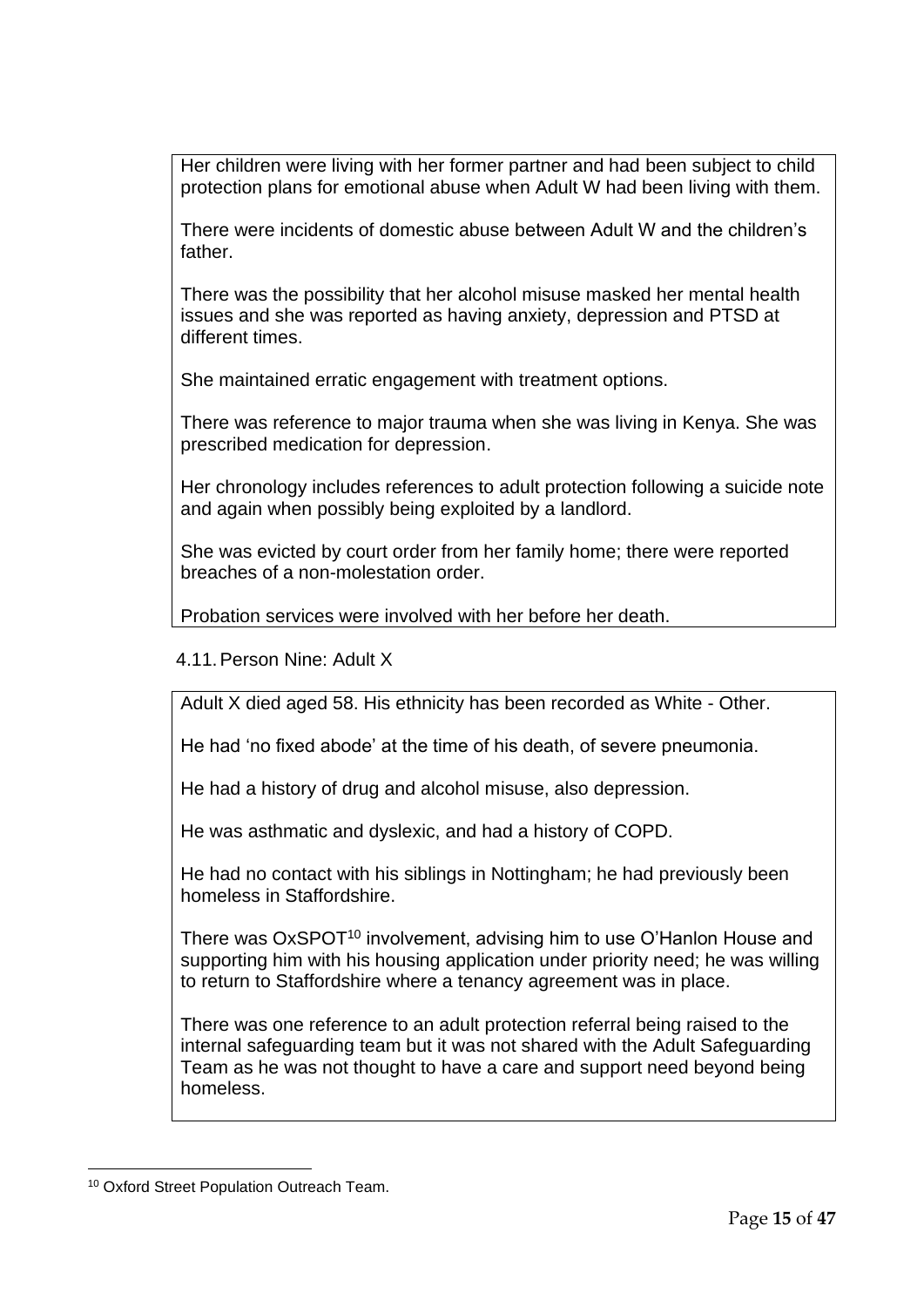Her children were living with her former partner and had been subject to child protection plans for emotional abuse when Adult W had been living with them.

There were incidents of domestic abuse between Adult W and the children's father.

There was the possibility that her alcohol misuse masked her mental health issues and she was reported as having anxiety, depression and PTSD at different times.

She maintained erratic engagement with treatment options.

There was reference to major trauma when she was living in Kenya. She was prescribed medication for depression.

Her chronology includes references to adult protection following a suicide note and again when possibly being exploited by a landlord.

She was evicted by court order from her family home; there were reported breaches of a non-molestation order.

Probation services were involved with her before her death.

#### 4.11.Person Nine: Adult X

Adult X died aged 58. His ethnicity has been recorded as White - Other.

He had 'no fixed abode' at the time of his death, of severe pneumonia.

He had a history of drug and alcohol misuse, also depression.

He was asthmatic and dyslexic, and had a history of COPD.

He had no contact with his siblings in Nottingham; he had previously been homeless in Staffordshire.

There was OxSPOT<sup>10</sup> involvement, advising him to use O'Hanlon House and supporting him with his housing application under priority need; he was willing to return to Staffordshire where a tenancy agreement was in place.

There was one reference to an adult protection referral being raised to the internal safeguarding team but it was not shared with the Adult Safeguarding Team as he was not thought to have a care and support need beyond being homeless.

<sup>10</sup> Oxford Street Population Outreach Team.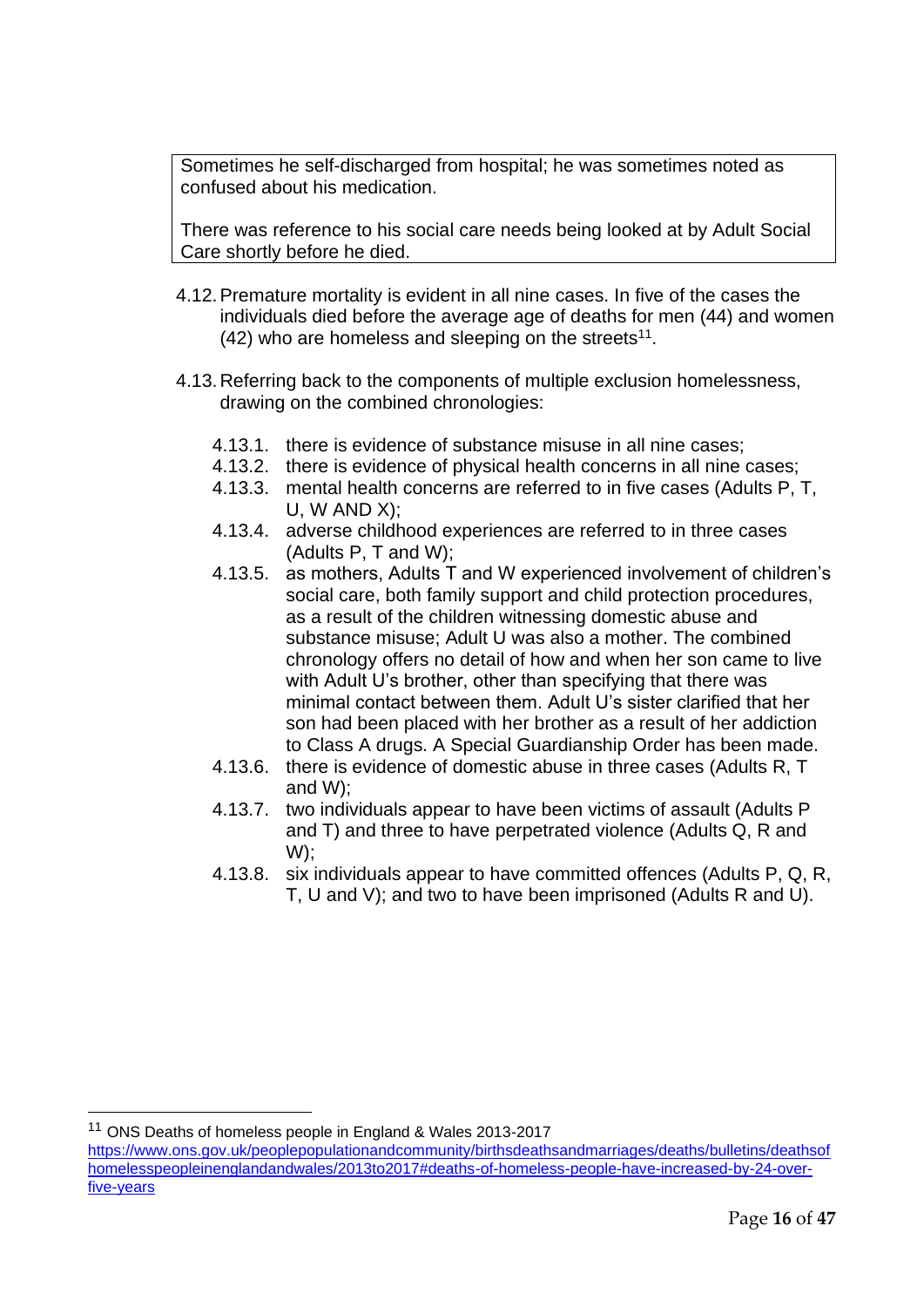Sometimes he self-discharged from hospital; he was sometimes noted as confused about his medication.

There was reference to his social care needs being looked at by Adult Social Care shortly before he died.

- 4.12.Premature mortality is evident in all nine cases. In five of the cases the individuals died before the average age of deaths for men (44) and women  $(42)$  who are homeless and sleeping on the streets<sup>11</sup>.
- 4.13.Referring back to the components of multiple exclusion homelessness, drawing on the combined chronologies:
	- 4.13.1. there is evidence of substance misuse in all nine cases;
	- 4.13.2. there is evidence of physical health concerns in all nine cases;
	- 4.13.3. mental health concerns are referred to in five cases (Adults P, T, U, W AND X);
	- 4.13.4. adverse childhood experiences are referred to in three cases (Adults P, T and W);
	- 4.13.5. as mothers, Adults T and W experienced involvement of children's social care, both family support and child protection procedures, as a result of the children witnessing domestic abuse and substance misuse; Adult U was also a mother. The combined chronology offers no detail of how and when her son came to live with Adult U's brother, other than specifying that there was minimal contact between them. Adult U's sister clarified that her son had been placed with her brother as a result of her addiction to Class A drugs. A Special Guardianship Order has been made.
	- 4.13.6. there is evidence of domestic abuse in three cases (Adults R, T and W);
	- 4.13.7. two individuals appear to have been victims of assault (Adults P and T) and three to have perpetrated violence (Adults Q, R and W);
	- 4.13.8. six individuals appear to have committed offences (Adults P, Q, R, T, U and V); and two to have been imprisoned (Adults R and U).

<sup>11</sup> ONS Deaths of homeless people in England & Wales 2013-2017

[https://www.ons.gov.uk/peoplepopulationandcommunity/birthsdeathsandmarriages/deaths/bulletins/deathsof](https://www.ons.gov.uk/peoplepopulationandcommunity/birthsdeathsandmarriages/deaths/bulletins/deathsofhomelesspeopleinenglandandwales/2013to2017#deaths-of-homeless-people-have-increased-by-24-over-five-years) [homelesspeopleinenglandandwales/2013to2017#deaths-of-homeless-people-have-increased-by-24-over](https://www.ons.gov.uk/peoplepopulationandcommunity/birthsdeathsandmarriages/deaths/bulletins/deathsofhomelesspeopleinenglandandwales/2013to2017#deaths-of-homeless-people-have-increased-by-24-over-five-years)[five-years](https://www.ons.gov.uk/peoplepopulationandcommunity/birthsdeathsandmarriages/deaths/bulletins/deathsofhomelesspeopleinenglandandwales/2013to2017#deaths-of-homeless-people-have-increased-by-24-over-five-years)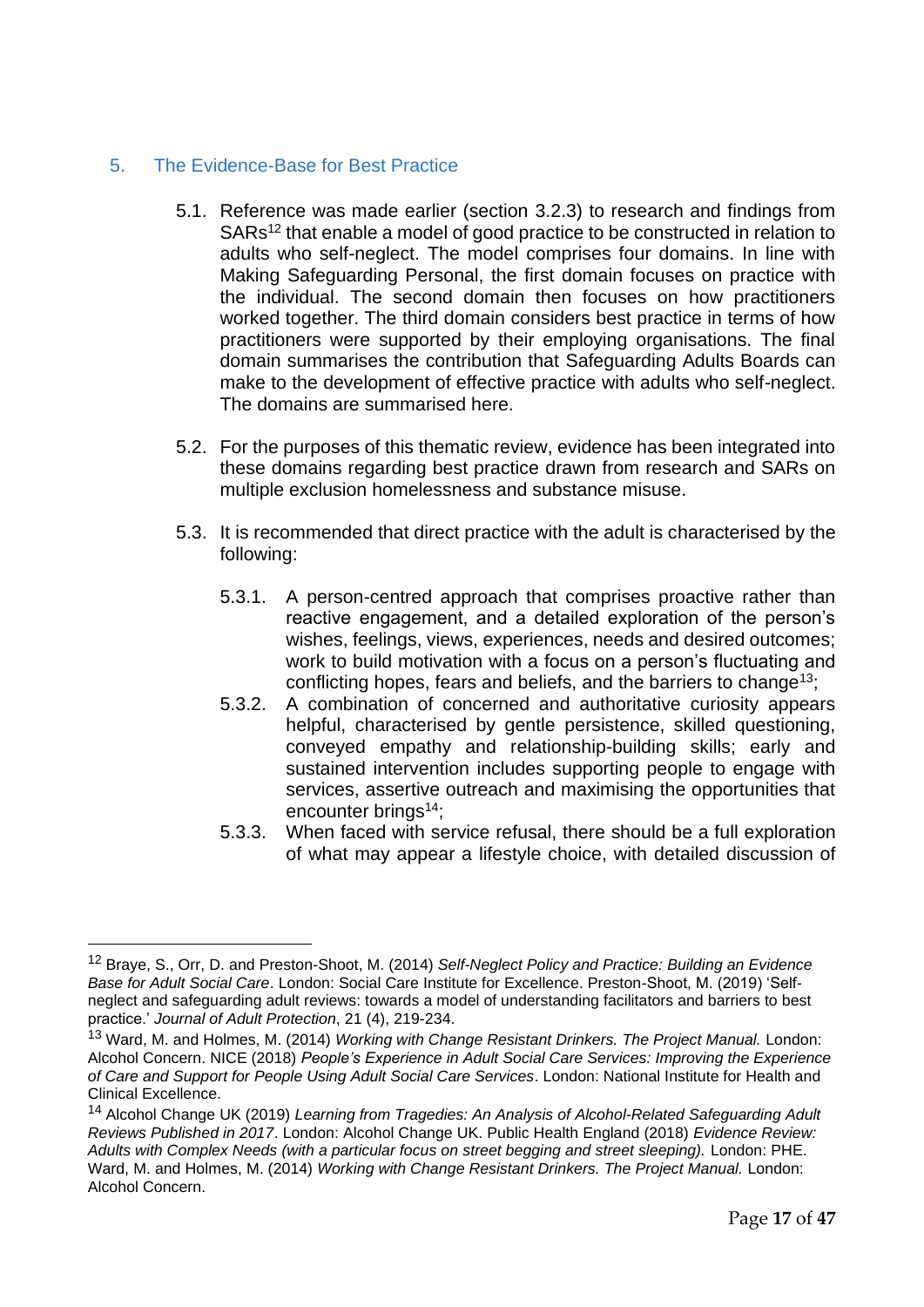### <span id="page-16-0"></span>5. The Evidence-Base for Best Practice

- 5.1. Reference was made earlier (section 3.2.3) to research and findings from SARs<sup>12</sup> that enable a model of good practice to be constructed in relation to adults who self-neglect. The model comprises four domains. In line with Making Safeguarding Personal, the first domain focuses on practice with the individual. The second domain then focuses on how practitioners worked together. The third domain considers best practice in terms of how practitioners were supported by their employing organisations. The final domain summarises the contribution that Safeguarding Adults Boards can make to the development of effective practice with adults who self-neglect. The domains are summarised here.
- 5.2. For the purposes of this thematic review, evidence has been integrated into these domains regarding best practice drawn from research and SARs on multiple exclusion homelessness and substance misuse.
- 5.3. It is recommended that direct practice with the adult is characterised by the following:
	- 5.3.1. A person-centred approach that comprises proactive rather than reactive engagement, and a detailed exploration of the person's wishes, feelings, views, experiences, needs and desired outcomes; work to build motivation with a focus on a person's fluctuating and conflicting hopes, fears and beliefs, and the barriers to change<sup>13</sup>;
	- 5.3.2. A combination of concerned and authoritative curiosity appears helpful, characterised by gentle persistence, skilled questioning, conveyed empathy and relationship-building skills; early and sustained intervention includes supporting people to engage with services, assertive outreach and maximising the opportunities that encounter brings<sup>14</sup>;
	- 5.3.3. When faced with service refusal, there should be a full exploration of what may appear a lifestyle choice, with detailed discussion of

<sup>12</sup> Braye, S., Orr, D. and Preston-Shoot, M. (2014) *Self-Neglect Policy and Practice: Building an Evidence Base for Adult Social Care*. London: Social Care Institute for Excellence. Preston-Shoot, M. (2019) 'Selfneglect and safeguarding adult reviews: towards a model of understanding facilitators and barriers to best practice.' *Journal of Adult Protection*, 21 (4), 219-234.

<sup>13</sup> Ward, M. and Holmes, M. (2014) *Working with Change Resistant Drinkers. The Project Manual.* London: Alcohol Concern. NICE (2018) *People's Experience in Adult Social Care Services: Improving the Experience of Care and Support for People Using Adult Social Care Services*. London: National Institute for Health and Clinical Excellence.

<sup>14</sup> Alcohol Change UK (2019) *Learning from Tragedies: An Analysis of Alcohol-Related Safeguarding Adult Reviews Published in 2017*. London: Alcohol Change UK. Public Health England (2018) *Evidence Review: Adults with Complex Needs (with a particular focus on street begging and street sleeping).* London: PHE. Ward, M. and Holmes, M. (2014) *Working with Change Resistant Drinkers. The Project Manual.* London: Alcohol Concern.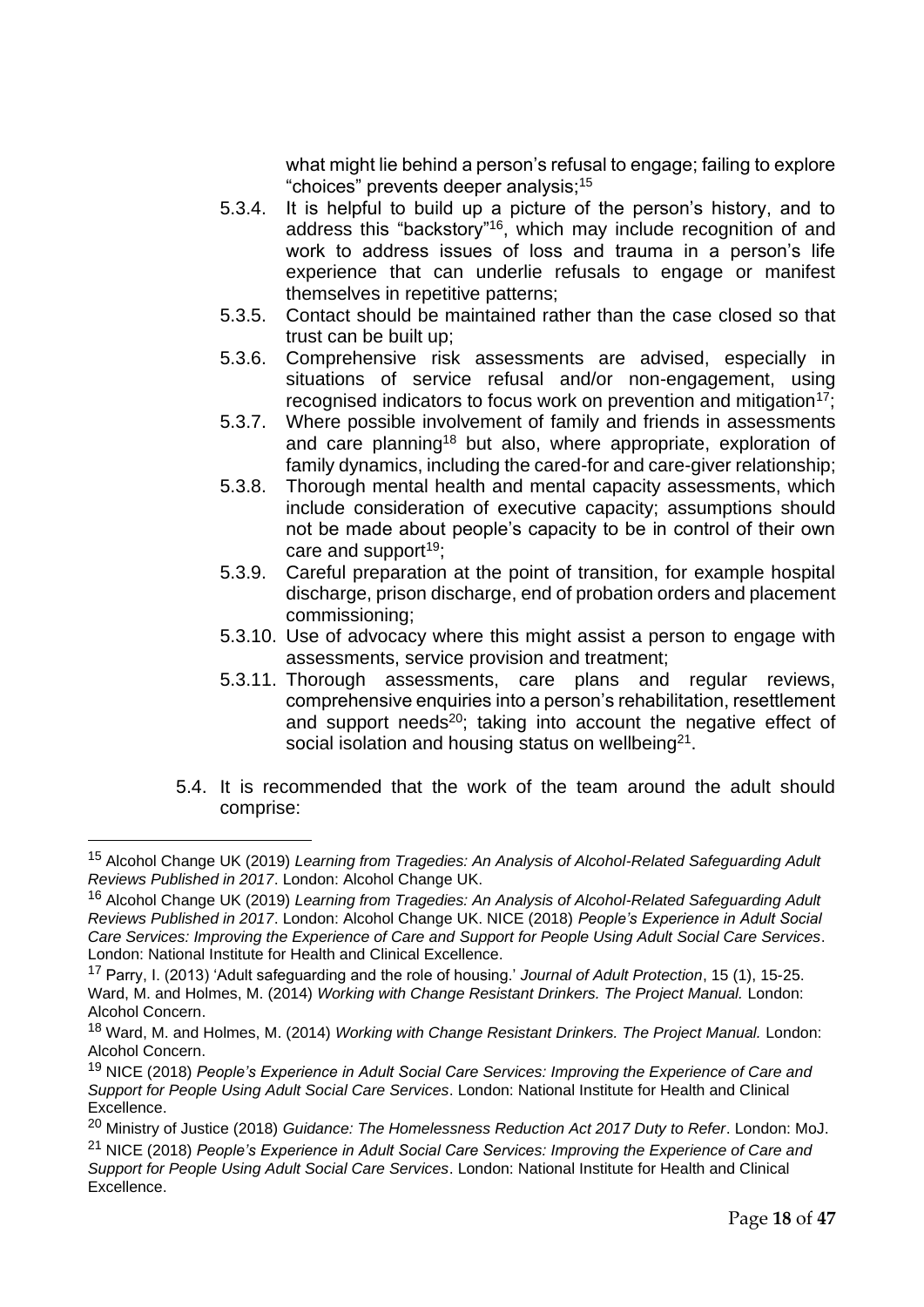what might lie behind a person's refusal to engage; failing to explore "choices" prevents deeper analysis;<sup>15</sup>

- 5.3.4. It is helpful to build up a picture of the person's history, and to address this "backstory"<sup>16</sup>, which may include recognition of and work to address issues of loss and trauma in a person's life experience that can underlie refusals to engage or manifest themselves in repetitive patterns;
- 5.3.5. Contact should be maintained rather than the case closed so that trust can be built up;
- 5.3.6. Comprehensive risk assessments are advised, especially in situations of service refusal and/or non-engagement, using recognised indicators to focus work on prevention and mitigation<sup>17</sup>;
- 5.3.7. Where possible involvement of family and friends in assessments and care planning<sup>18</sup> but also, where appropriate, exploration of family dynamics, including the cared-for and care-giver relationship;
- 5.3.8. Thorough mental health and mental capacity assessments, which include consideration of executive capacity; assumptions should not be made about people's capacity to be in control of their own care and support<sup>19</sup>;
- 5.3.9. Careful preparation at the point of transition, for example hospital discharge, prison discharge, end of probation orders and placement commissioning;
- 5.3.10. Use of advocacy where this might assist a person to engage with assessments, service provision and treatment;
- 5.3.11. Thorough assessments, care plans and regular reviews, comprehensive enquiries into a person's rehabilitation, resettlement and support needs<sup>20</sup>; taking into account the negative effect of social isolation and housing status on wellbeing $^{21}$ .
- 5.4. It is recommended that the work of the team around the adult should comprise:

<sup>15</sup> Alcohol Change UK (2019) *Learning from Tragedies: An Analysis of Alcohol-Related Safeguarding Adult Reviews Published in 2017*. London: Alcohol Change UK.

<sup>16</sup> Alcohol Change UK (2019) *Learning from Tragedies: An Analysis of Alcohol-Related Safeguarding Adult Reviews Published in 2017*. London: Alcohol Change UK. NICE (2018) *People's Experience in Adult Social Care Services: Improving the Experience of Care and Support for People Using Adult Social Care Services*. London: National Institute for Health and Clinical Excellence.

<sup>17</sup> Parry, I. (2013) 'Adult safeguarding and the role of housing.' *Journal of Adult Protection*, 15 (1), 15-25. Ward, M. and Holmes, M. (2014) *Working with Change Resistant Drinkers. The Project Manual.* London: Alcohol Concern.

<sup>18</sup> Ward, M. and Holmes, M. (2014) *Working with Change Resistant Drinkers. The Project Manual.* London: Alcohol Concern.

<sup>19</sup> NICE (2018) *People's Experience in Adult Social Care Services: Improving the Experience of Care and Support for People Using Adult Social Care Services*. London: National Institute for Health and Clinical Excellence.

<sup>20</sup> Ministry of Justice (2018) *Guidance: The Homelessness Reduction Act 2017 Duty to Refer*. London: MoJ.

<sup>21</sup> NICE (2018) *People's Experience in Adult Social Care Services: Improving the Experience of Care and Support for People Using Adult Social Care Services*. London: National Institute for Health and Clinical Excellence.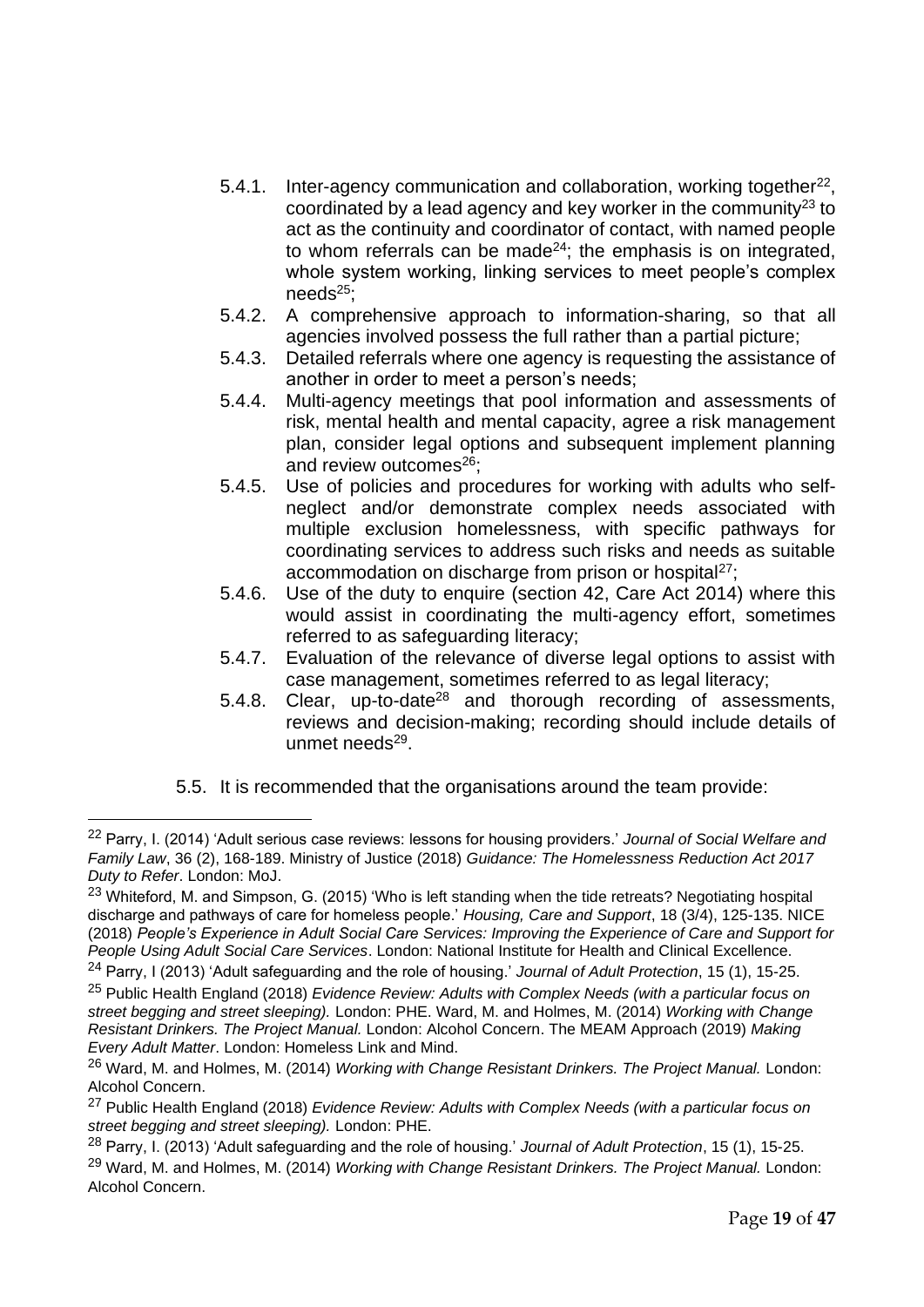- 5.4.1. Inter-agency communication and collaboration, working together $^{22}$ , coordinated by a lead agency and key worker in the community<sup>23</sup> to act as the continuity and coordinator of contact, with named people to whom referrals can be made<sup>24</sup>; the emphasis is on integrated, whole system working, linking services to meet people's complex  $needs^{25}$ :
- 5.4.2. A comprehensive approach to information-sharing, so that all agencies involved possess the full rather than a partial picture;
- 5.4.3. Detailed referrals where one agency is requesting the assistance of another in order to meet a person's needs;
- 5.4.4. Multi-agency meetings that pool information and assessments of risk, mental health and mental capacity, agree a risk management plan, consider legal options and subsequent implement planning and review outcomes $26$ ;
- 5.4.5. Use of policies and procedures for working with adults who selfneglect and/or demonstrate complex needs associated with multiple exclusion homelessness, with specific pathways for coordinating services to address such risks and needs as suitable accommodation on discharge from prison or hospital<sup>27</sup>;
- 5.4.6. Use of the duty to enquire (section 42, Care Act 2014) where this would assist in coordinating the multi-agency effort, sometimes referred to as safeguarding literacy;
- 5.4.7. Evaluation of the relevance of diverse legal options to assist with case management, sometimes referred to as legal literacy;
- 5.4.8. Clear, up-to-date<sup>28</sup> and thorough recording of assessments, reviews and decision-making; recording should include details of unmet needs<sup>29</sup>.
- 5.5. It is recommended that the organisations around the team provide:

<sup>22</sup> Parry, I. (2014) 'Adult serious case reviews: lessons for housing providers.' *Journal of Social Welfare and Family Law*, 36 (2), 168-189. Ministry of Justice (2018) *Guidance: The Homelessness Reduction Act 2017 Duty to Refer*. London: MoJ.

<sup>&</sup>lt;sup>23</sup> Whiteford, M. and Simpson, G. (2015) 'Who is left standing when the tide retreats? Negotiating hospital discharge and pathways of care for homeless people.' *Housing, Care and Support*, 18 (3/4), 125-135. NICE (2018) *People's Experience in Adult Social Care Services: Improving the Experience of Care and Support for People Using Adult Social Care Services*. London: National Institute for Health and Clinical Excellence.

<sup>24</sup> Parry, I (2013) 'Adult safeguarding and the role of housing.' *Journal of Adult Protection*, 15 (1), 15-25.

<sup>25</sup> Public Health England (2018) *Evidence Review: Adults with Complex Needs (with a particular focus on street begging and street sleeping).* London: PHE. Ward, M. and Holmes, M. (2014) *Working with Change Resistant Drinkers. The Project Manual.* London: Alcohol Concern. The MEAM Approach (2019) *Making Every Adult Matter*. London: Homeless Link and Mind.

<sup>26</sup> Ward, M. and Holmes, M. (2014) *Working with Change Resistant Drinkers. The Project Manual.* London: Alcohol Concern.

<sup>27</sup> Public Health England (2018) *Evidence Review: Adults with Complex Needs (with a particular focus on street begging and street sleeping).* London: PHE.

<sup>28</sup> Parry, I. (2013) 'Adult safeguarding and the role of housing.' *Journal of Adult Protection*, 15 (1), 15-25. <sup>29</sup> Ward, M. and Holmes, M. (2014) *Working with Change Resistant Drinkers. The Project Manual.* London: Alcohol Concern.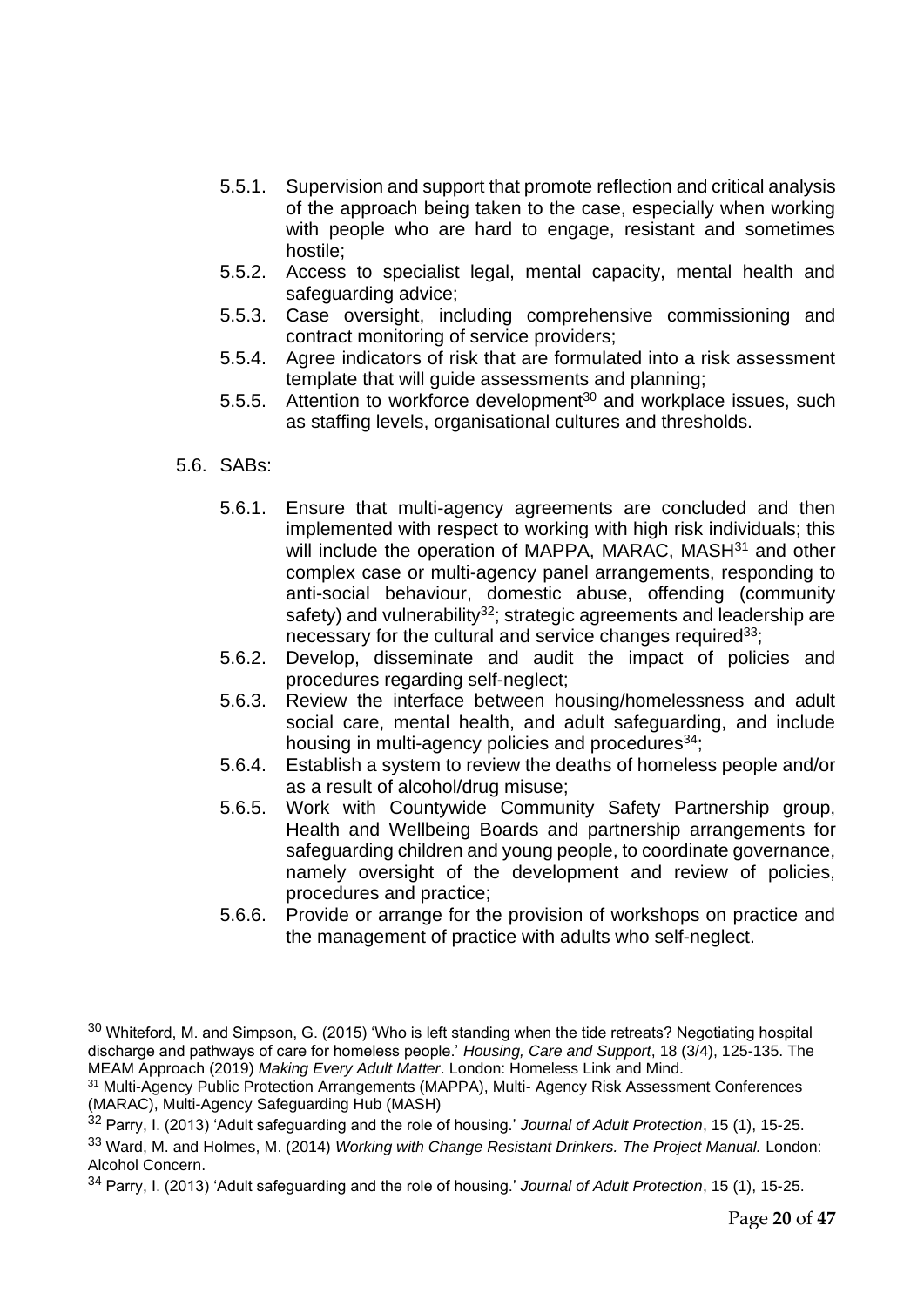- 5.5.1. Supervision and support that promote reflection and critical analysis of the approach being taken to the case, especially when working with people who are hard to engage, resistant and sometimes hostile;
- 5.5.2. Access to specialist legal, mental capacity, mental health and safeguarding advice;
- 5.5.3. Case oversight, including comprehensive commissioning and contract monitoring of service providers;
- 5.5.4. Agree indicators of risk that are formulated into a risk assessment template that will guide assessments and planning;
- 5.5.5. Attention to workforce development $30$  and workplace issues, such as staffing levels, organisational cultures and thresholds.
- 5.6. SABs:
	- 5.6.1. Ensure that multi-agency agreements are concluded and then implemented with respect to working with high risk individuals; this will include the operation of MAPPA, MARAC, MASH<sup>31</sup> and other complex case or multi-agency panel arrangements, responding to anti-social behaviour, domestic abuse, offending (community safety) and vulnerability<sup>32</sup>; strategic agreements and leadership are necessary for the cultural and service changes required $33$ ;
	- 5.6.2. Develop, disseminate and audit the impact of policies and procedures regarding self-neglect;
	- 5.6.3. Review the interface between housing/homelessness and adult social care, mental health, and adult safeguarding, and include housing in multi-agency policies and procedures<sup>34</sup>;
	- 5.6.4. Establish a system to review the deaths of homeless people and/or as a result of alcohol/drug misuse;
	- 5.6.5. Work with Countywide Community Safety Partnership group, Health and Wellbeing Boards and partnership arrangements for safeguarding children and young people, to coordinate governance, namely oversight of the development and review of policies, procedures and practice;
	- 5.6.6. Provide or arrange for the provision of workshops on practice and the management of practice with adults who self-neglect.

<sup>&</sup>lt;sup>30</sup> Whiteford, M. and Simpson, G. (2015) 'Who is left standing when the tide retreats? Negotiating hospital discharge and pathways of care for homeless people.' *Housing, Care and Support*, 18 (3/4), 125-135. The MEAM Approach (2019) *Making Every Adult Matter*. London: Homeless Link and Mind.

<sup>&</sup>lt;sup>31</sup> Multi-Agency Public Protection Arrangements (MAPPA), Multi-Agency Risk Assessment Conferences (MARAC), Multi-Agency Safeguarding Hub (MASH)

<sup>32</sup> Parry, I. (2013) 'Adult safeguarding and the role of housing.' *Journal of Adult Protection*, 15 (1), 15-25.

<sup>33</sup> Ward, M. and Holmes, M. (2014) *Working with Change Resistant Drinkers. The Project Manual.* London: Alcohol Concern.

<sup>34</sup> Parry, I. (2013) 'Adult safeguarding and the role of housing.' *Journal of Adult Protection*, 15 (1), 15-25.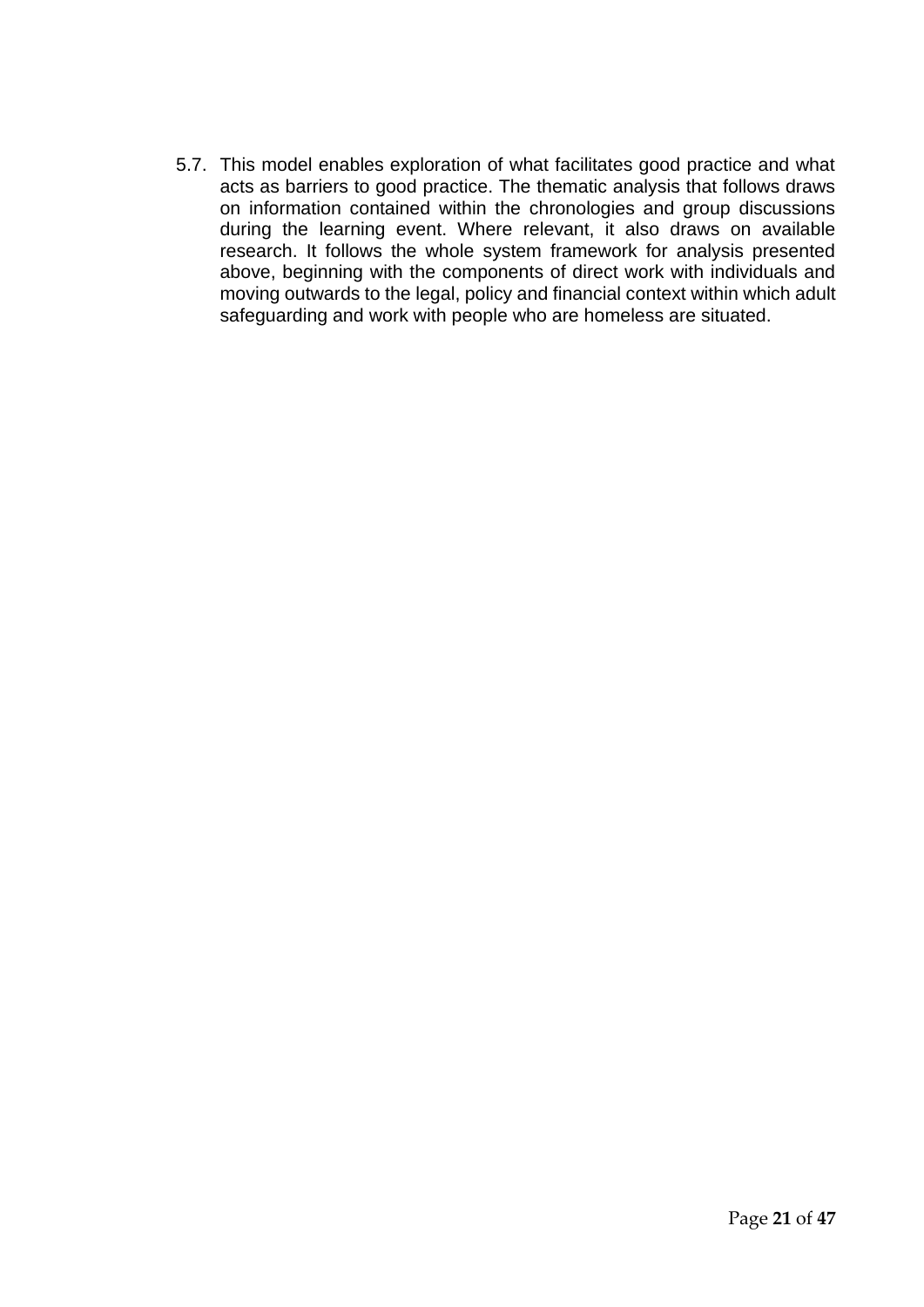5.7. This model enables exploration of what facilitates good practice and what acts as barriers to good practice. The thematic analysis that follows draws on information contained within the chronologies and group discussions during the learning event. Where relevant, it also draws on available research. It follows the whole system framework for analysis presented above, beginning with the components of direct work with individuals and moving outwards to the legal, policy and financial context within which adult safeguarding and work with people who are homeless are situated.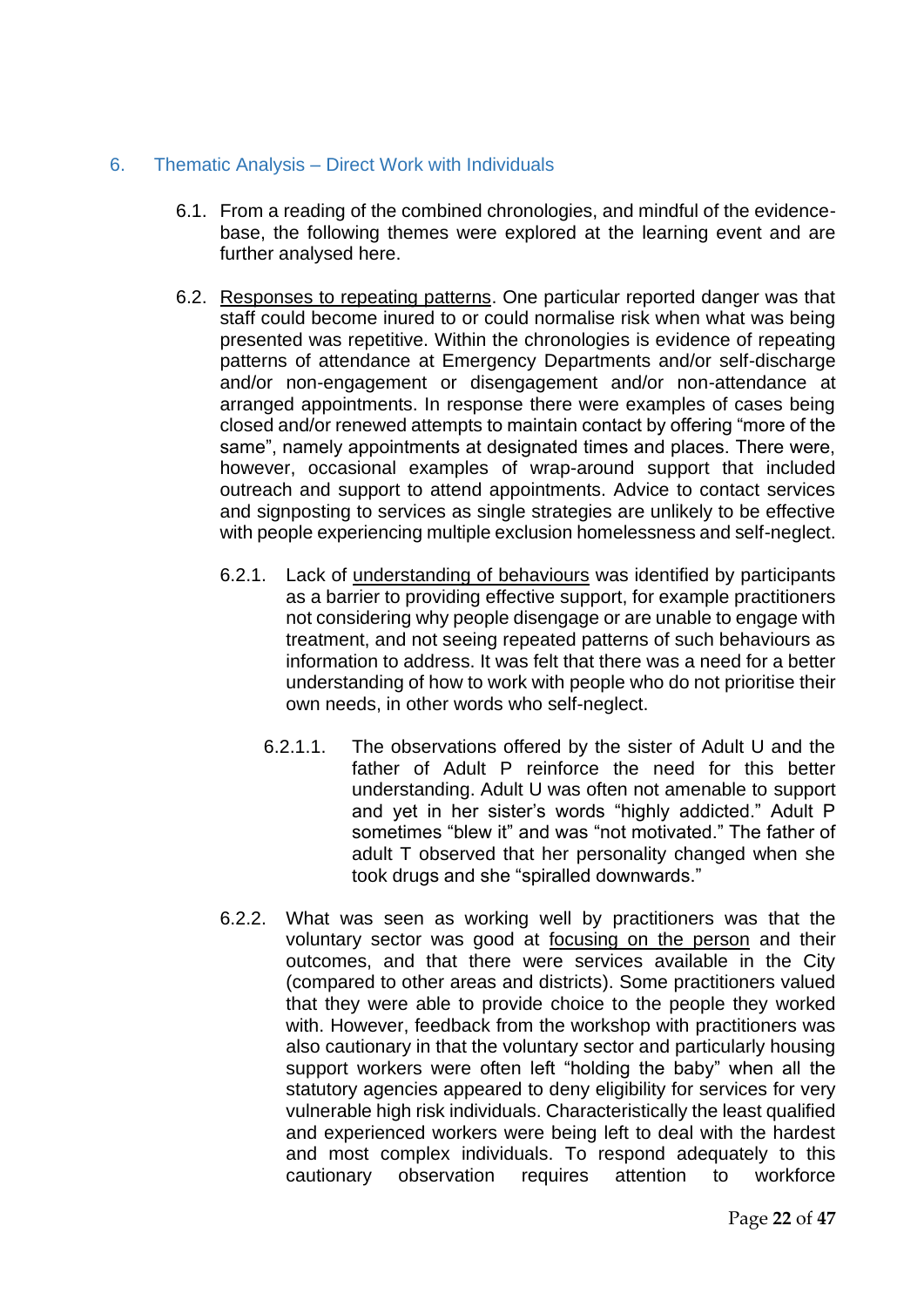#### <span id="page-21-0"></span>6. Thematic Analysis – Direct Work with Individuals

- 6.1. From a reading of the combined chronologies, and mindful of the evidencebase, the following themes were explored at the learning event and are further analysed here.
- 6.2. Responses to repeating patterns. One particular reported danger was that staff could become inured to or could normalise risk when what was being presented was repetitive. Within the chronologies is evidence of repeating patterns of attendance at Emergency Departments and/or self-discharge and/or non-engagement or disengagement and/or non-attendance at arranged appointments. In response there were examples of cases being closed and/or renewed attempts to maintain contact by offering "more of the same", namely appointments at designated times and places. There were, however, occasional examples of wrap-around support that included outreach and support to attend appointments. Advice to contact services and signposting to services as single strategies are unlikely to be effective with people experiencing multiple exclusion homelessness and self-neglect.
	- 6.2.1. Lack of understanding of behaviours was identified by participants as a barrier to providing effective support, for example practitioners not considering why people disengage or are unable to engage with treatment, and not seeing repeated patterns of such behaviours as information to address. It was felt that there was a need for a better understanding of how to work with people who do not prioritise their own needs, in other words who self-neglect.
		- 6.2.1.1. The observations offered by the sister of Adult U and the father of Adult P reinforce the need for this better understanding. Adult U was often not amenable to support and yet in her sister's words "highly addicted." Adult P sometimes "blew it" and was "not motivated." The father of adult T observed that her personality changed when she took drugs and she "spiralled downwards."
	- 6.2.2. What was seen as working well by practitioners was that the voluntary sector was good at focusing on the person and their outcomes, and that there were services available in the City (compared to other areas and districts). Some practitioners valued that they were able to provide choice to the people they worked with. However, feedback from the workshop with practitioners was also cautionary in that the voluntary sector and particularly housing support workers were often left "holding the baby" when all the statutory agencies appeared to deny eligibility for services for very vulnerable high risk individuals. Characteristically the least qualified and experienced workers were being left to deal with the hardest and most complex individuals. To respond adequately to this cautionary observation requires attention to workforce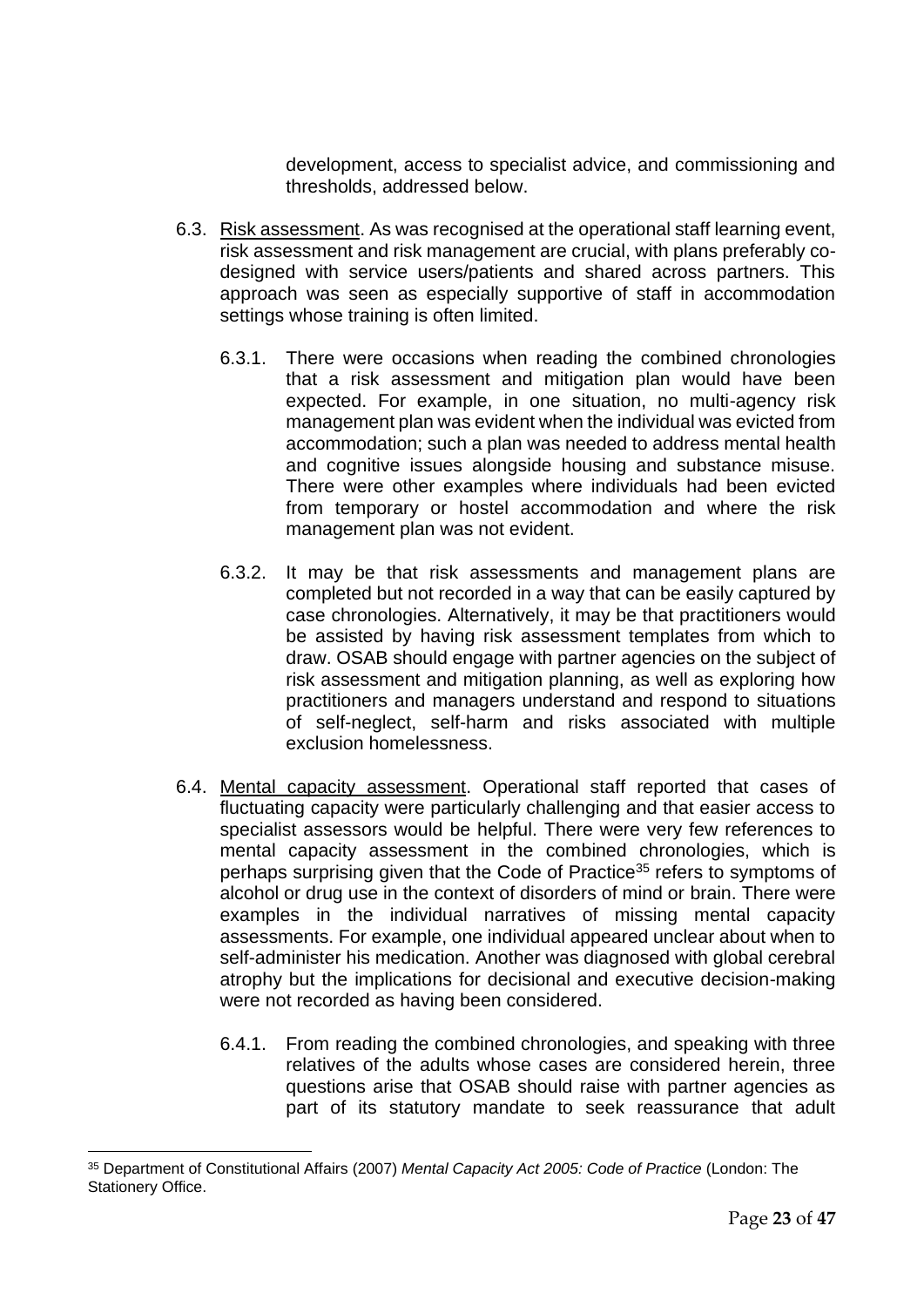development, access to specialist advice, and commissioning and thresholds, addressed below.

- 6.3. Risk assessment. As was recognised at the operational staff learning event, risk assessment and risk management are crucial, with plans preferably codesigned with service users/patients and shared across partners. This approach was seen as especially supportive of staff in accommodation settings whose training is often limited.
	- 6.3.1. There were occasions when reading the combined chronologies that a risk assessment and mitigation plan would have been expected. For example, in one situation, no multi-agency risk management plan was evident when the individual was evicted from accommodation; such a plan was needed to address mental health and cognitive issues alongside housing and substance misuse. There were other examples where individuals had been evicted from temporary or hostel accommodation and where the risk management plan was not evident.
	- 6.3.2. It may be that risk assessments and management plans are completed but not recorded in a way that can be easily captured by case chronologies. Alternatively, it may be that practitioners would be assisted by having risk assessment templates from which to draw. OSAB should engage with partner agencies on the subject of risk assessment and mitigation planning, as well as exploring how practitioners and managers understand and respond to situations of self-neglect, self-harm and risks associated with multiple exclusion homelessness.
- 6.4. Mental capacity assessment. Operational staff reported that cases of fluctuating capacity were particularly challenging and that easier access to specialist assessors would be helpful. There were very few references to mental capacity assessment in the combined chronologies, which is perhaps surprising given that the Code of Practice<sup>35</sup> refers to symptoms of alcohol or drug use in the context of disorders of mind or brain. There were examples in the individual narratives of missing mental capacity assessments. For example, one individual appeared unclear about when to self-administer his medication. Another was diagnosed with global cerebral atrophy but the implications for decisional and executive decision-making were not recorded as having been considered.
	- 6.4.1. From reading the combined chronologies, and speaking with three relatives of the adults whose cases are considered herein, three questions arise that OSAB should raise with partner agencies as part of its statutory mandate to seek reassurance that adult

<sup>35</sup> Department of Constitutional Affairs (2007) *Mental Capacity Act 2005: Code of Practice* (London: The Stationery Office.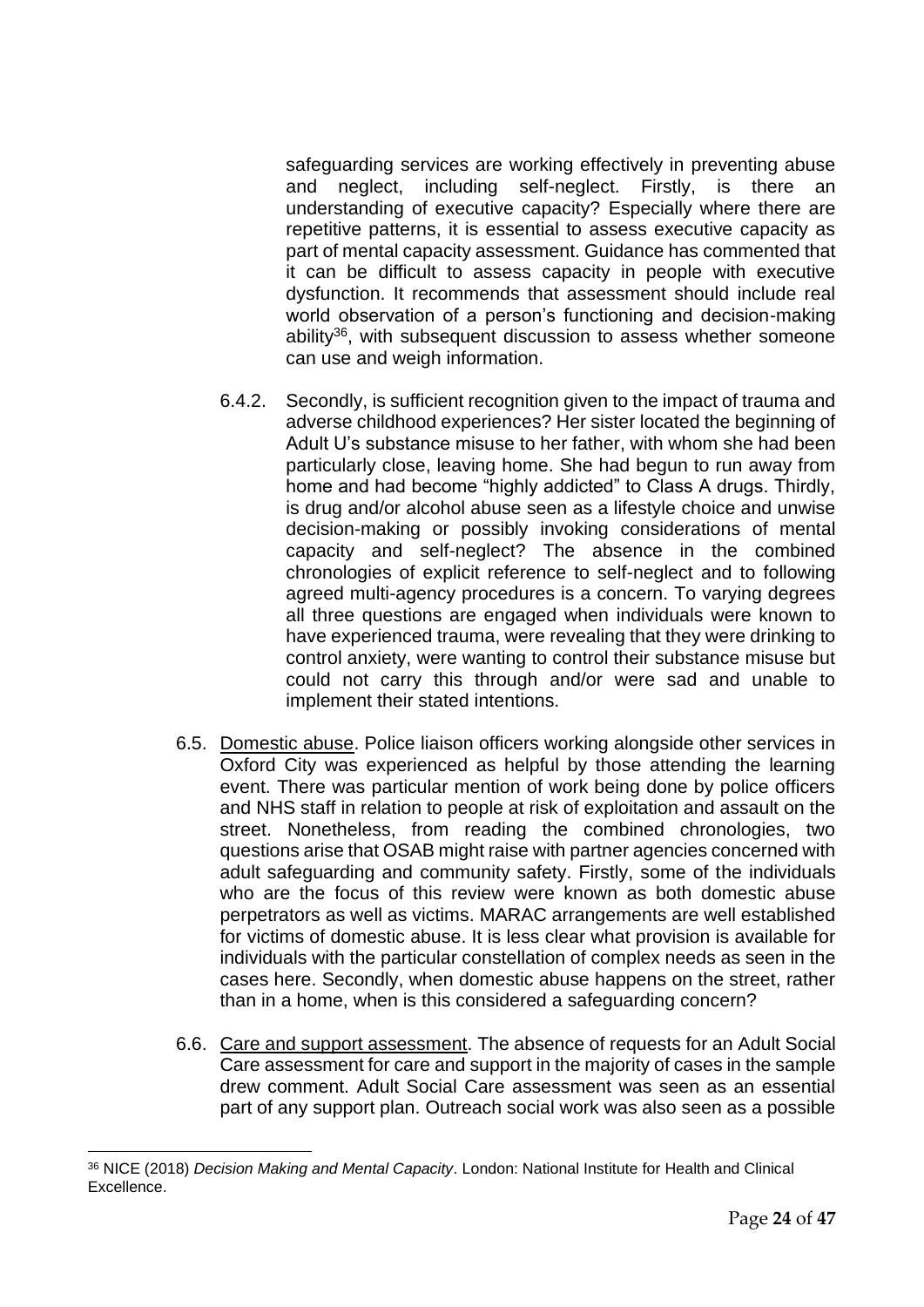safeguarding services are working effectively in preventing abuse and neglect, including self-neglect. Firstly, is there an understanding of executive capacity? Especially where there are repetitive patterns, it is essential to assess executive capacity as part of mental capacity assessment. Guidance has commented that it can be difficult to assess capacity in people with executive dysfunction. It recommends that assessment should include real world observation of a person's functioning and decision-making ability<sup>36</sup>, with subsequent discussion to assess whether someone can use and weigh information.

- 6.4.2. Secondly, is sufficient recognition given to the impact of trauma and adverse childhood experiences? Her sister located the beginning of Adult U's substance misuse to her father, with whom she had been particularly close, leaving home. She had begun to run away from home and had become "highly addicted" to Class A drugs. Thirdly, is drug and/or alcohol abuse seen as a lifestyle choice and unwise decision-making or possibly invoking considerations of mental capacity and self-neglect? The absence in the combined chronologies of explicit reference to self-neglect and to following agreed multi-agency procedures is a concern. To varying degrees all three questions are engaged when individuals were known to have experienced trauma, were revealing that they were drinking to control anxiety, were wanting to control their substance misuse but could not carry this through and/or were sad and unable to implement their stated intentions.
- 6.5. Domestic abuse. Police liaison officers working alongside other services in Oxford City was experienced as helpful by those attending the learning event. There was particular mention of work being done by police officers and NHS staff in relation to people at risk of exploitation and assault on the street. Nonetheless, from reading the combined chronologies, two questions arise that OSAB might raise with partner agencies concerned with adult safeguarding and community safety. Firstly, some of the individuals who are the focus of this review were known as both domestic abuse perpetrators as well as victims. MARAC arrangements are well established for victims of domestic abuse. It is less clear what provision is available for individuals with the particular constellation of complex needs as seen in the cases here. Secondly, when domestic abuse happens on the street, rather than in a home, when is this considered a safeguarding concern?
- 6.6. Care and support assessment. The absence of requests for an Adult Social Care assessment for care and support in the majority of cases in the sample drew comment. Adult Social Care assessment was seen as an essential part of any support plan. Outreach social work was also seen as a possible

<sup>36</sup> NICE (2018) *Decision Making and Mental Capacity*. London: National Institute for Health and Clinical Excellence.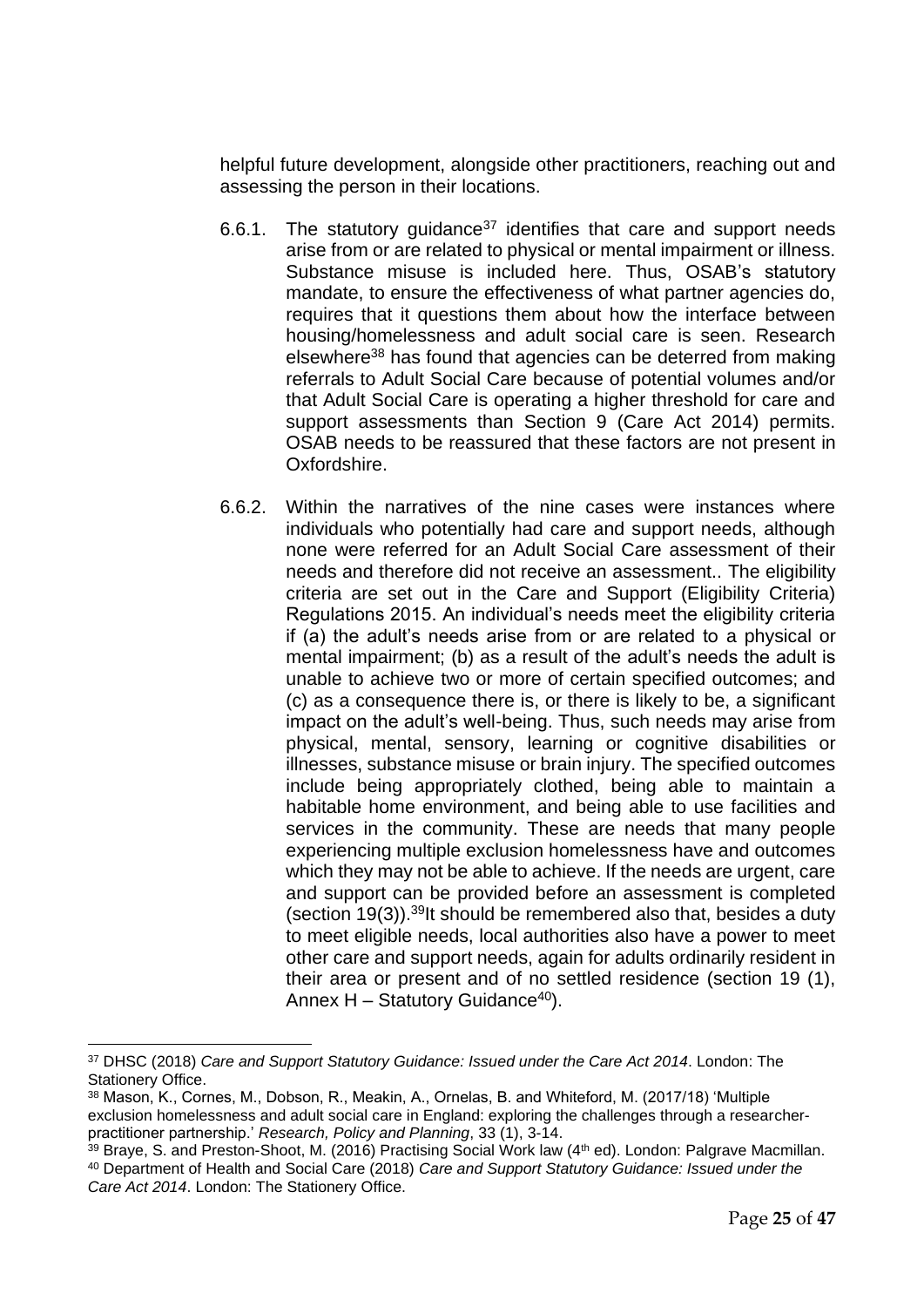helpful future development, alongside other practitioners, reaching out and assessing the person in their locations.

- 6.6.1. The statutory guidance<sup>37</sup> identifies that care and support needs arise from or are related to physical or mental impairment or illness. Substance misuse is included here. Thus, OSAB's statutory mandate, to ensure the effectiveness of what partner agencies do, requires that it questions them about how the interface between housing/homelessness and adult social care is seen. Research elsewhere<sup>38</sup> has found that agencies can be deterred from making referrals to Adult Social Care because of potential volumes and/or that Adult Social Care is operating a higher threshold for care and support assessments than Section 9 (Care Act 2014) permits. OSAB needs to be reassured that these factors are not present in Oxfordshire.
- 6.6.2. Within the narratives of the nine cases were instances where individuals who potentially had care and support needs, although none were referred for an Adult Social Care assessment of their needs and therefore did not receive an assessment.. The eligibility criteria are set out in the Care and Support (Eligibility Criteria) Regulations 2015. An individual's needs meet the eligibility criteria if (a) the adult's needs arise from or are related to a physical or mental impairment; (b) as a result of the adult's needs the adult is unable to achieve two or more of certain specified outcomes; and (c) as a consequence there is, or there is likely to be, a significant impact on the adult's well-being. Thus, such needs may arise from physical, mental, sensory, learning or cognitive disabilities or illnesses, substance misuse or brain injury. The specified outcomes include being appropriately clothed, being able to maintain a habitable home environment, and being able to use facilities and services in the community. These are needs that many people experiencing multiple exclusion homelessness have and outcomes which they may not be able to achieve. If the needs are urgent, care and support can be provided before an assessment is completed (section  $19(3)$ ).<sup>39</sup>It should be remembered also that, besides a duty to meet eligible needs, local authorities also have a power to meet other care and support needs, again for adults ordinarily resident in their area or present and of no settled residence (section 19 (1), Annex  $H -$  Statutory Guidance<sup>40</sup>).

<sup>37</sup> DHSC (2018) *Care and Support Statutory Guidance: Issued under the Care Act 2014*. London: The Stationery Office.

<sup>38</sup> Mason, K., Cornes, M., Dobson, R., Meakin, A., Ornelas, B. and Whiteford, M. (2017/18) 'Multiple exclusion homelessness and adult social care in England: exploring the challenges through a researcherpractitioner partnership.' *Research, Policy and Planning*, 33 (1), 3-14.

 $39$  Braye, S. and Preston-Shoot, M. (2016) Practising Social Work law (4<sup>th</sup> ed). London: Palgrave Macmillan. <sup>40</sup> Department of Health and Social Care (2018) *Care and Support Statutory Guidance: Issued under the Care Act 2014*. London: The Stationery Office.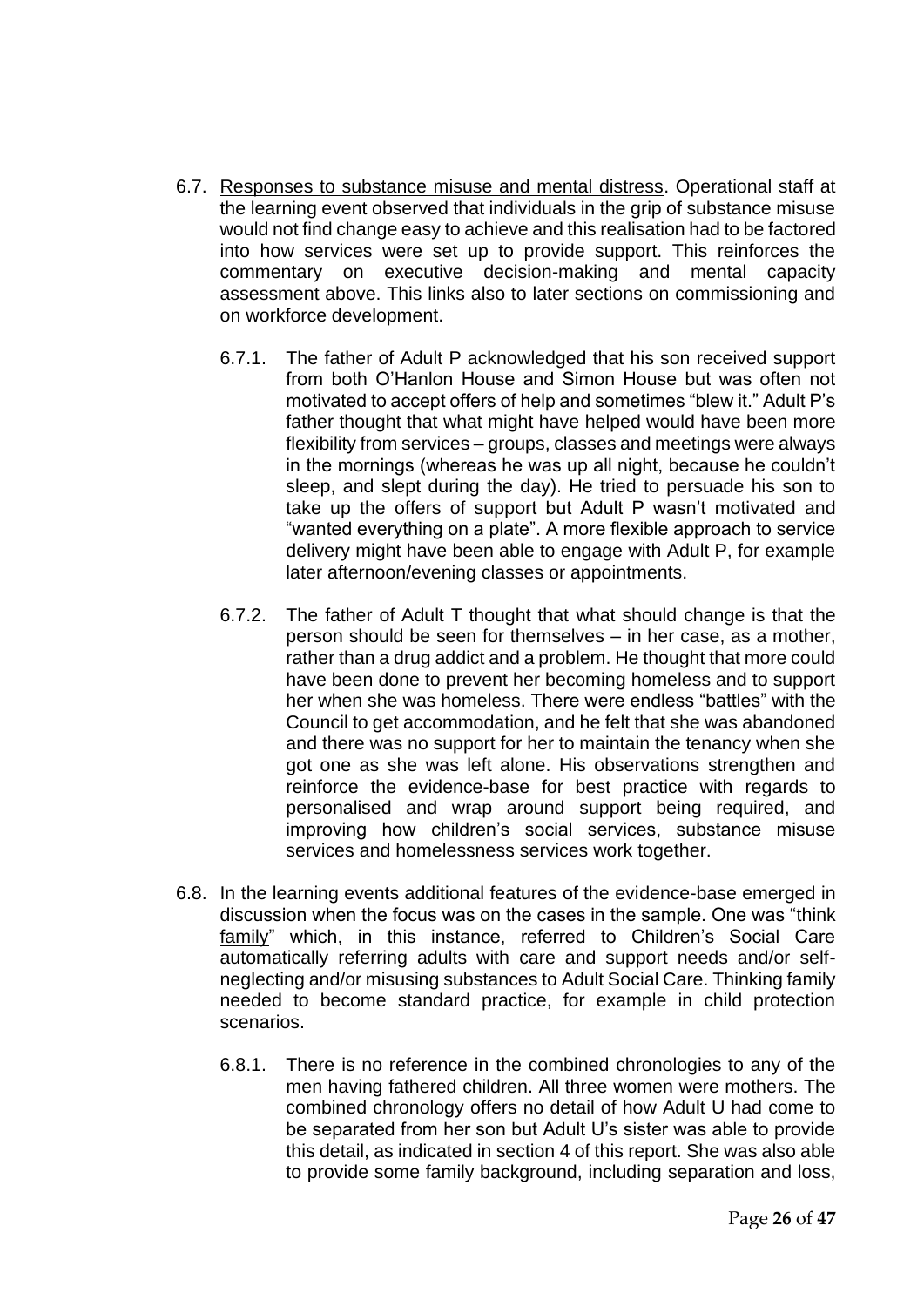- 6.7. Responses to substance misuse and mental distress. Operational staff at the learning event observed that individuals in the grip of substance misuse would not find change easy to achieve and this realisation had to be factored into how services were set up to provide support. This reinforces the commentary on executive decision-making and mental capacity assessment above. This links also to later sections on commissioning and on workforce development.
	- 6.7.1. The father of Adult P acknowledged that his son received support from both O'Hanlon House and Simon House but was often not motivated to accept offers of help and sometimes "blew it." Adult P's father thought that what might have helped would have been more flexibility from services – groups, classes and meetings were always in the mornings (whereas he was up all night, because he couldn't sleep, and slept during the day). He tried to persuade his son to take up the offers of support but Adult P wasn't motivated and "wanted everything on a plate". A more flexible approach to service delivery might have been able to engage with Adult P, for example later afternoon/evening classes or appointments.
	- 6.7.2. The father of Adult T thought that what should change is that the person should be seen for themselves – in her case, as a mother, rather than a drug addict and a problem. He thought that more could have been done to prevent her becoming homeless and to support her when she was homeless. There were endless "battles" with the Council to get accommodation, and he felt that she was abandoned and there was no support for her to maintain the tenancy when she got one as she was left alone. His observations strengthen and reinforce the evidence-base for best practice with regards to personalised and wrap around support being required, and improving how children's social services, substance misuse services and homelessness services work together.
- 6.8. In the learning events additional features of the evidence-base emerged in discussion when the focus was on the cases in the sample. One was "think family" which, in this instance, referred to Children's Social Care automatically referring adults with care and support needs and/or selfneglecting and/or misusing substances to Adult Social Care. Thinking family needed to become standard practice, for example in child protection scenarios.
	- 6.8.1. There is no reference in the combined chronologies to any of the men having fathered children. All three women were mothers. The combined chronology offers no detail of how Adult U had come to be separated from her son but Adult U's sister was able to provide this detail, as indicated in section 4 of this report. She was also able to provide some family background, including separation and loss,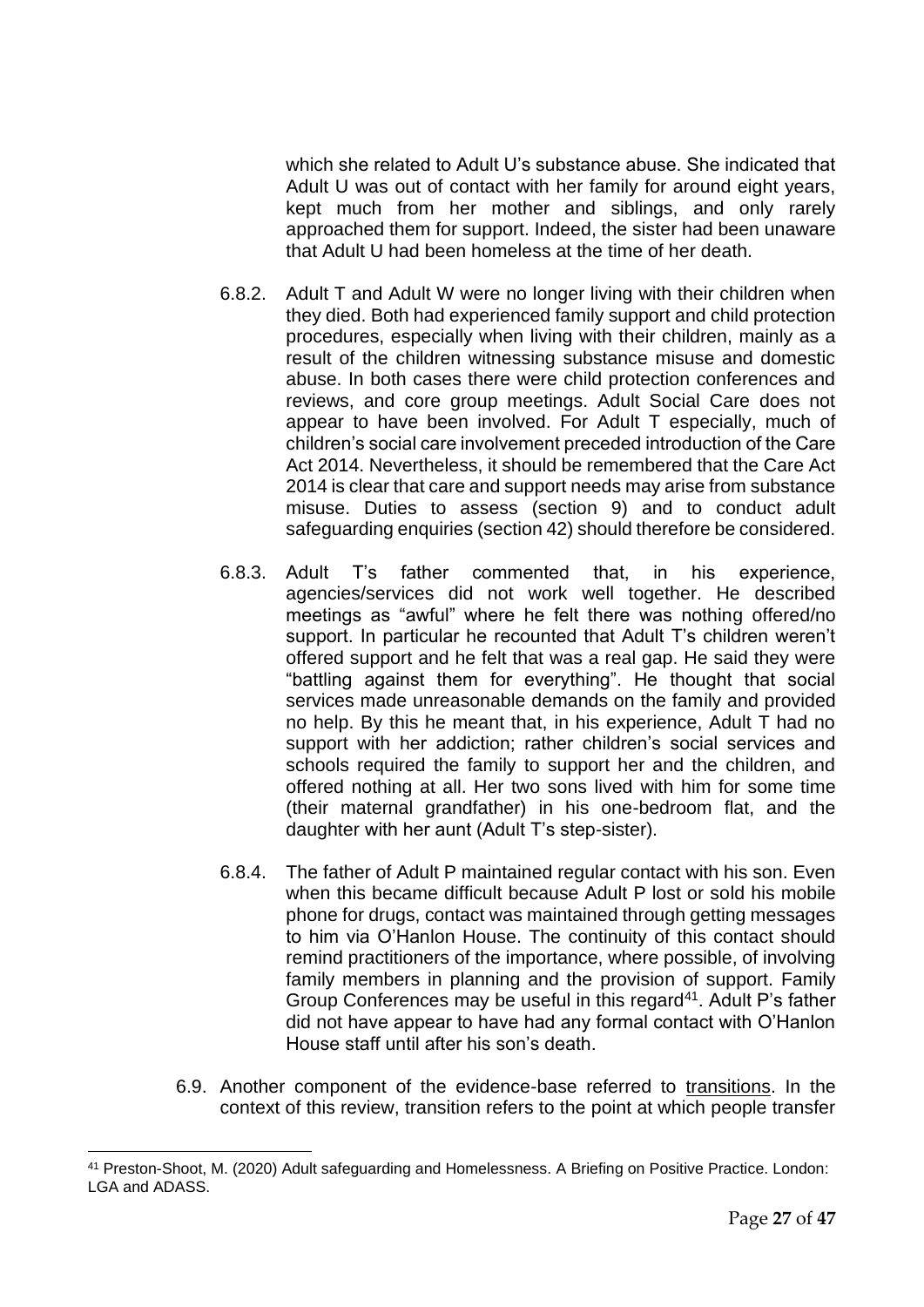which she related to Adult U's substance abuse. She indicated that Adult U was out of contact with her family for around eight years, kept much from her mother and siblings, and only rarely approached them for support. Indeed, the sister had been unaware that Adult U had been homeless at the time of her death.

- 6.8.2. Adult T and Adult W were no longer living with their children when they died. Both had experienced family support and child protection procedures, especially when living with their children, mainly as a result of the children witnessing substance misuse and domestic abuse. In both cases there were child protection conferences and reviews, and core group meetings. Adult Social Care does not appear to have been involved. For Adult T especially, much of children's social care involvement preceded introduction of the Care Act 2014. Nevertheless, it should be remembered that the Care Act 2014 is clear that care and support needs may arise from substance misuse. Duties to assess (section 9) and to conduct adult safeguarding enquiries (section 42) should therefore be considered.
- 6.8.3. Adult T's father commented that, in his experience, agencies/services did not work well together. He described meetings as "awful" where he felt there was nothing offered/no support. In particular he recounted that Adult T's children weren't offered support and he felt that was a real gap. He said they were "battling against them for everything". He thought that social services made unreasonable demands on the family and provided no help. By this he meant that, in his experience, Adult T had no support with her addiction; rather children's social services and schools required the family to support her and the children, and offered nothing at all. Her two sons lived with him for some time (their maternal grandfather) in his one-bedroom flat, and the daughter with her aunt (Adult T's step-sister).
- 6.8.4. The father of Adult P maintained regular contact with his son. Even when this became difficult because Adult P lost or sold his mobile phone for drugs, contact was maintained through getting messages to him via O'Hanlon House. The continuity of this contact should remind practitioners of the importance, where possible, of involving family members in planning and the provision of support. Family Group Conferences may be useful in this regard<sup>41</sup>. Adult P's father did not have appear to have had any formal contact with O'Hanlon House staff until after his son's death.
- 6.9. Another component of the evidence-base referred to transitions. In the context of this review, transition refers to the point at which people transfer

<sup>41</sup> Preston-Shoot, M. (2020) Adult safeguarding and Homelessness. A Briefing on Positive Practice. London: LGA and ADASS.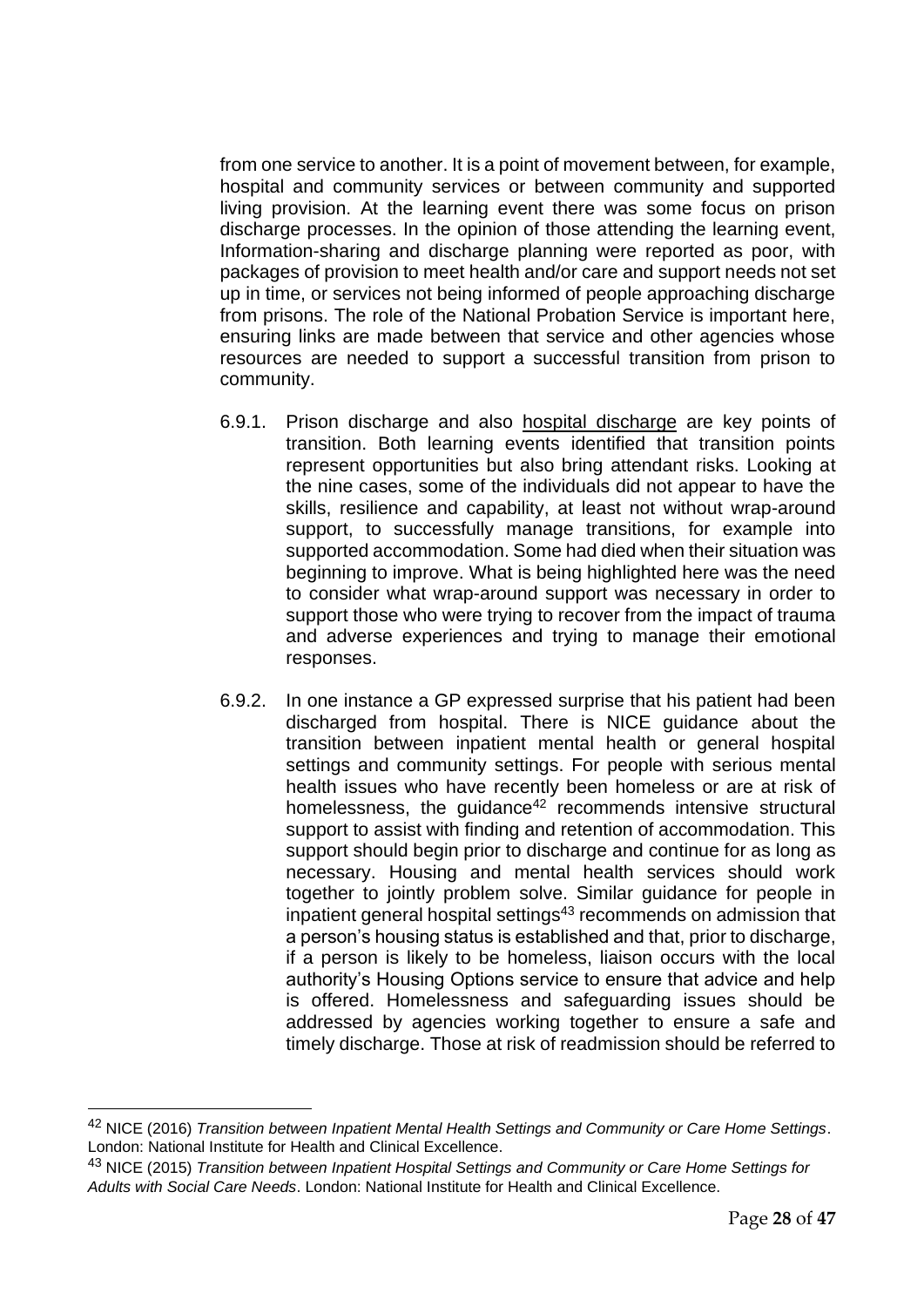from one service to another. It is a point of movement between, for example, hospital and community services or between community and supported living provision. At the learning event there was some focus on prison discharge processes. In the opinion of those attending the learning event, Information-sharing and discharge planning were reported as poor, with packages of provision to meet health and/or care and support needs not set up in time, or services not being informed of people approaching discharge from prisons. The role of the National Probation Service is important here, ensuring links are made between that service and other agencies whose resources are needed to support a successful transition from prison to community.

- 6.9.1. Prison discharge and also hospital discharge are key points of transition. Both learning events identified that transition points represent opportunities but also bring attendant risks. Looking at the nine cases, some of the individuals did not appear to have the skills, resilience and capability, at least not without wrap-around support, to successfully manage transitions, for example into supported accommodation. Some had died when their situation was beginning to improve. What is being highlighted here was the need to consider what wrap-around support was necessary in order to support those who were trying to recover from the impact of trauma and adverse experiences and trying to manage their emotional responses.
- 6.9.2. In one instance a GP expressed surprise that his patient had been discharged from hospital. There is NICE guidance about the transition between inpatient mental health or general hospital settings and community settings. For people with serious mental health issues who have recently been homeless or are at risk of homelessness, the guidance<sup>42</sup> recommends intensive structural support to assist with finding and retention of accommodation. This support should begin prior to discharge and continue for as long as necessary. Housing and mental health services should work together to jointly problem solve. Similar guidance for people in inpatient general hospital settings<sup>43</sup> recommends on admission that a person's housing status is established and that, prior to discharge, if a person is likely to be homeless, liaison occurs with the local authority's Housing Options service to ensure that advice and help is offered. Homelessness and safeguarding issues should be addressed by agencies working together to ensure a safe and timely discharge. Those at risk of readmission should be referred to

<sup>42</sup> NICE (2016) *Transition between Inpatient Mental Health Settings and Community or Care Home Settings*. London: National Institute for Health and Clinical Excellence.

<sup>43</sup> NICE (2015) *Transition between Inpatient Hospital Settings and Community or Care Home Settings for Adults with Social Care Needs*. London: National Institute for Health and Clinical Excellence.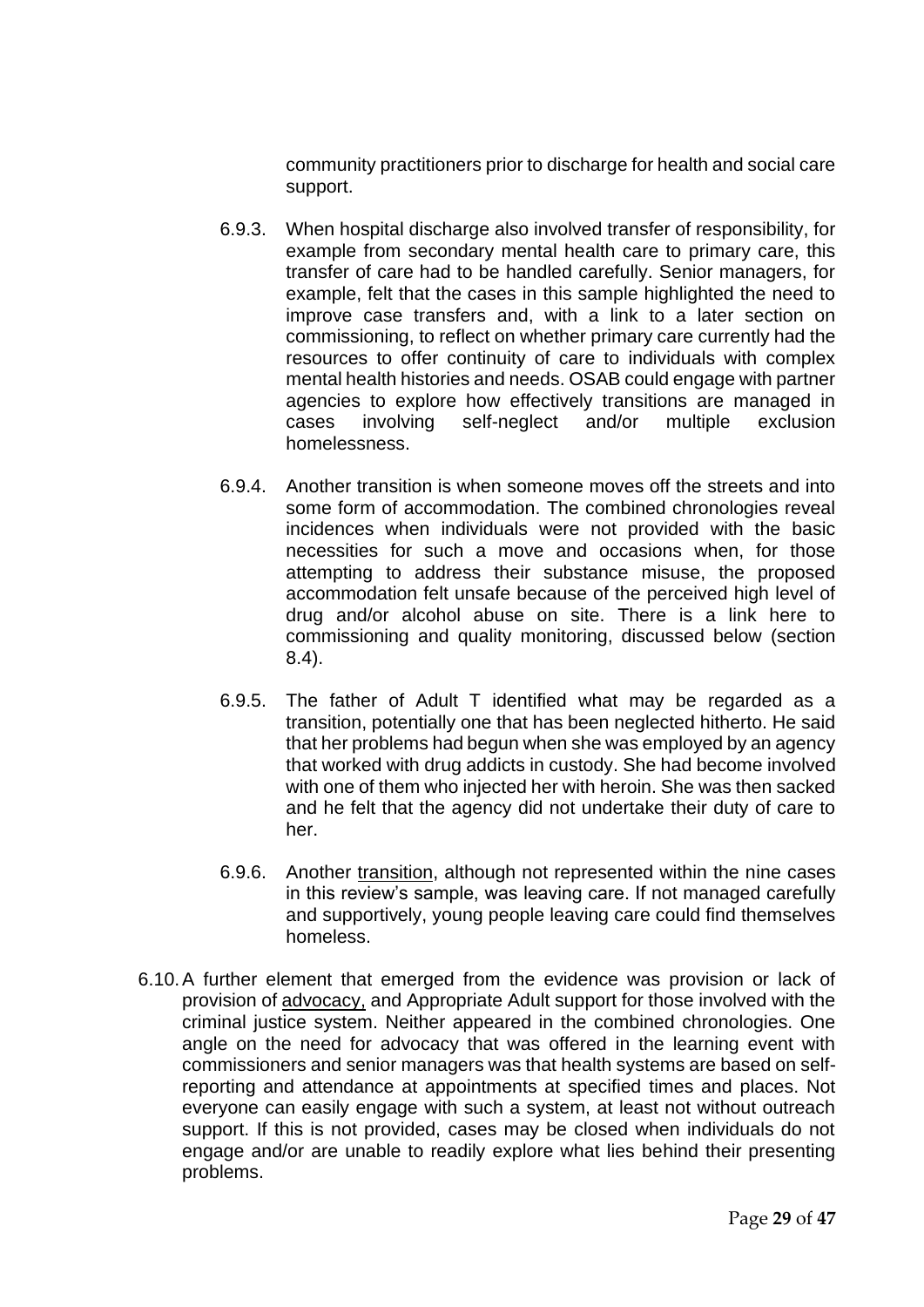community practitioners prior to discharge for health and social care support.

- 6.9.3. When hospital discharge also involved transfer of responsibility, for example from secondary mental health care to primary care, this transfer of care had to be handled carefully. Senior managers, for example, felt that the cases in this sample highlighted the need to improve case transfers and, with a link to a later section on commissioning, to reflect on whether primary care currently had the resources to offer continuity of care to individuals with complex mental health histories and needs. OSAB could engage with partner agencies to explore how effectively transitions are managed in cases involving self-neglect and/or multiple exclusion homelessness.
- 6.9.4. Another transition is when someone moves off the streets and into some form of accommodation. The combined chronologies reveal incidences when individuals were not provided with the basic necessities for such a move and occasions when, for those attempting to address their substance misuse, the proposed accommodation felt unsafe because of the perceived high level of drug and/or alcohol abuse on site. There is a link here to commissioning and quality monitoring, discussed below (section 8.4).
- 6.9.5. The father of Adult T identified what may be regarded as a transition, potentially one that has been neglected hitherto. He said that her problems had begun when she was employed by an agency that worked with drug addicts in custody. She had become involved with one of them who injected her with heroin. She was then sacked and he felt that the agency did not undertake their duty of care to her.
- 6.9.6. Another transition, although not represented within the nine cases in this review's sample, was leaving care. If not managed carefully and supportively, young people leaving care could find themselves homeless.
- 6.10.A further element that emerged from the evidence was provision or lack of provision of advocacy, and Appropriate Adult support for those involved with the criminal justice system. Neither appeared in the combined chronologies. One angle on the need for advocacy that was offered in the learning event with commissioners and senior managers was that health systems are based on selfreporting and attendance at appointments at specified times and places. Not everyone can easily engage with such a system, at least not without outreach support. If this is not provided, cases may be closed when individuals do not engage and/or are unable to readily explore what lies behind their presenting problems.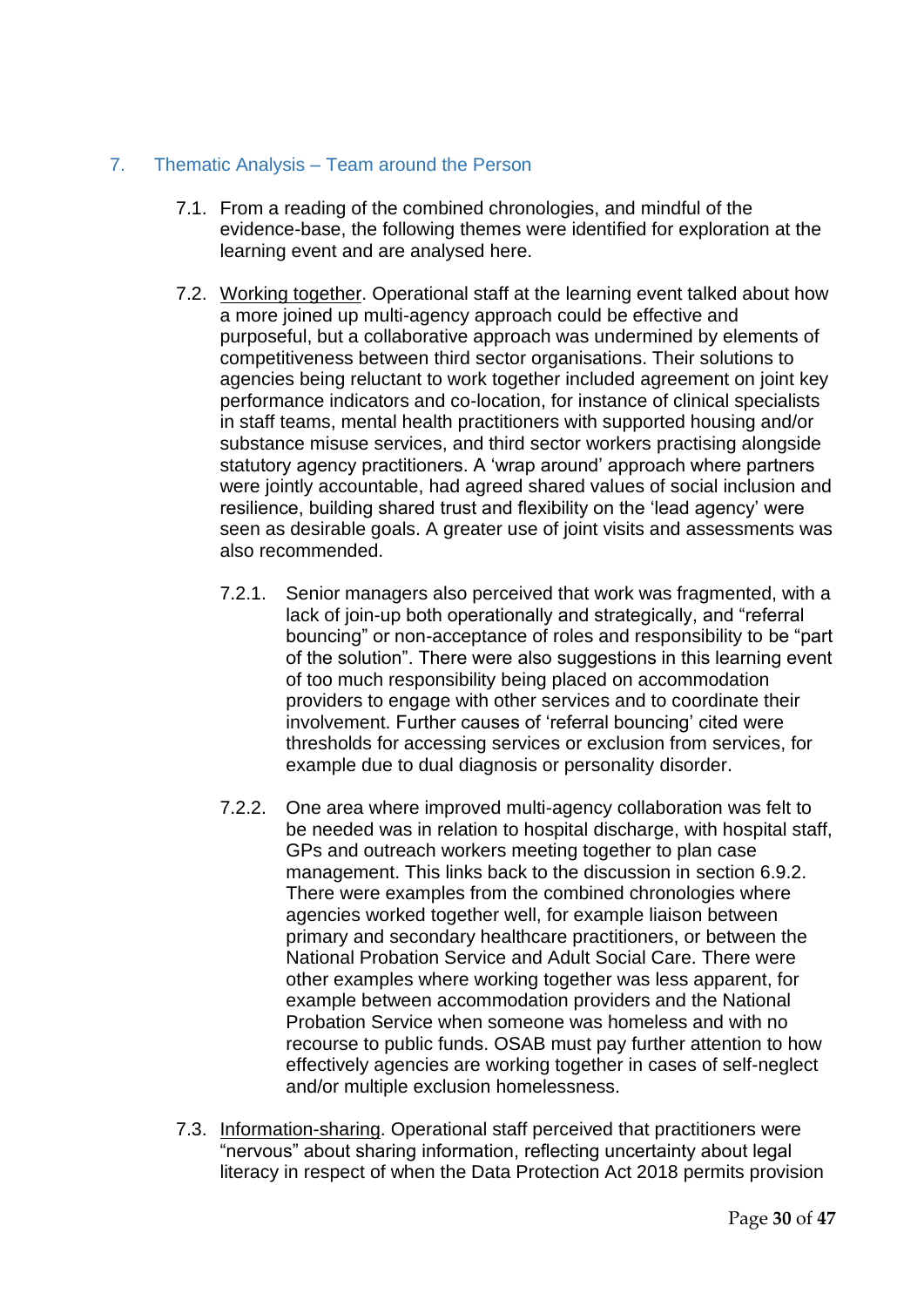## <span id="page-29-0"></span>7. Thematic Analysis – Team around the Person

- 7.1. From a reading of the combined chronologies, and mindful of the evidence-base, the following themes were identified for exploration at the learning event and are analysed here.
- 7.2. Working together. Operational staff at the learning event talked about how a more joined up multi-agency approach could be effective and purposeful, but a collaborative approach was undermined by elements of competitiveness between third sector organisations. Their solutions to agencies being reluctant to work together included agreement on joint key performance indicators and co-location, for instance of clinical specialists in staff teams, mental health practitioners with supported housing and/or substance misuse services, and third sector workers practising alongside statutory agency practitioners. A 'wrap around' approach where partners were jointly accountable, had agreed shared values of social inclusion and resilience, building shared trust and flexibility on the 'lead agency' were seen as desirable goals. A greater use of joint visits and assessments was also recommended.
	- 7.2.1. Senior managers also perceived that work was fragmented, with a lack of join-up both operationally and strategically, and "referral bouncing" or non-acceptance of roles and responsibility to be "part of the solution". There were also suggestions in this learning event of too much responsibility being placed on accommodation providers to engage with other services and to coordinate their involvement. Further causes of 'referral bouncing' cited were thresholds for accessing services or exclusion from services, for example due to dual diagnosis or personality disorder.
	- 7.2.2. One area where improved multi-agency collaboration was felt to be needed was in relation to hospital discharge, with hospital staff, GPs and outreach workers meeting together to plan case management. This links back to the discussion in section 6.9.2. There were examples from the combined chronologies where agencies worked together well, for example liaison between primary and secondary healthcare practitioners, or between the National Probation Service and Adult Social Care. There were other examples where working together was less apparent, for example between accommodation providers and the National Probation Service when someone was homeless and with no recourse to public funds. OSAB must pay further attention to how effectively agencies are working together in cases of self-neglect and/or multiple exclusion homelessness.
- 7.3. Information-sharing. Operational staff perceived that practitioners were "nervous" about sharing information, reflecting uncertainty about legal literacy in respect of when the Data Protection Act 2018 permits provision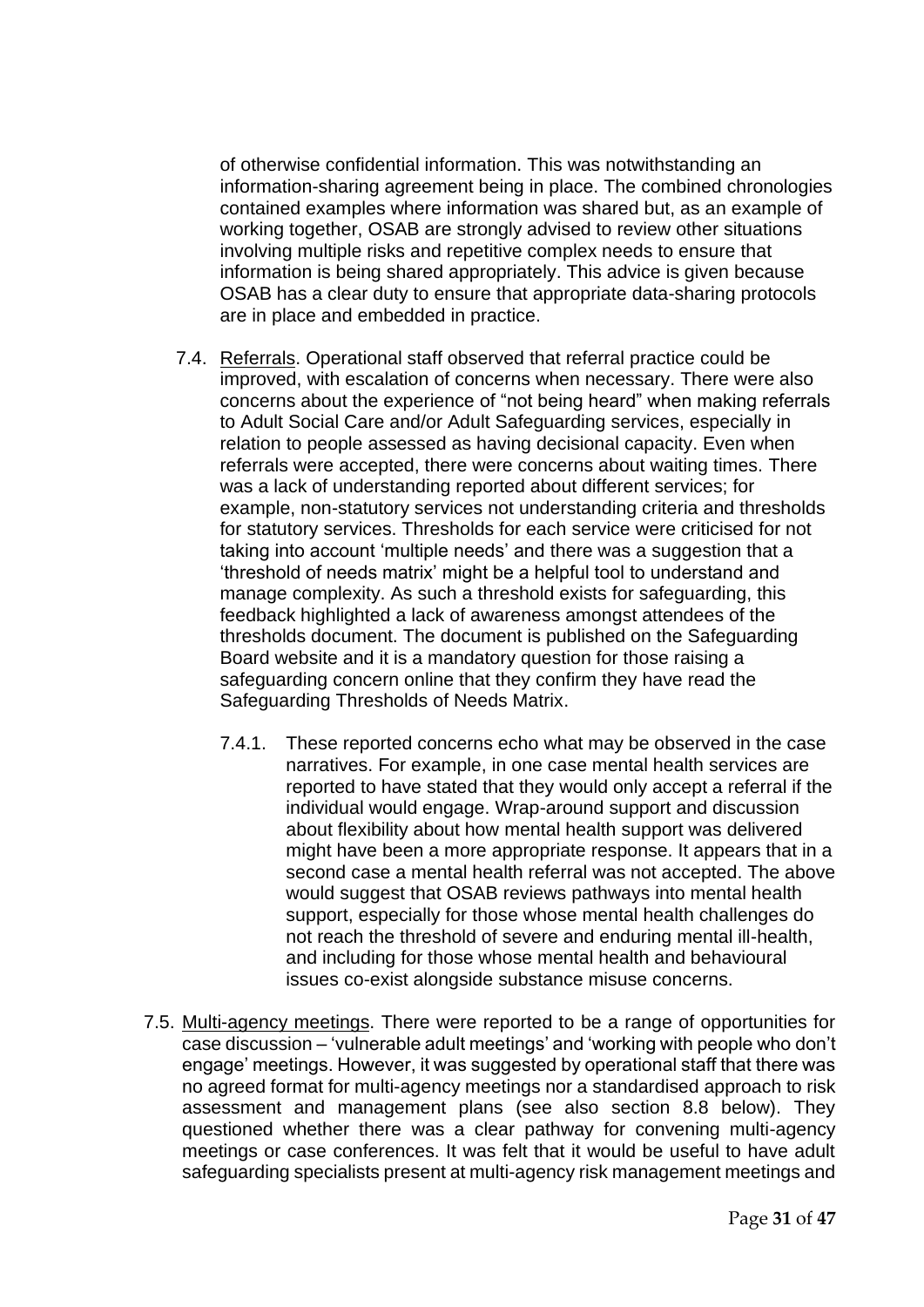of otherwise confidential information. This was notwithstanding an information-sharing agreement being in place. The combined chronologies contained examples where information was shared but, as an example of working together, OSAB are strongly advised to review other situations involving multiple risks and repetitive complex needs to ensure that information is being shared appropriately. This advice is given because OSAB has a clear duty to ensure that appropriate data-sharing protocols are in place and embedded in practice.

- 7.4. Referrals. Operational staff observed that referral practice could be improved, with escalation of concerns when necessary. There were also concerns about the experience of "not being heard" when making referrals to Adult Social Care and/or Adult Safeguarding services, especially in relation to people assessed as having decisional capacity. Even when referrals were accepted, there were concerns about waiting times. There was a lack of understanding reported about different services; for example, non-statutory services not understanding criteria and thresholds for statutory services. Thresholds for each service were criticised for not taking into account 'multiple needs' and there was a suggestion that a 'threshold of needs matrix' might be a helpful tool to understand and manage complexity. As such a threshold exists for safeguarding, this feedback highlighted a lack of awareness amongst attendees of the thresholds document. The document is published on the Safeguarding Board website and it is a mandatory question for those raising a safeguarding concern online that they confirm they have read the Safeguarding Thresholds of Needs Matrix.
	- 7.4.1. These reported concerns echo what may be observed in the case narratives. For example, in one case mental health services are reported to have stated that they would only accept a referral if the individual would engage. Wrap-around support and discussion about flexibility about how mental health support was delivered might have been a more appropriate response. It appears that in a second case a mental health referral was not accepted. The above would suggest that OSAB reviews pathways into mental health support, especially for those whose mental health challenges do not reach the threshold of severe and enduring mental ill-health, and including for those whose mental health and behavioural issues co-exist alongside substance misuse concerns.
- 7.5. Multi-agency meetings. There were reported to be a range of opportunities for case discussion – 'vulnerable adult meetings' and 'working with people who don't engage' meetings. However, it was suggested by operational staff that there was no agreed format for multi-agency meetings nor a standardised approach to risk assessment and management plans (see also section 8.8 below). They questioned whether there was a clear pathway for convening multi-agency meetings or case conferences. It was felt that it would be useful to have adult safeguarding specialists present at multi-agency risk management meetings and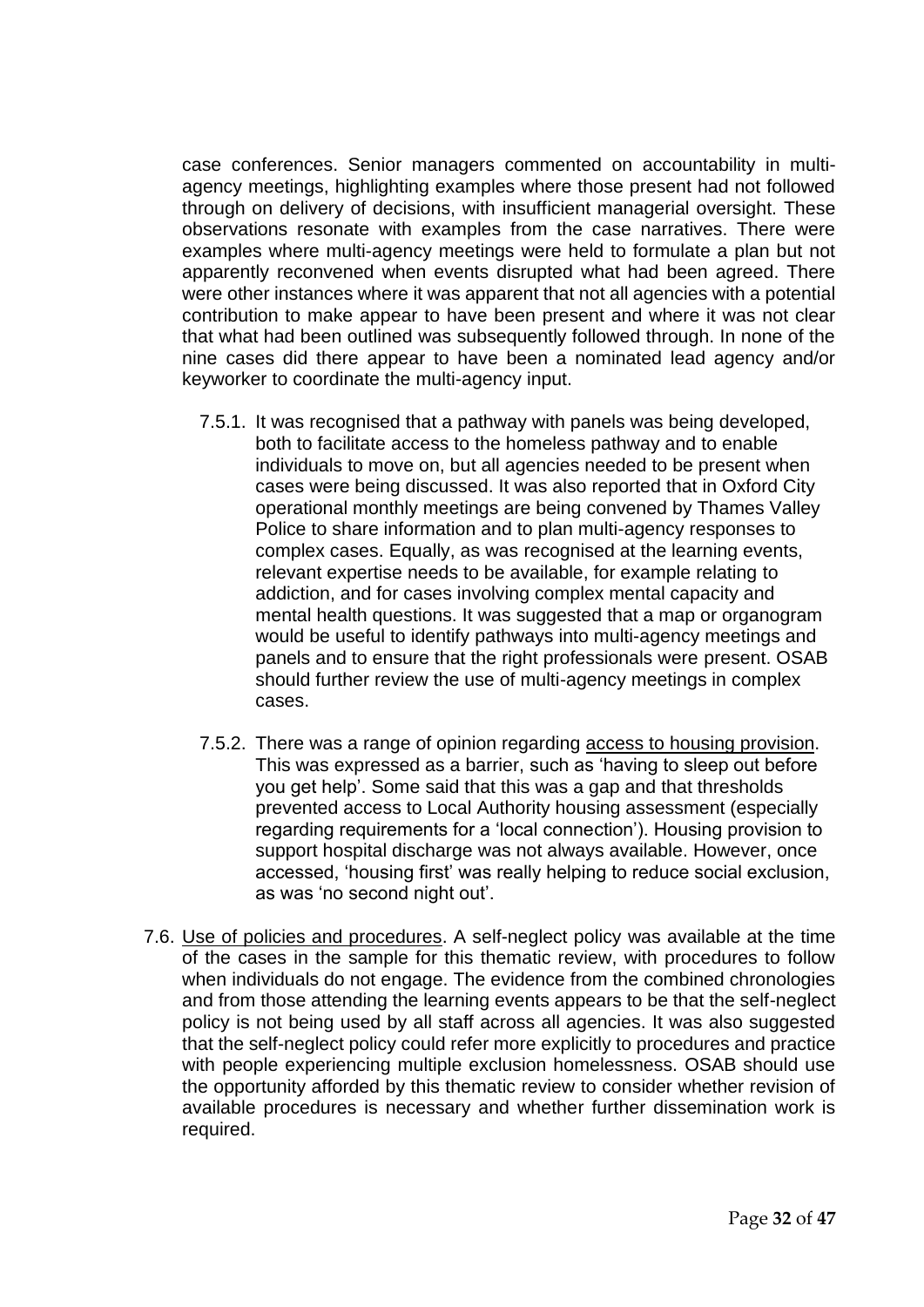case conferences. Senior managers commented on accountability in multiagency meetings, highlighting examples where those present had not followed through on delivery of decisions, with insufficient managerial oversight. These observations resonate with examples from the case narratives. There were examples where multi-agency meetings were held to formulate a plan but not apparently reconvened when events disrupted what had been agreed. There were other instances where it was apparent that not all agencies with a potential contribution to make appear to have been present and where it was not clear that what had been outlined was subsequently followed through. In none of the nine cases did there appear to have been a nominated lead agency and/or keyworker to coordinate the multi-agency input.

- 7.5.1. It was recognised that a pathway with panels was being developed, both to facilitate access to the homeless pathway and to enable individuals to move on, but all agencies needed to be present when cases were being discussed. It was also reported that in Oxford City operational monthly meetings are being convened by Thames Valley Police to share information and to plan multi-agency responses to complex cases. Equally, as was recognised at the learning events, relevant expertise needs to be available, for example relating to addiction, and for cases involving complex mental capacity and mental health questions. It was suggested that a map or organogram would be useful to identify pathways into multi-agency meetings and panels and to ensure that the right professionals were present. OSAB should further review the use of multi-agency meetings in complex cases.
- 7.5.2. There was a range of opinion regarding access to housing provision. This was expressed as a barrier, such as 'having to sleep out before you get help'. Some said that this was a gap and that thresholds prevented access to Local Authority housing assessment (especially regarding requirements for a 'local connection'). Housing provision to support hospital discharge was not always available. However, once accessed, 'housing first' was really helping to reduce social exclusion, as was 'no second night out'.
- 7.6. Use of policies and procedures. A self-neglect policy was available at the time of the cases in the sample for this thematic review, with procedures to follow when individuals do not engage. The evidence from the combined chronologies and from those attending the learning events appears to be that the self-neglect policy is not being used by all staff across all agencies. It was also suggested that the self-neglect policy could refer more explicitly to procedures and practice with people experiencing multiple exclusion homelessness. OSAB should use the opportunity afforded by this thematic review to consider whether revision of available procedures is necessary and whether further dissemination work is required.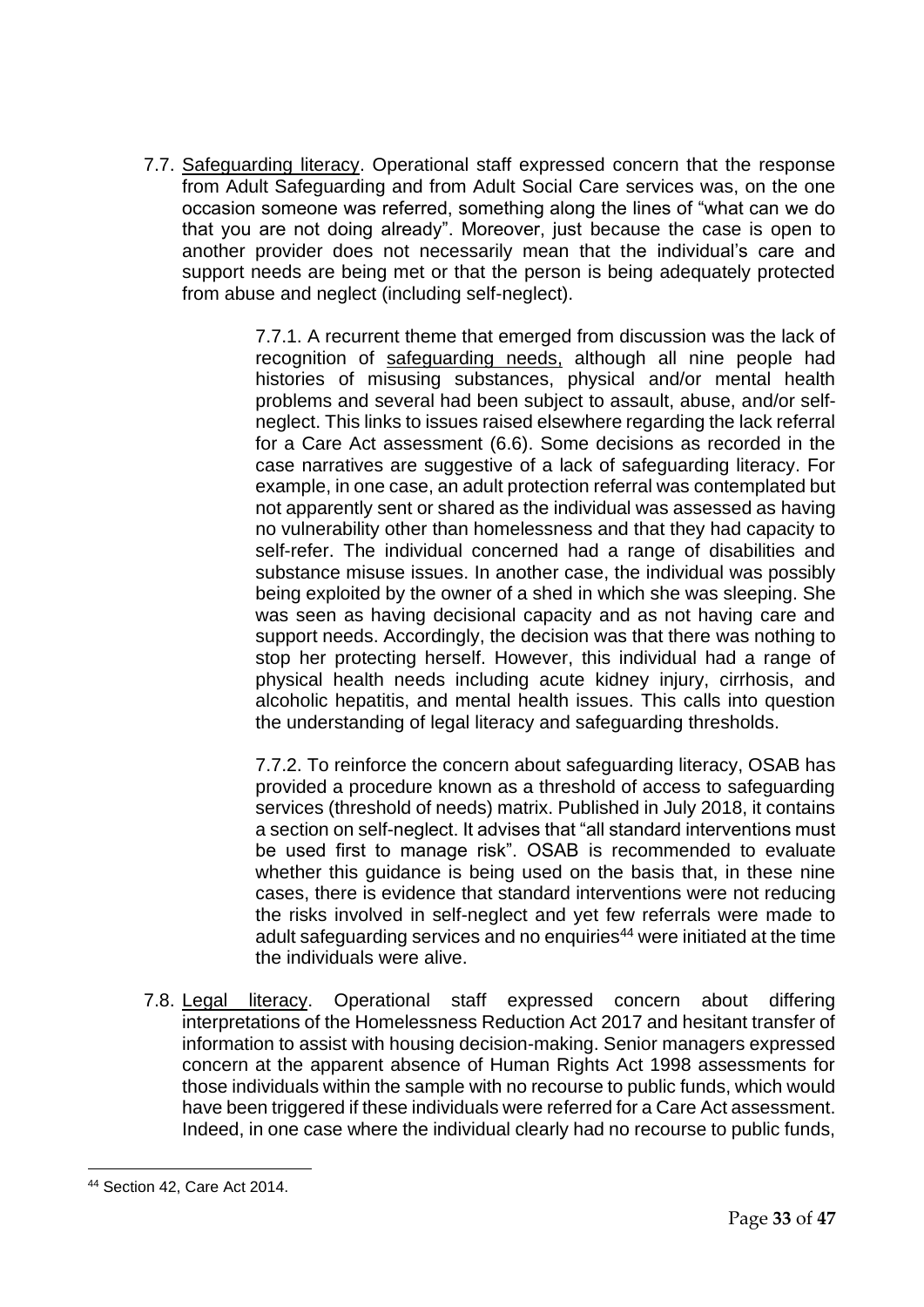7.7. Safeguarding literacy. Operational staff expressed concern that the response from Adult Safeguarding and from Adult Social Care services was, on the one occasion someone was referred, something along the lines of "what can we do that you are not doing already". Moreover, just because the case is open to another provider does not necessarily mean that the individual's care and support needs are being met or that the person is being adequately protected from abuse and neglect (including self-neglect).

> 7.7.1. A recurrent theme that emerged from discussion was the lack of recognition of safeguarding needs, although all nine people had histories of misusing substances, physical and/or mental health problems and several had been subject to assault, abuse, and/or selfneglect. This links to issues raised elsewhere regarding the lack referral for a Care Act assessment (6.6). Some decisions as recorded in the case narratives are suggestive of a lack of safeguarding literacy. For example, in one case, an adult protection referral was contemplated but not apparently sent or shared as the individual was assessed as having no vulnerability other than homelessness and that they had capacity to self-refer. The individual concerned had a range of disabilities and substance misuse issues. In another case, the individual was possibly being exploited by the owner of a shed in which she was sleeping. She was seen as having decisional capacity and as not having care and support needs. Accordingly, the decision was that there was nothing to stop her protecting herself. However, this individual had a range of physical health needs including acute kidney injury, cirrhosis, and alcoholic hepatitis, and mental health issues. This calls into question the understanding of legal literacy and safeguarding thresholds.

> 7.7.2. To reinforce the concern about safeguarding literacy, OSAB has provided a procedure known as a threshold of access to safeguarding services (threshold of needs) matrix. Published in July 2018, it contains a section on self-neglect. It advises that "all standard interventions must be used first to manage risk". OSAB is recommended to evaluate whether this guidance is being used on the basis that, in these nine cases, there is evidence that standard interventions were not reducing the risks involved in self-neglect and yet few referrals were made to adult safeguarding services and no enquiries<sup>44</sup> were initiated at the time the individuals were alive.

7.8. Legal literacy. Operational staff expressed concern about differing interpretations of the Homelessness Reduction Act 2017 and hesitant transfer of information to assist with housing decision-making. Senior managers expressed concern at the apparent absence of Human Rights Act 1998 assessments for those individuals within the sample with no recourse to public funds, which would have been triggered if these individuals were referred for a Care Act assessment. Indeed, in one case where the individual clearly had no recourse to public funds,

<sup>44</sup> Section 42, Care Act 2014.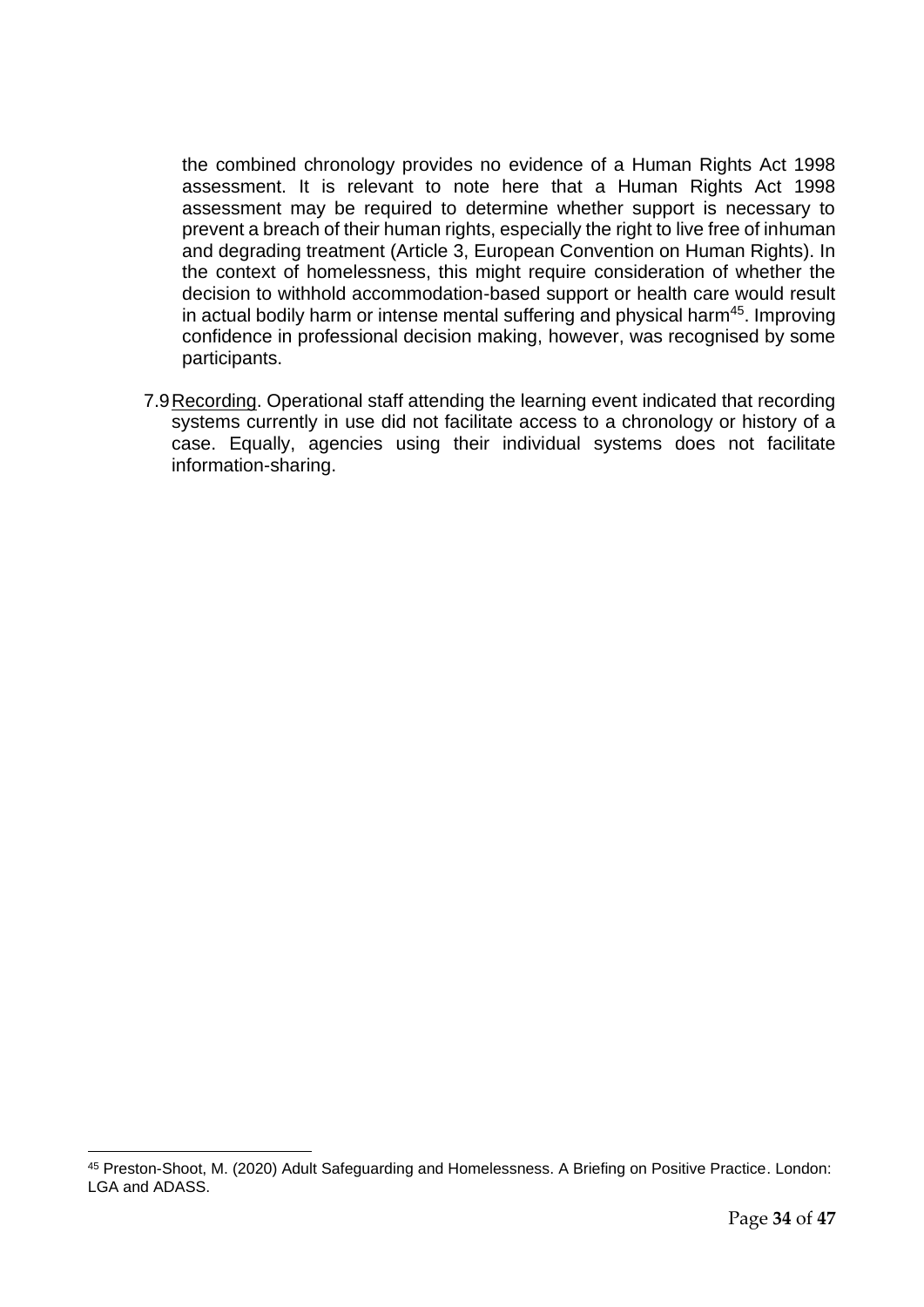the combined chronology provides no evidence of a Human Rights Act 1998 assessment. It is relevant to note here that a Human Rights Act 1998 assessment may be required to determine whether support is necessary to prevent a breach of their human rights, especially the right to live free of inhuman and degrading treatment (Article 3, European Convention on Human Rights). In the context of homelessness, this might require consideration of whether the decision to withhold accommodation-based support or health care would result in actual bodily harm or intense mental suffering and physical harm<sup>45</sup>. Improving confidence in professional decision making, however, was recognised by some participants.

7.9Recording. Operational staff attending the learning event indicated that recording systems currently in use did not facilitate access to a chronology or history of a case. Equally, agencies using their individual systems does not facilitate information-sharing.

<sup>45</sup> Preston-Shoot, M. (2020) Adult Safeguarding and Homelessness. A Briefing on Positive Practice. London: LGA and ADASS.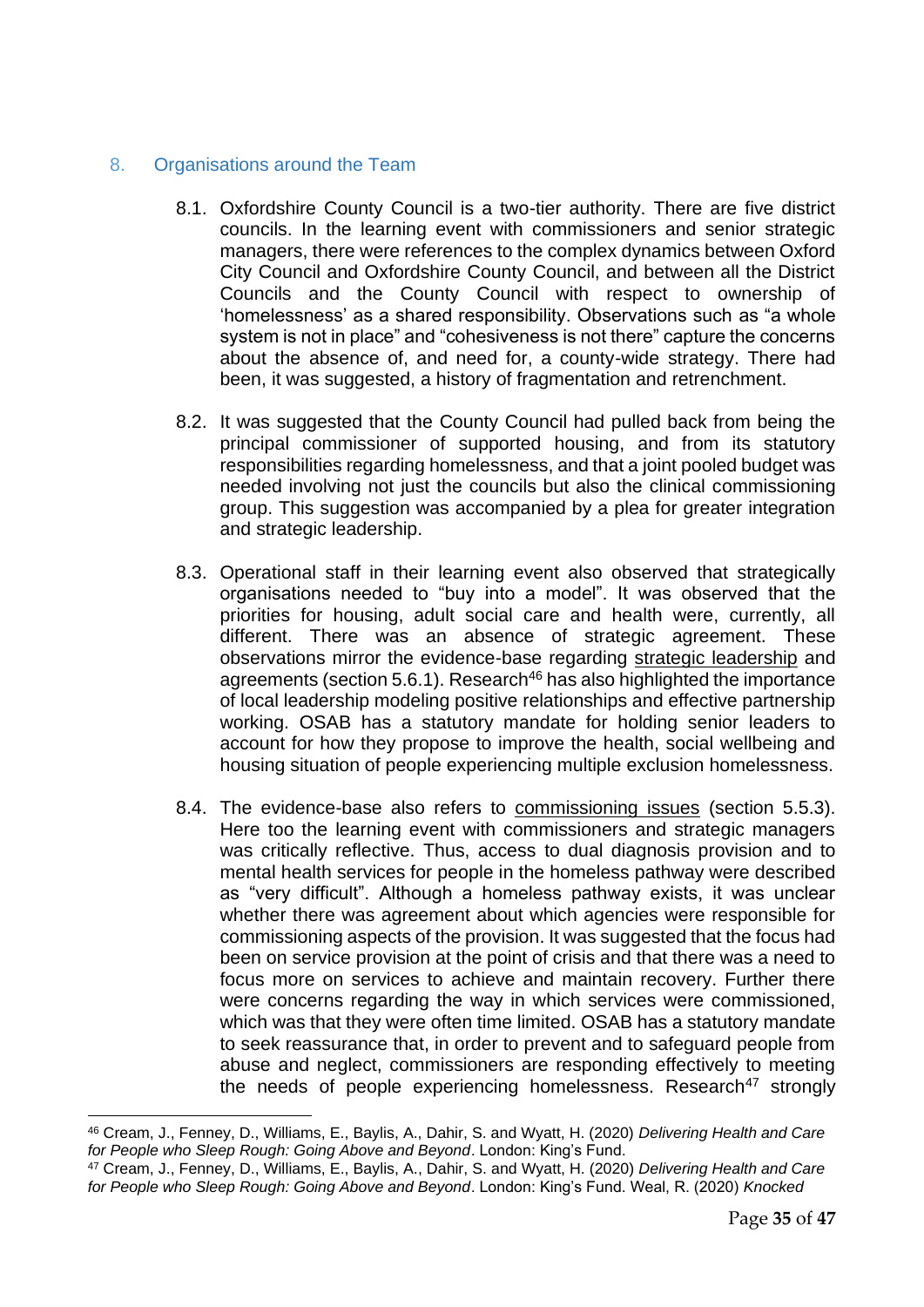#### <span id="page-34-0"></span>8. Organisations around the Team

- 8.1. Oxfordshire County Council is a two-tier authority. There are five district councils. In the learning event with commissioners and senior strategic managers, there were references to the complex dynamics between Oxford City Council and Oxfordshire County Council, and between all the District Councils and the County Council with respect to ownership of 'homelessness' as a shared responsibility. Observations such as "a whole system is not in place" and "cohesiveness is not there" capture the concerns about the absence of, and need for, a county-wide strategy. There had been, it was suggested, a history of fragmentation and retrenchment.
- 8.2. It was suggested that the County Council had pulled back from being the principal commissioner of supported housing, and from its statutory responsibilities regarding homelessness, and that a joint pooled budget was needed involving not just the councils but also the clinical commissioning group. This suggestion was accompanied by a plea for greater integration and strategic leadership.
- 8.3. Operational staff in their learning event also observed that strategically organisations needed to "buy into a model". It was observed that the priorities for housing, adult social care and health were, currently, all different. There was an absence of strategic agreement. These observations mirror the evidence-base regarding strategic leadership and agreements (section 5.6.1). Research<sup>46</sup> has also highlighted the importance of local leadership modeling positive relationships and effective partnership working. OSAB has a statutory mandate for holding senior leaders to account for how they propose to improve the health, social wellbeing and housing situation of people experiencing multiple exclusion homelessness.
- 8.4. The evidence-base also refers to commissioning issues (section 5.5.3). Here too the learning event with commissioners and strategic managers was critically reflective. Thus, access to dual diagnosis provision and to mental health services for people in the homeless pathway were described as "very difficult". Although a homeless pathway exists, it was unclear whether there was agreement about which agencies were responsible for commissioning aspects of the provision. It was suggested that the focus had been on service provision at the point of crisis and that there was a need to focus more on services to achieve and maintain recovery. Further there were concerns regarding the way in which services were commissioned, which was that they were often time limited. OSAB has a statutory mandate to seek reassurance that, in order to prevent and to safeguard people from abuse and neglect, commissioners are responding effectively to meeting the needs of people experiencing homelessness. Research<sup>47</sup> strongly

<sup>46</sup> Cream, J., Fenney, D., Williams, E., Baylis, A., Dahir, S. and Wyatt, H. (2020) *Delivering Health and Care for People who Sleep Rough: Going Above and Beyond*. London: King's Fund.

<sup>47</sup> Cream, J., Fenney, D., Williams, E., Baylis, A., Dahir, S. and Wyatt, H. (2020) *Delivering Health and Care for People who Sleep Rough: Going Above and Beyond*. London: King's Fund. Weal, R. (2020) *Knocked*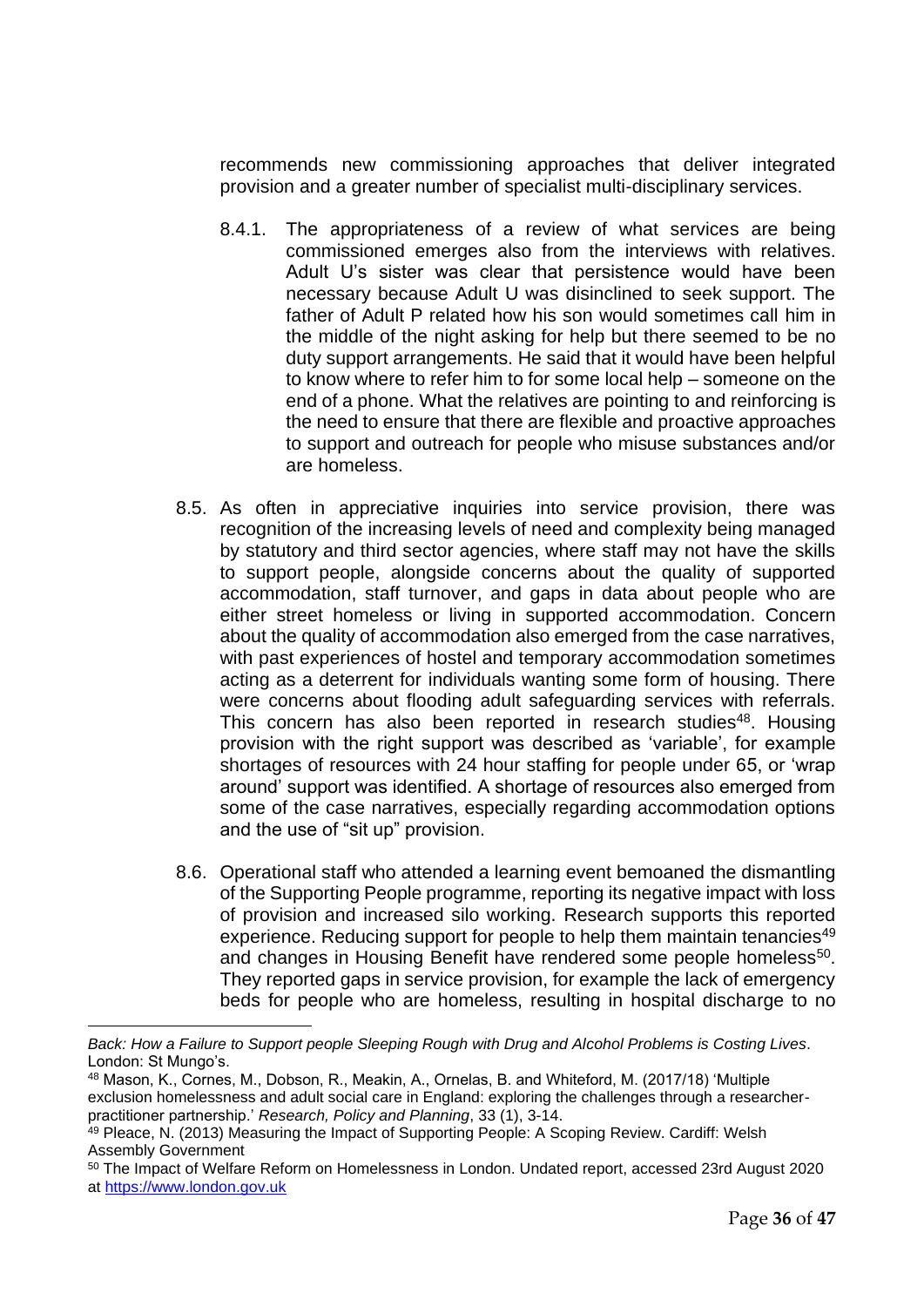recommends new commissioning approaches that deliver integrated provision and a greater number of specialist multi-disciplinary services.

- 8.4.1. The appropriateness of a review of what services are being commissioned emerges also from the interviews with relatives. Adult U's sister was clear that persistence would have been necessary because Adult U was disinclined to seek support. The father of Adult P related how his son would sometimes call him in the middle of the night asking for help but there seemed to be no duty support arrangements. He said that it would have been helpful to know where to refer him to for some local help – someone on the end of a phone. What the relatives are pointing to and reinforcing is the need to ensure that there are flexible and proactive approaches to support and outreach for people who misuse substances and/or are homeless.
- 8.5. As often in appreciative inquiries into service provision, there was recognition of the increasing levels of need and complexity being managed by statutory and third sector agencies, where staff may not have the skills to support people, alongside concerns about the quality of supported accommodation, staff turnover, and gaps in data about people who are either street homeless or living in supported accommodation. Concern about the quality of accommodation also emerged from the case narratives, with past experiences of hostel and temporary accommodation sometimes acting as a deterrent for individuals wanting some form of housing. There were concerns about flooding adult safeguarding services with referrals. This concern has also been reported in research studies<sup>48</sup>. Housing provision with the right support was described as 'variable', for example shortages of resources with 24 hour staffing for people under 65, or 'wrap around' support was identified. A shortage of resources also emerged from some of the case narratives, especially regarding accommodation options and the use of "sit up" provision.
- 8.6. Operational staff who attended a learning event bemoaned the dismantling of the Supporting People programme, reporting its negative impact with loss of provision and increased silo working. Research supports this reported experience. Reducing support for people to help them maintain tenancies<sup>49</sup> and changes in Housing Benefit have rendered some people homeless<sup>50</sup>. They reported gaps in service provision, for example the lack of emergency beds for people who are homeless, resulting in hospital discharge to no

*Back: How a Failure to Support people Sleeping Rough with Drug and Alcohol Problems is Costing Lives*. London: St Mungo's.

<sup>48</sup> Mason, K., Cornes, M., Dobson, R., Meakin, A., Ornelas, B. and Whiteford, M. (2017/18) 'Multiple exclusion homelessness and adult social care in England: exploring the challenges through a researcherpractitioner partnership.' *Research, Policy and Planning*, 33 (1), 3-14.

<sup>&</sup>lt;sup>49</sup> Pleace, N. (2013) Measuring the Impact of Supporting People: A Scoping Review. Cardiff: Welsh Assembly Government

<sup>50</sup> The Impact of Welfare Reform on Homelessness in London. Undated report, accessed 23rd August 2020 at [https://www.london.gov.uk](https://www.london.gov.uk/)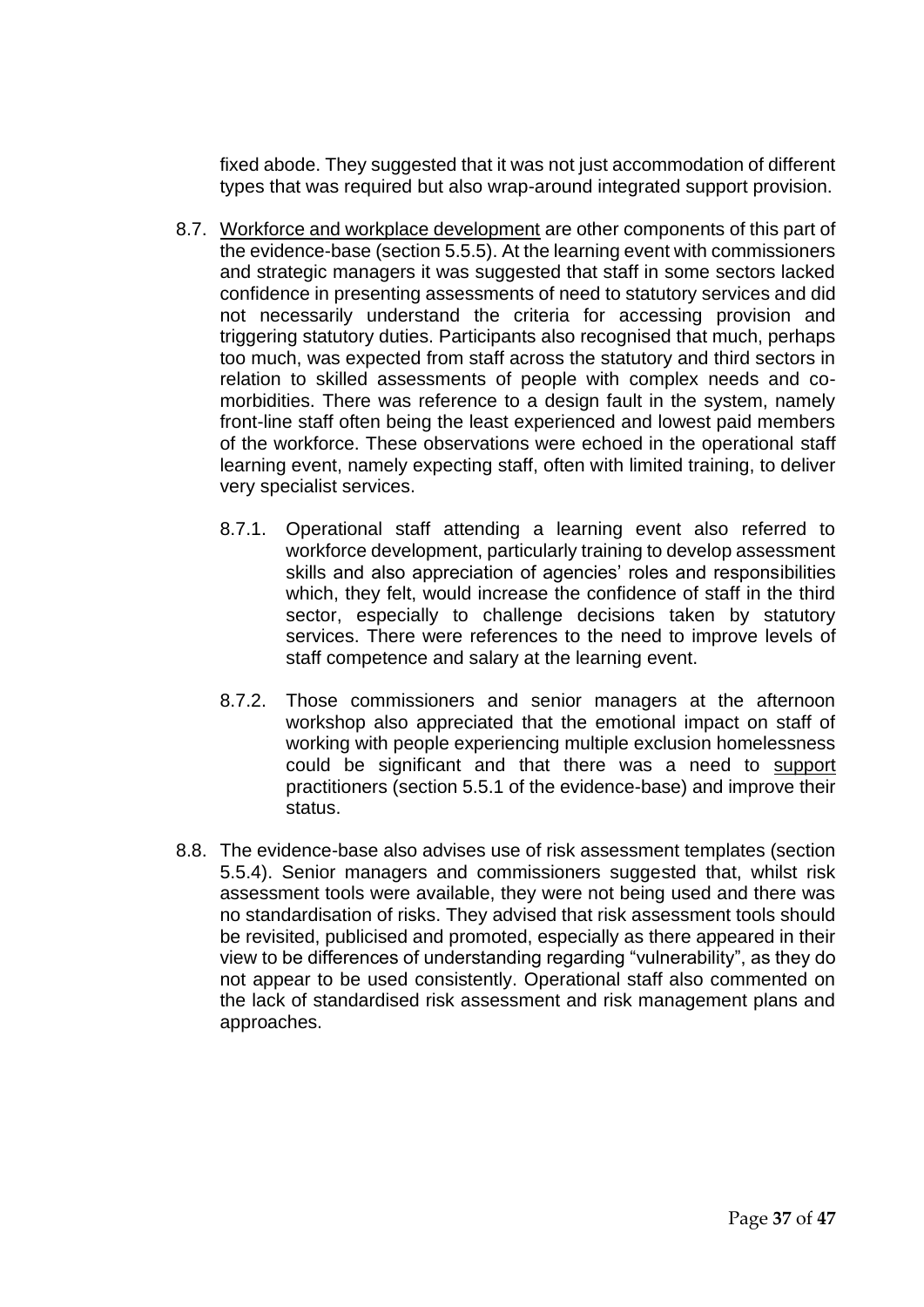fixed abode. They suggested that it was not just accommodation of different types that was required but also wrap-around integrated support provision.

- 8.7. Workforce and workplace development are other components of this part of the evidence-base (section 5.5.5). At the learning event with commissioners and strategic managers it was suggested that staff in some sectors lacked confidence in presenting assessments of need to statutory services and did not necessarily understand the criteria for accessing provision and triggering statutory duties. Participants also recognised that much, perhaps too much, was expected from staff across the statutory and third sectors in relation to skilled assessments of people with complex needs and comorbidities. There was reference to a design fault in the system, namely front-line staff often being the least experienced and lowest paid members of the workforce. These observations were echoed in the operational staff learning event, namely expecting staff, often with limited training, to deliver very specialist services.
	- 8.7.1. Operational staff attending a learning event also referred to workforce development, particularly training to develop assessment skills and also appreciation of agencies' roles and responsibilities which, they felt, would increase the confidence of staff in the third sector, especially to challenge decisions taken by statutory services. There were references to the need to improve levels of staff competence and salary at the learning event.
	- 8.7.2. Those commissioners and senior managers at the afternoon workshop also appreciated that the emotional impact on staff of working with people experiencing multiple exclusion homelessness could be significant and that there was a need to support practitioners (section 5.5.1 of the evidence-base) and improve their status.
- 8.8. The evidence-base also advises use of risk assessment templates (section 5.5.4). Senior managers and commissioners suggested that, whilst risk assessment tools were available, they were not being used and there was no standardisation of risks. They advised that risk assessment tools should be revisited, publicised and promoted, especially as there appeared in their view to be differences of understanding regarding "vulnerability", as they do not appear to be used consistently. Operational staff also commented on the lack of standardised risk assessment and risk management plans and approaches.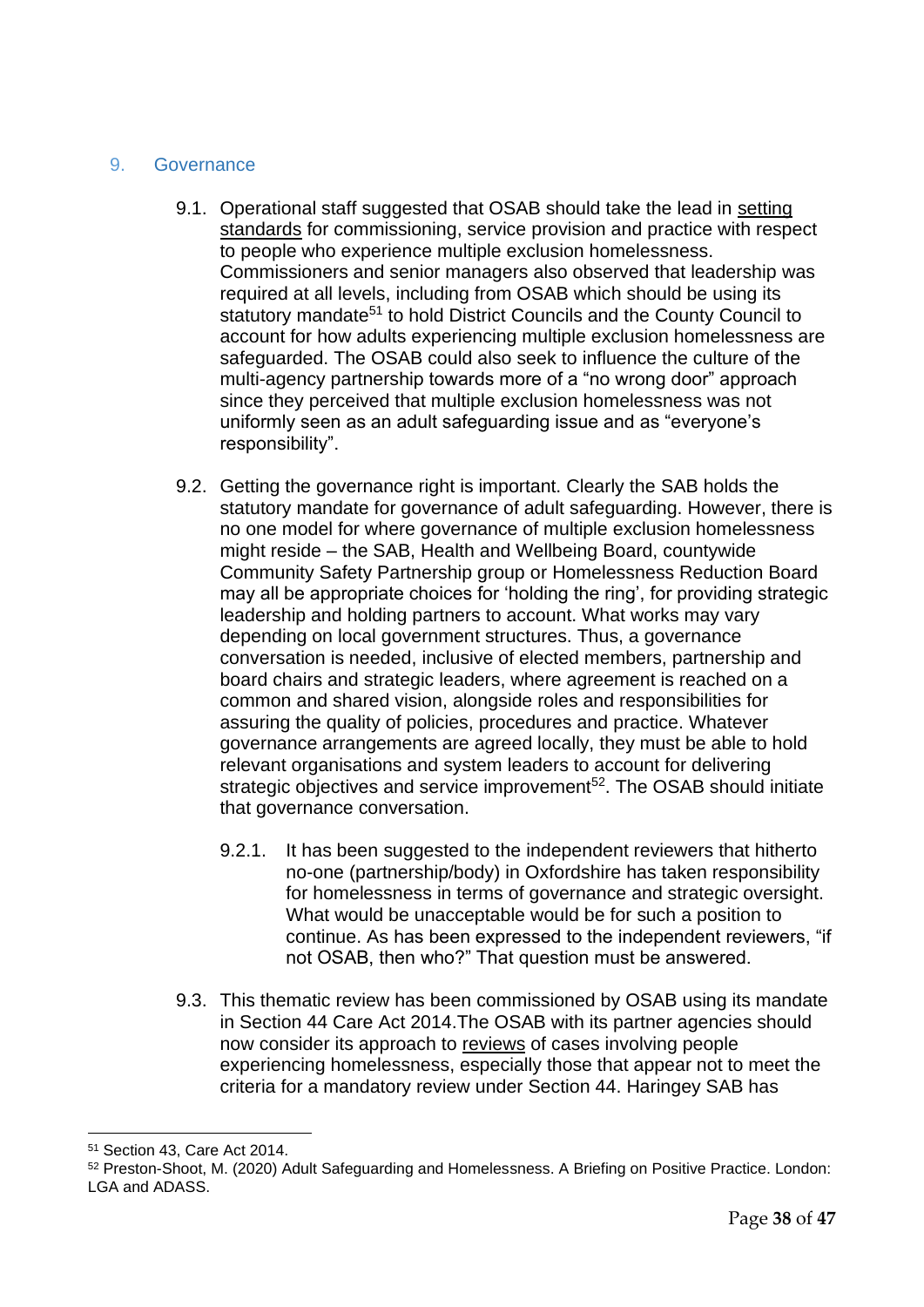#### <span id="page-37-0"></span>9. Governance

- 9.1. Operational staff suggested that OSAB should take the lead in setting standards for commissioning, service provision and practice with respect to people who experience multiple exclusion homelessness. Commissioners and senior managers also observed that leadership was required at all levels, including from OSAB which should be using its statutory mandate<sup>51</sup> to hold District Councils and the County Council to account for how adults experiencing multiple exclusion homelessness are safeguarded. The OSAB could also seek to influence the culture of the multi-agency partnership towards more of a "no wrong door" approach since they perceived that multiple exclusion homelessness was not uniformly seen as an adult safeguarding issue and as "everyone's responsibility".
- 9.2. Getting the governance right is important. Clearly the SAB holds the statutory mandate for governance of adult safeguarding. However, there is no one model for where governance of multiple exclusion homelessness might reside – the SAB, Health and Wellbeing Board, countywide Community Safety Partnership group or Homelessness Reduction Board may all be appropriate choices for 'holding the ring', for providing strategic leadership and holding partners to account. What works may vary depending on local government structures. Thus, a governance conversation is needed, inclusive of elected members, partnership and board chairs and strategic leaders, where agreement is reached on a common and shared vision, alongside roles and responsibilities for assuring the quality of policies, procedures and practice. Whatever governance arrangements are agreed locally, they must be able to hold relevant organisations and system leaders to account for delivering strategic objectives and service improvement<sup>52</sup>. The OSAB should initiate that governance conversation.
	- 9.2.1. It has been suggested to the independent reviewers that hitherto no-one (partnership/body) in Oxfordshire has taken responsibility for homelessness in terms of governance and strategic oversight. What would be unacceptable would be for such a position to continue. As has been expressed to the independent reviewers, "if not OSAB, then who?" That question must be answered.
- 9.3. This thematic review has been commissioned by OSAB using its mandate in Section 44 Care Act 2014.The OSAB with its partner agencies should now consider its approach to reviews of cases involving people experiencing homelessness, especially those that appear not to meet the criteria for a mandatory review under Section 44. Haringey SAB has

<sup>51</sup> Section 43, Care Act 2014.

<sup>52</sup> Preston-Shoot, M. (2020) Adult Safeguarding and Homelessness. A Briefing on Positive Practice. London: LGA and ADASS.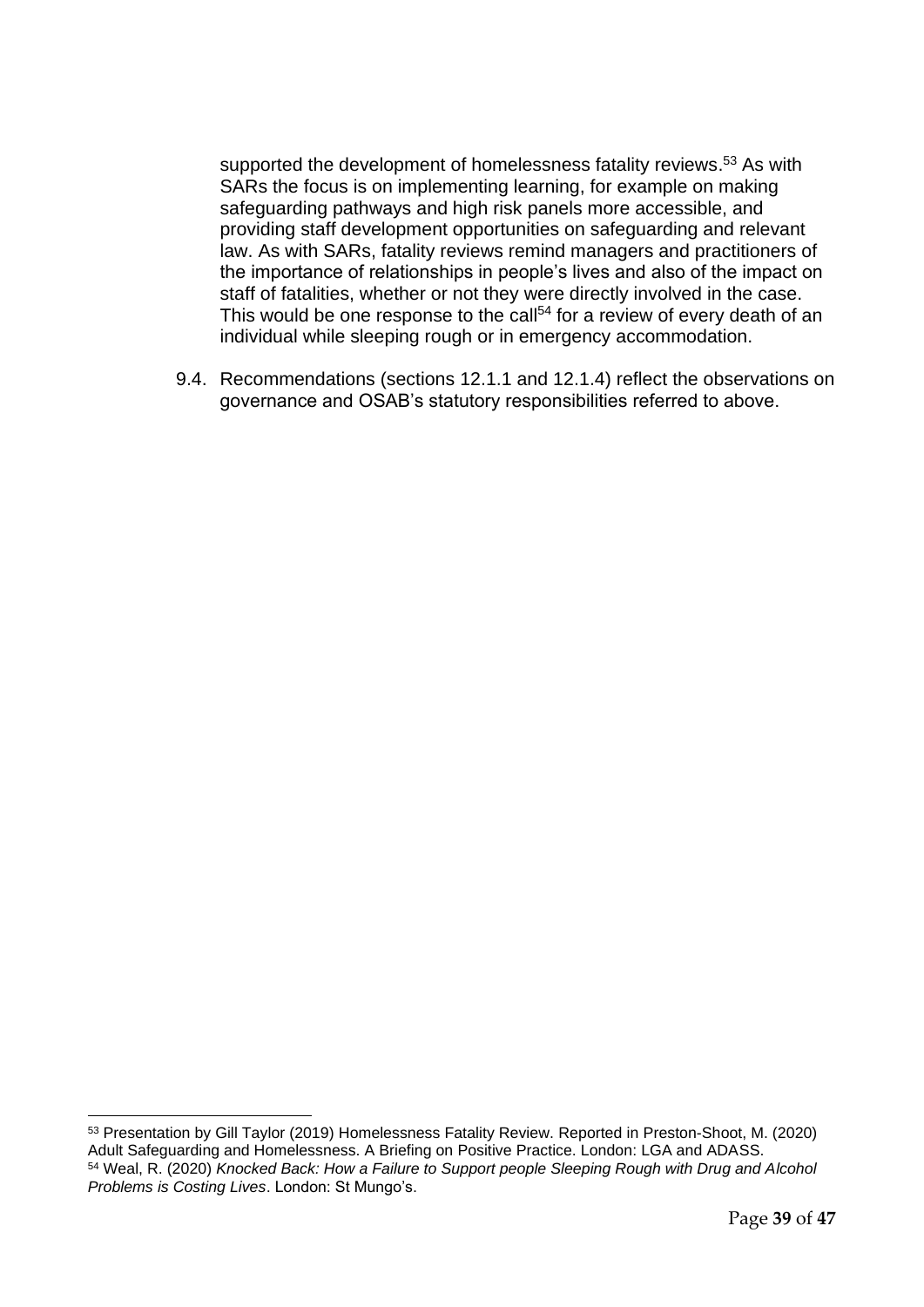supported the development of homelessness fatality reviews.<sup>53</sup> As with SARs the focus is on implementing learning, for example on making safeguarding pathways and high risk panels more accessible, and providing staff development opportunities on safeguarding and relevant law. As with SARs, fatality reviews remind managers and practitioners of the importance of relationships in people's lives and also of the impact on staff of fatalities, whether or not they were directly involved in the case. This would be one response to the call<sup>54</sup> for a review of every death of an individual while sleeping rough or in emergency accommodation.

9.4. Recommendations (sections 12.1.1 and 12.1.4) reflect the observations on governance and OSAB's statutory responsibilities referred to above.

<sup>53</sup> Presentation by Gill Taylor (2019) Homelessness Fatality Review. Reported in Preston-Shoot, M. (2020) Adult Safeguarding and Homelessness. A Briefing on Positive Practice. London: LGA and ADASS. <sup>54</sup> Weal, R. (2020) *Knocked Back: How a Failure to Support people Sleeping Rough with Drug and Alcohol Problems is Costing Lives*. London: St Mungo's.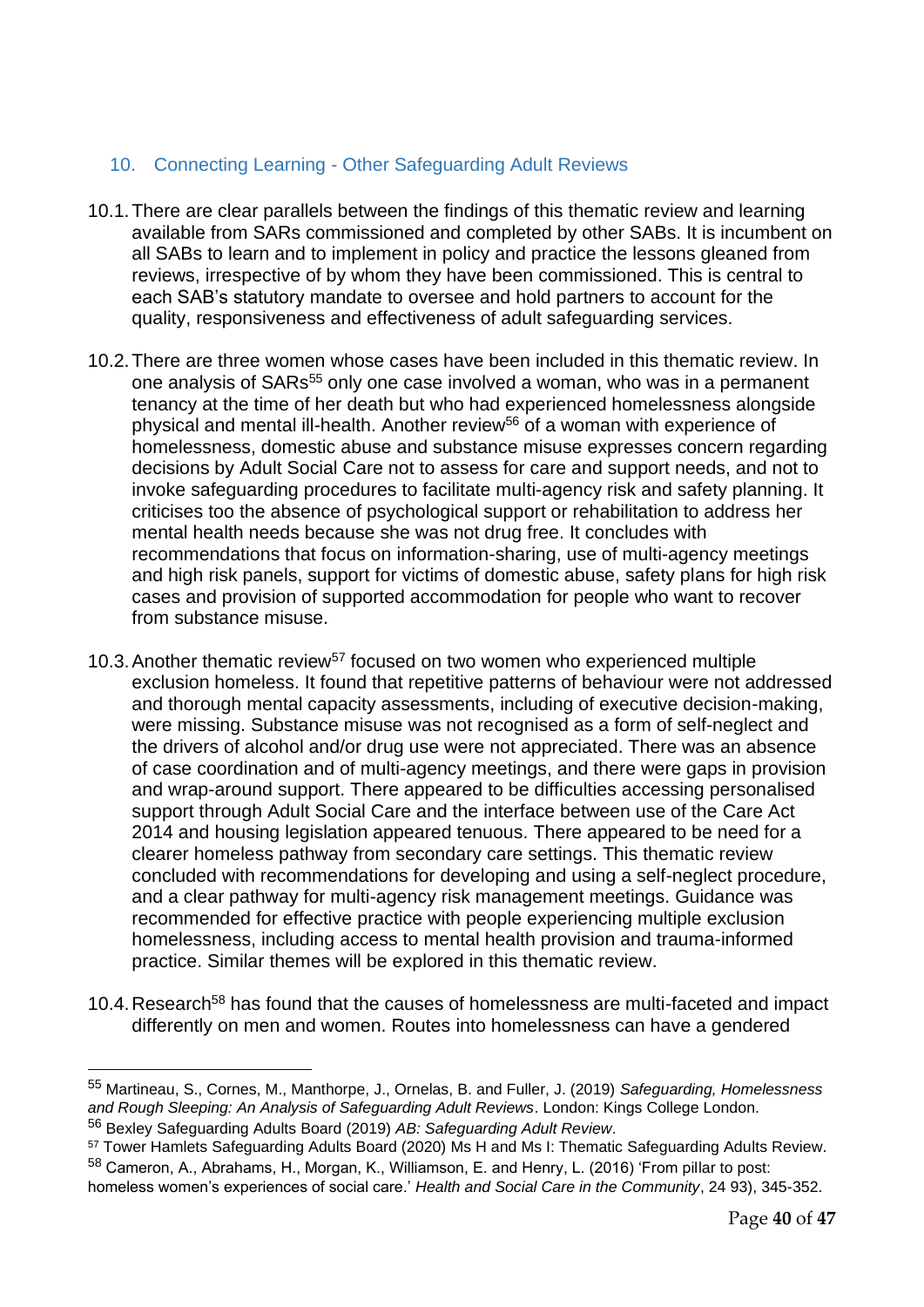## <span id="page-39-0"></span>10. Connecting Learning - Other Safeguarding Adult Reviews

- 10.1.There are clear parallels between the findings of this thematic review and learning available from SARs commissioned and completed by other SABs. It is incumbent on all SABs to learn and to implement in policy and practice the lessons gleaned from reviews, irrespective of by whom they have been commissioned. This is central to each SAB's statutory mandate to oversee and hold partners to account for the quality, responsiveness and effectiveness of adult safeguarding services.
- 10.2.There are three women whose cases have been included in this thematic review. In one analysis of SARs<sup>55</sup> only one case involved a woman, who was in a permanent tenancy at the time of her death but who had experienced homelessness alongside physical and mental ill-health. Another review<sup>56</sup> of a woman with experience of homelessness, domestic abuse and substance misuse expresses concern regarding decisions by Adult Social Care not to assess for care and support needs, and not to invoke safeguarding procedures to facilitate multi-agency risk and safety planning. It criticises too the absence of psychological support or rehabilitation to address her mental health needs because she was not drug free. It concludes with recommendations that focus on information-sharing, use of multi-agency meetings and high risk panels, support for victims of domestic abuse, safety plans for high risk cases and provision of supported accommodation for people who want to recover from substance misuse.
- 10.3. Another thematic review<sup>57</sup> focused on two women who experienced multiple exclusion homeless. It found that repetitive patterns of behaviour were not addressed and thorough mental capacity assessments, including of executive decision-making, were missing. Substance misuse was not recognised as a form of self-neglect and the drivers of alcohol and/or drug use were not appreciated. There was an absence of case coordination and of multi-agency meetings, and there were gaps in provision and wrap-around support. There appeared to be difficulties accessing personalised support through Adult Social Care and the interface between use of the Care Act 2014 and housing legislation appeared tenuous. There appeared to be need for a clearer homeless pathway from secondary care settings. This thematic review concluded with recommendations for developing and using a self-neglect procedure, and a clear pathway for multi-agency risk management meetings. Guidance was recommended for effective practice with people experiencing multiple exclusion homelessness, including access to mental health provision and trauma-informed practice. Similar themes will be explored in this thematic review.
- 10.4. Research<sup>58</sup> has found that the causes of homelessness are multi-faceted and impact differently on men and women. Routes into homelessness can have a gendered

<sup>55</sup> Martineau, S., Cornes, M., Manthorpe, J., Ornelas, B. and Fuller, J. (2019) *Safeguarding, Homelessness and Rough Sleeping: An Analysis of Safeguarding Adult Reviews*. London: Kings College London. <sup>56</sup> Bexley Safeguarding Adults Board (2019) *AB: Safeguarding Adult Review*.

<sup>57</sup> Tower Hamlets Safeguarding Adults Board (2020) Ms H and Ms I: Thematic Safeguarding Adults Review. <sup>58</sup> Cameron, A., Abrahams, H., Morgan, K., Williamson, E. and Henry, L. (2016) 'From pillar to post:

homeless women's experiences of social care.' *Health and Social Care in the Community*, 24 93), 345-352.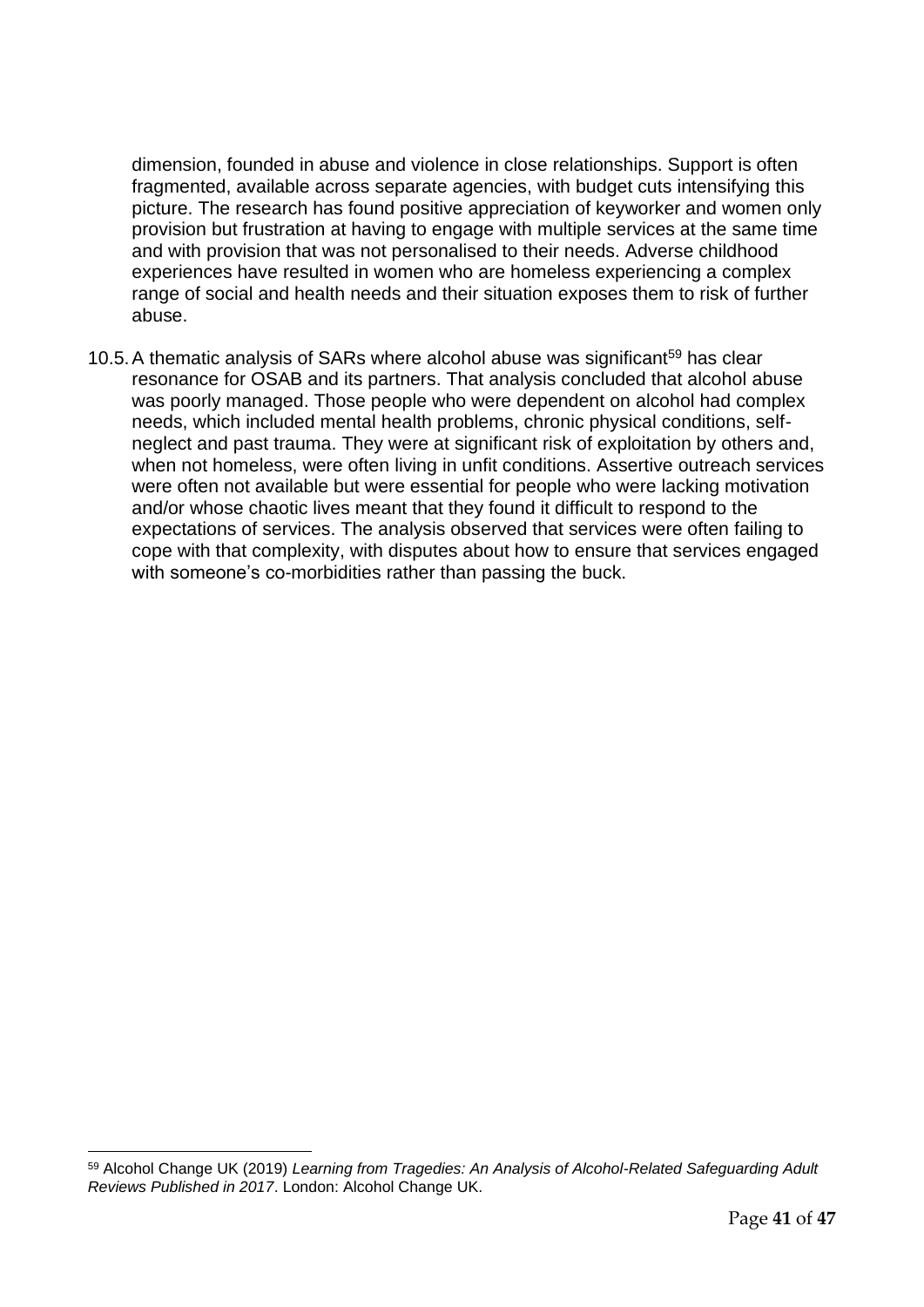dimension, founded in abuse and violence in close relationships. Support is often fragmented, available across separate agencies, with budget cuts intensifying this picture. The research has found positive appreciation of keyworker and women only provision but frustration at having to engage with multiple services at the same time and with provision that was not personalised to their needs. Adverse childhood experiences have resulted in women who are homeless experiencing a complex range of social and health needs and their situation exposes them to risk of further abuse.

10.5. A thematic analysis of SARs where alcohol abuse was significant<sup>59</sup> has clear resonance for OSAB and its partners. That analysis concluded that alcohol abuse was poorly managed. Those people who were dependent on alcohol had complex needs, which included mental health problems, chronic physical conditions, selfneglect and past trauma. They were at significant risk of exploitation by others and, when not homeless, were often living in unfit conditions. Assertive outreach services were often not available but were essential for people who were lacking motivation and/or whose chaotic lives meant that they found it difficult to respond to the expectations of services. The analysis observed that services were often failing to cope with that complexity, with disputes about how to ensure that services engaged with someone's co-morbidities rather than passing the buck.

<sup>59</sup> Alcohol Change UK (2019) *Learning from Tragedies: An Analysis of Alcohol-Related Safeguarding Adult Reviews Published in 2017*. London: Alcohol Change UK.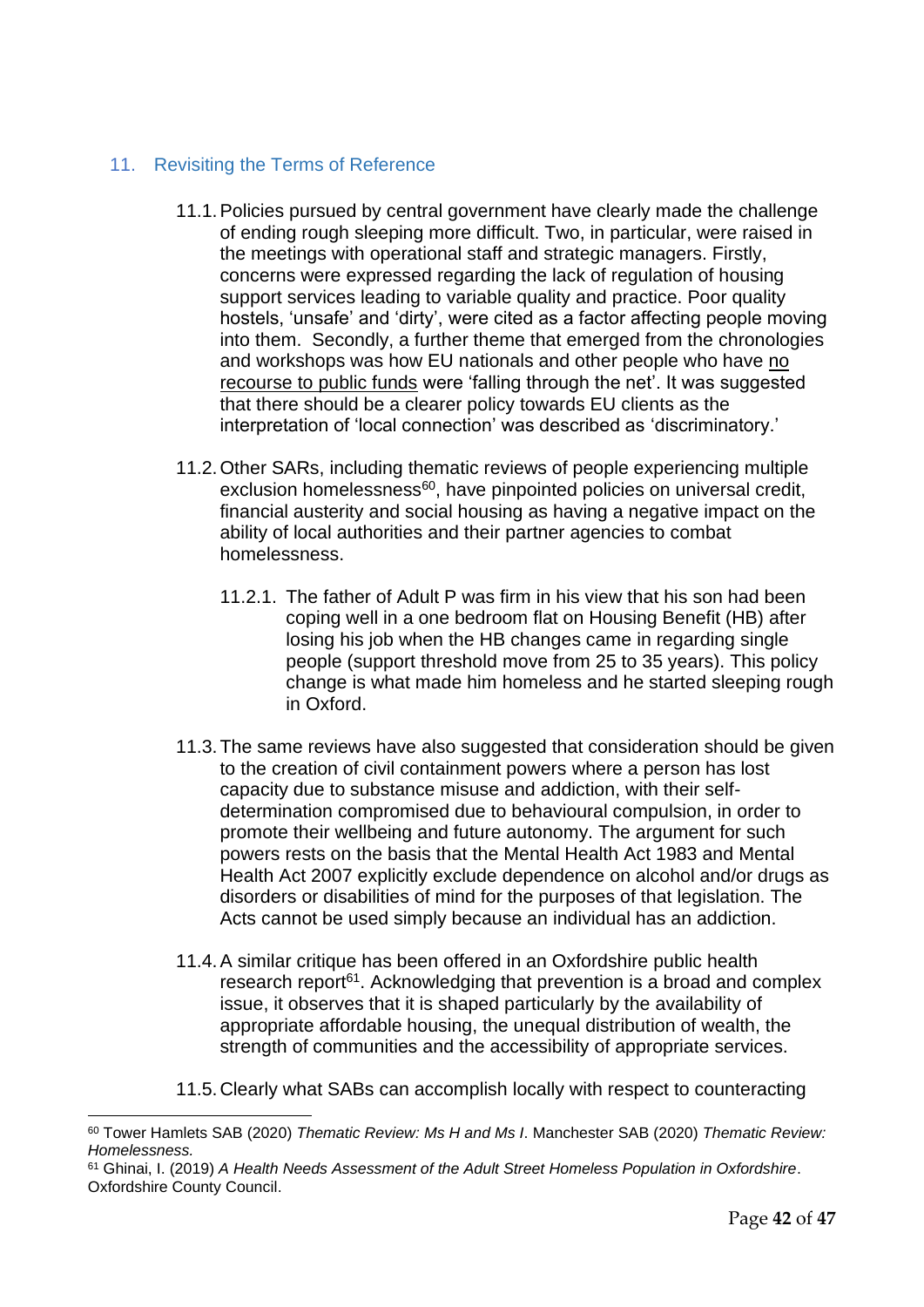## <span id="page-41-0"></span>11. Revisiting the Terms of Reference

- 11.1.Policies pursued by central government have clearly made the challenge of ending rough sleeping more difficult. Two, in particular, were raised in the meetings with operational staff and strategic managers. Firstly, concerns were expressed regarding the lack of regulation of housing support services leading to variable quality and practice. Poor quality hostels, 'unsafe' and 'dirty', were cited as a factor affecting people moving into them.Secondly, a further theme that emerged from the chronologies and workshops was how EU nationals and other people who have no recourse to public funds were 'falling through the net'. It was suggested that there should be a clearer policy towards EU clients as the interpretation of 'local connection' was described as 'discriminatory.'
- 11.2.Other SARs, including thematic reviews of people experiencing multiple exclusion homelessness<sup>60</sup>, have pinpointed policies on universal credit, financial austerity and social housing as having a negative impact on the ability of local authorities and their partner agencies to combat homelessness.
	- 11.2.1. The father of Adult P was firm in his view that his son had been coping well in a one bedroom flat on Housing Benefit (HB) after losing his job when the HB changes came in regarding single people (support threshold move from 25 to 35 years). This policy change is what made him homeless and he started sleeping rough in Oxford.
- 11.3.The same reviews have also suggested that consideration should be given to the creation of civil containment powers where a person has lost capacity due to substance misuse and addiction, with their selfdetermination compromised due to behavioural compulsion, in order to promote their wellbeing and future autonomy. The argument for such powers rests on the basis that the Mental Health Act 1983 and Mental Health Act 2007 explicitly exclude dependence on alcohol and/or drugs as disorders or disabilities of mind for the purposes of that legislation. The Acts cannot be used simply because an individual has an addiction.
- 11.4.A similar critique has been offered in an Oxfordshire public health research report<sup>61</sup>. Acknowledging that prevention is a broad and complex issue, it observes that it is shaped particularly by the availability of appropriate affordable housing, the unequal distribution of wealth, the strength of communities and the accessibility of appropriate services.
- 11.5.Clearly what SABs can accomplish locally with respect to counteracting

<sup>60</sup> Tower Hamlets SAB (2020) *Thematic Review: Ms H and Ms I*. Manchester SAB (2020) *Thematic Review: Homelessness.*

<sup>61</sup> Ghinai, I. (2019) *A Health Needs Assessment of the Adult Street Homeless Population in Oxfordshire*. Oxfordshire County Council.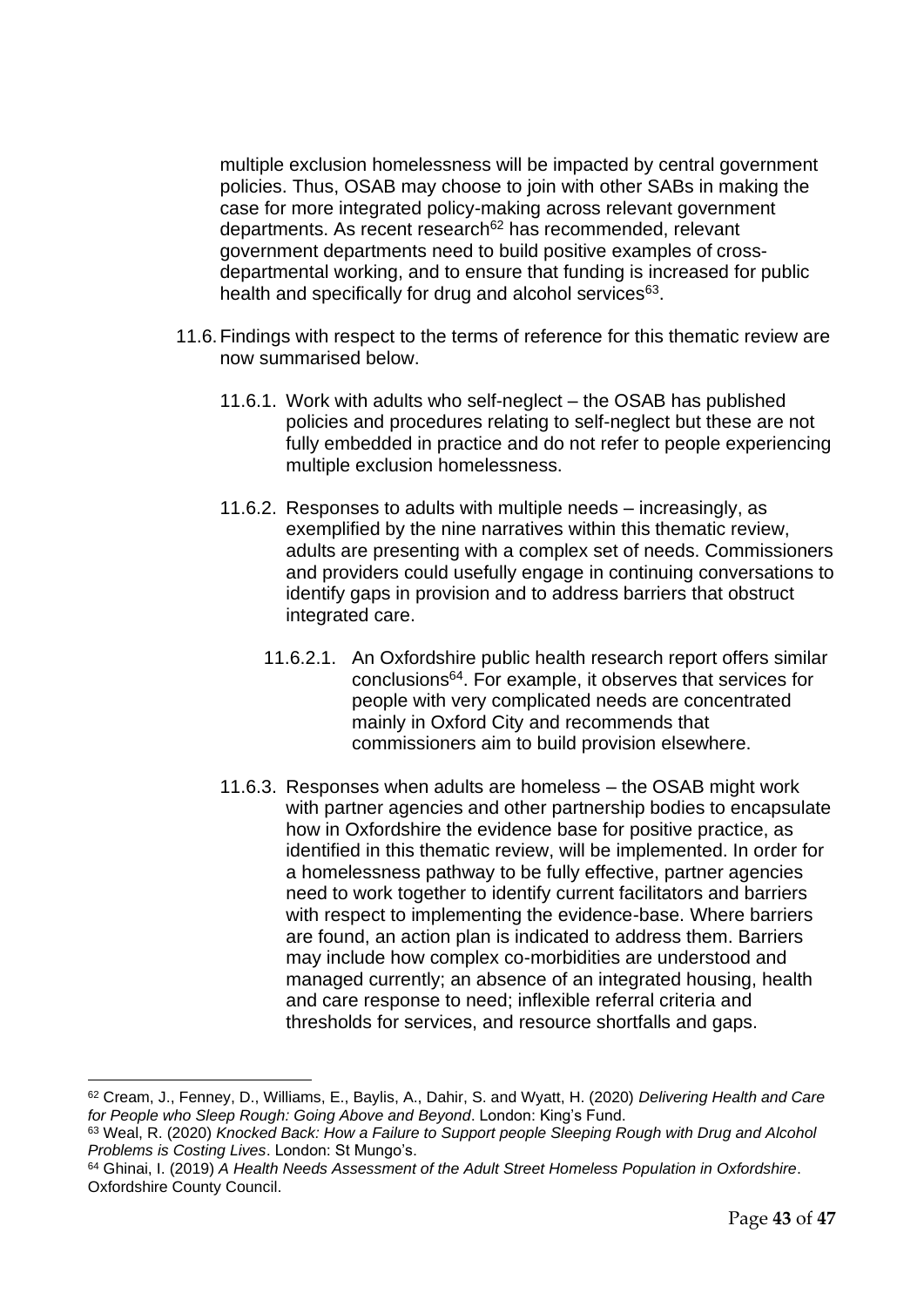multiple exclusion homelessness will be impacted by central government policies. Thus, OSAB may choose to join with other SABs in making the case for more integrated policy-making across relevant government departments. As recent research<sup>62</sup> has recommended, relevant government departments need to build positive examples of crossdepartmental working, and to ensure that funding is increased for public health and specifically for drug and alcohol services<sup>63</sup>.

- 11.6.Findings with respect to the terms of reference for this thematic review are now summarised below.
	- 11.6.1. Work with adults who self-neglect the OSAB has published policies and procedures relating to self-neglect but these are not fully embedded in practice and do not refer to people experiencing multiple exclusion homelessness.
	- 11.6.2. Responses to adults with multiple needs increasingly, as exemplified by the nine narratives within this thematic review, adults are presenting with a complex set of needs. Commissioners and providers could usefully engage in continuing conversations to identify gaps in provision and to address barriers that obstruct integrated care.
		- 11.6.2.1. An Oxfordshire public health research report offers similar conclusions<sup>64</sup>. For example, it observes that services for people with very complicated needs are concentrated mainly in Oxford City and recommends that commissioners aim to build provision elsewhere.
	- 11.6.3. Responses when adults are homeless the OSAB might work with partner agencies and other partnership bodies to encapsulate how in Oxfordshire the evidence base for positive practice, as identified in this thematic review, will be implemented. In order for a homelessness pathway to be fully effective, partner agencies need to work together to identify current facilitators and barriers with respect to implementing the evidence-base. Where barriers are found, an action plan is indicated to address them. Barriers may include how complex co-morbidities are understood and managed currently; an absence of an integrated housing, health and care response to need; inflexible referral criteria and thresholds for services, and resource shortfalls and gaps.

<sup>62</sup> Cream, J., Fenney, D., Williams, E., Baylis, A., Dahir, S. and Wyatt, H. (2020) *Delivering Health and Care for People who Sleep Rough: Going Above and Beyond*. London: King's Fund.

<sup>63</sup> Weal, R. (2020) *Knocked Back: How a Failure to Support people Sleeping Rough with Drug and Alcohol Problems is Costing Lives*. London: St Mungo's.

<sup>64</sup> Ghinai, I. (2019) *A Health Needs Assessment of the Adult Street Homeless Population in Oxfordshire*. Oxfordshire County Council.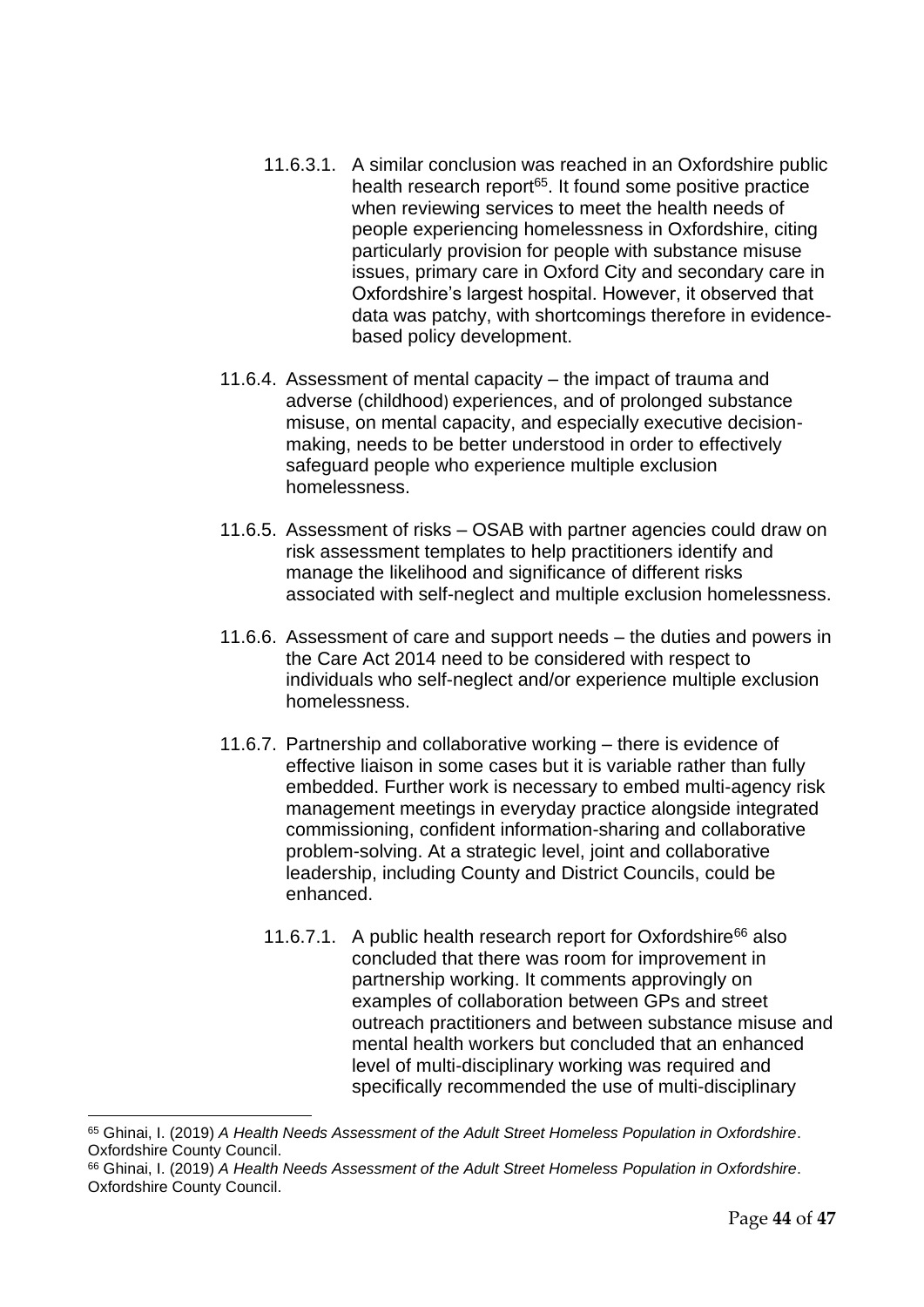- 11.6.3.1. A similar conclusion was reached in an Oxfordshire public health research report<sup>65</sup>. It found some positive practice when reviewing services to meet the health needs of people experiencing homelessness in Oxfordshire, citing particularly provision for people with substance misuse issues, primary care in Oxford City and secondary care in Oxfordshire's largest hospital. However, it observed that data was patchy, with shortcomings therefore in evidencebased policy development.
- 11.6.4. Assessment of mental capacity the impact of trauma and adverse (childhood) experiences, and of prolonged substance misuse, on mental capacity, and especially executive decisionmaking, needs to be better understood in order to effectively safeguard people who experience multiple exclusion homelessness.
- 11.6.5. Assessment of risks OSAB with partner agencies could draw on risk assessment templates to help practitioners identify and manage the likelihood and significance of different risks associated with self-neglect and multiple exclusion homelessness.
- 11.6.6. Assessment of care and support needs the duties and powers in the Care Act 2014 need to be considered with respect to individuals who self-neglect and/or experience multiple exclusion homelessness.
- 11.6.7. Partnership and collaborative working there is evidence of effective liaison in some cases but it is variable rather than fully embedded. Further work is necessary to embed multi-agency risk management meetings in everyday practice alongside integrated commissioning, confident information-sharing and collaborative problem-solving. At a strategic level, joint and collaborative leadership, including County and District Councils, could be enhanced.
	- 11.6.7.1. A public health research report for Oxfordshire<sup>66</sup> also concluded that there was room for improvement in partnership working. It comments approvingly on examples of collaboration between GPs and street outreach practitioners and between substance misuse and mental health workers but concluded that an enhanced level of multi-disciplinary working was required and specifically recommended the use of multi-disciplinary

<sup>65</sup> Ghinai, I. (2019) *A Health Needs Assessment of the Adult Street Homeless Population in Oxfordshire*. Oxfordshire County Council.

<sup>66</sup> Ghinai, I. (2019) *A Health Needs Assessment of the Adult Street Homeless Population in Oxfordshire*. Oxfordshire County Council.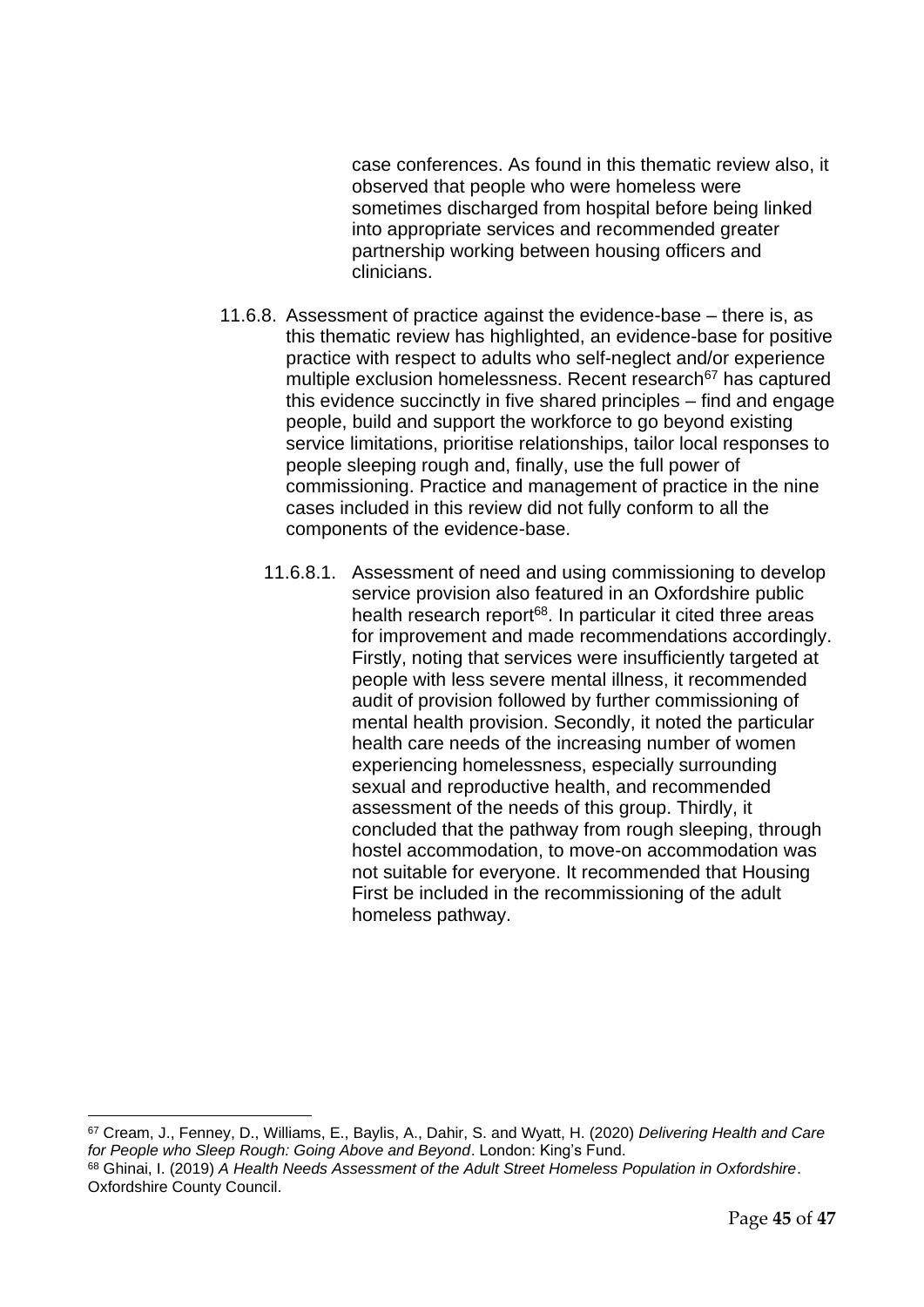case conferences. As found in this thematic review also, it observed that people who were homeless were sometimes discharged from hospital before being linked into appropriate services and recommended greater partnership working between housing officers and clinicians.

- 11.6.8. Assessment of practice against the evidence-base there is, as this thematic review has highlighted, an evidence-base for positive practice with respect to adults who self-neglect and/or experience multiple exclusion homelessness. Recent research<sup>67</sup> has captured this evidence succinctly in five shared principles – find and engage people, build and support the workforce to go beyond existing service limitations, prioritise relationships, tailor local responses to people sleeping rough and, finally, use the full power of commissioning. Practice and management of practice in the nine cases included in this review did not fully conform to all the components of the evidence-base.
	- 11.6.8.1. Assessment of need and using commissioning to develop service provision also featured in an Oxfordshire public health research report<sup>68</sup>. In particular it cited three areas for improvement and made recommendations accordingly. Firstly, noting that services were insufficiently targeted at people with less severe mental illness, it recommended audit of provision followed by further commissioning of mental health provision. Secondly, it noted the particular health care needs of the increasing number of women experiencing homelessness, especially surrounding sexual and reproductive health, and recommended assessment of the needs of this group. Thirdly, it concluded that the pathway from rough sleeping, through hostel accommodation, to move-on accommodation was not suitable for everyone. It recommended that Housing First be included in the recommissioning of the adult homeless pathway.

<sup>67</sup> Cream, J., Fenney, D., Williams, E., Baylis, A., Dahir, S. and Wyatt, H. (2020) *Delivering Health and Care for People who Sleep Rough: Going Above and Beyond*. London: King's Fund.

<sup>68</sup> Ghinai, I. (2019) *A Health Needs Assessment of the Adult Street Homeless Population in Oxfordshire*. Oxfordshire County Council.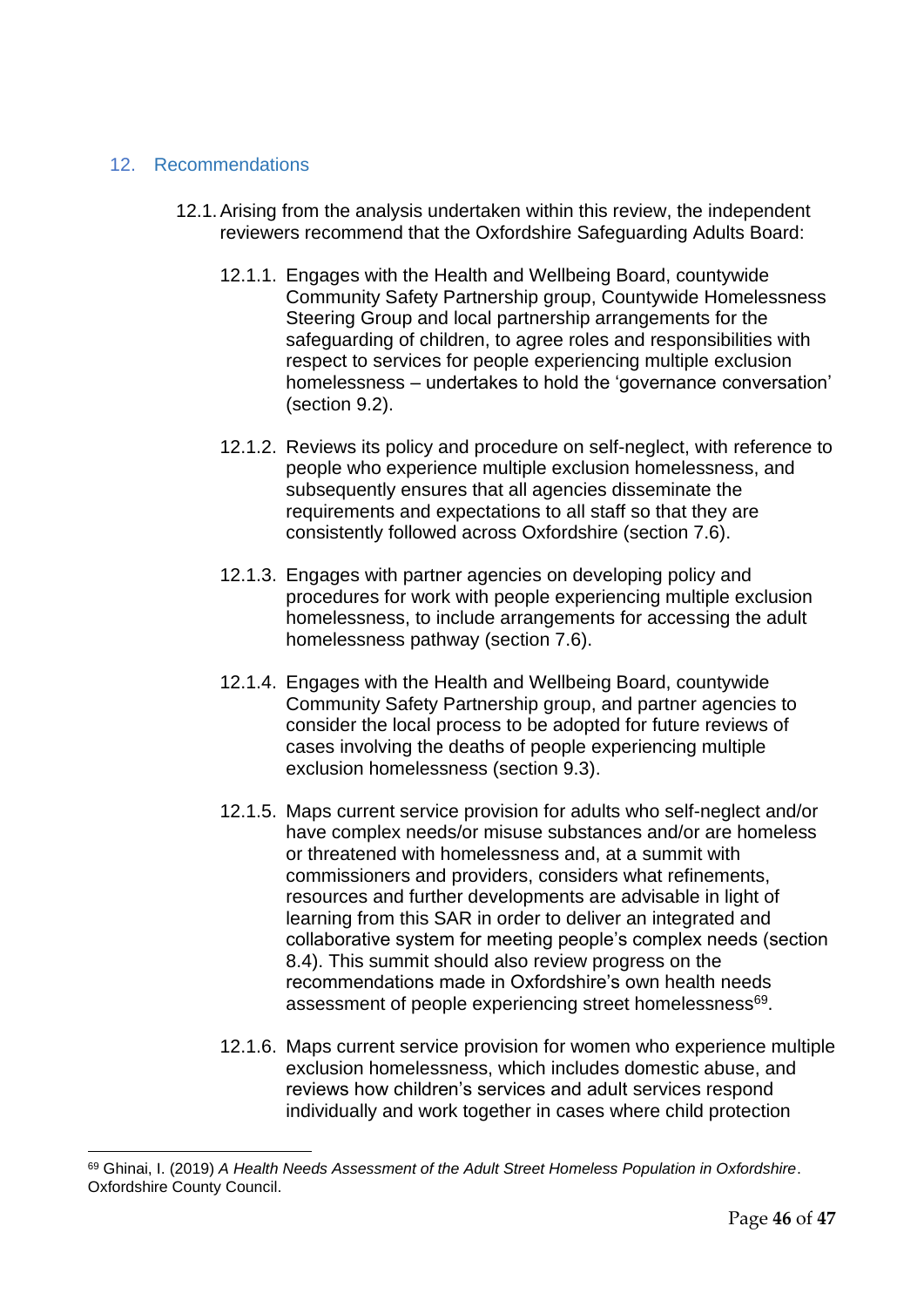#### <span id="page-45-0"></span>12. Recommendations

- 12.1.Arising from the analysis undertaken within this review, the independent reviewers recommend that the Oxfordshire Safeguarding Adults Board:
	- 12.1.1. Engages with the Health and Wellbeing Board, countywide Community Safety Partnership group, Countywide Homelessness Steering Group and local partnership arrangements for the safeguarding of children, to agree roles and responsibilities with respect to services for people experiencing multiple exclusion homelessness – undertakes to hold the 'governance conversation' (section 9.2).
	- 12.1.2. Reviews its policy and procedure on self-neglect, with reference to people who experience multiple exclusion homelessness, and subsequently ensures that all agencies disseminate the requirements and expectations to all staff so that they are consistently followed across Oxfordshire (section 7.6).
	- 12.1.3. Engages with partner agencies on developing policy and procedures for work with people experiencing multiple exclusion homelessness, to include arrangements for accessing the adult homelessness pathway (section 7.6).
	- 12.1.4. Engages with the Health and Wellbeing Board, countywide Community Safety Partnership group, and partner agencies to consider the local process to be adopted for future reviews of cases involving the deaths of people experiencing multiple exclusion homelessness (section 9.3).
	- 12.1.5. Maps current service provision for adults who self-neglect and/or have complex needs/or misuse substances and/or are homeless or threatened with homelessness and, at a summit with commissioners and providers, considers what refinements, resources and further developments are advisable in light of learning from this SAR in order to deliver an integrated and collaborative system for meeting people's complex needs (section 8.4). This summit should also review progress on the recommendations made in Oxfordshire's own health needs assessment of people experiencing street homelessness<sup>69</sup>.
	- 12.1.6. Maps current service provision for women who experience multiple exclusion homelessness, which includes domestic abuse, and reviews how children's services and adult services respond individually and work together in cases where child protection

<sup>69</sup> Ghinai, I. (2019) *A Health Needs Assessment of the Adult Street Homeless Population in Oxfordshire*. Oxfordshire County Council.